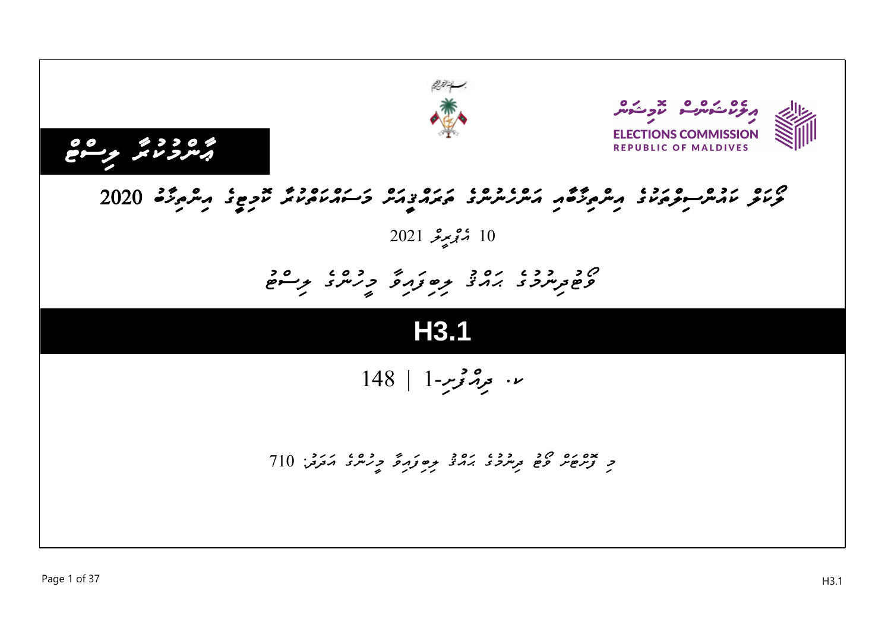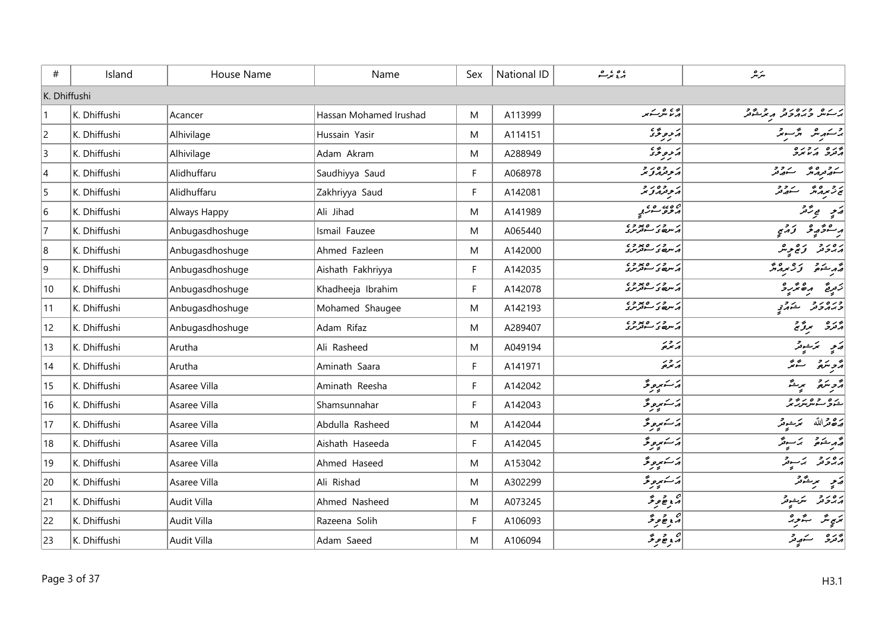| #              | Island       | House Name      | Name                   | Sex         | National ID | ، ه ، بر <u>م</u>                  | ىئرىتر                                            |
|----------------|--------------|-----------------|------------------------|-------------|-------------|------------------------------------|---------------------------------------------------|
| K. Dhiffushi   |              |                 |                        |             |             |                                    |                                                   |
| 1              | K. Dhiffushi | Acancer         | Hassan Mohamed Irushad | M           | A113999     | ۇ ئەھرىسىمىر                       | ر کره دره د د د و د و<br>رکستر ورماوتر از برختونر |
| $\overline{2}$ | K. Dhiffushi | Alhivilage      | Hussain Yasir          | M           | A114151     | ر<br>د نوعوڅۍ                      | برسكور مركسوبر                                    |
| 3              | K. Dhiffushi | Alhivilage      | Adam Akram             | M           | A288949     | ر<br>مرموعوی                       | پره روره<br>مترد منترد                            |
| $\vert 4$      | K. Dhiffushi | Alidhuffaru     | Saudhiyya Saud         | $\mathsf F$ | A068978     | ړ د تره ژ بر                       | سەھەمەر شە<br>سەھەتىر                             |
| 5              | K. Dhiffushi | Alidhuffaru     | Zakhriyya Saud         | $\mathsf F$ | A142081     | پر وره و بر و                      | ى ئىمدە بىر ئەر                                   |
| 6              | K. Dhiffushi | Always Happy    | Ali Jihad              | M           | A141989     | ە و» قرىم                          | ړکو مورڅر                                         |
| 7              | K. Dhiffushi | Anbugasdhoshuge | Ismail Fauzee          | M           | A065440     | ر<br>پرسرچي سوترس                  | وكوفيو ترقم                                       |
| 8              | K. Dhiffushi | Anbugasdhoshuge | Ahmed Fazleen          | M           | A142000     | ر سرچ ر ه پو د پ<br>پرسرچي سنگورس  | پره پر پر په په په                                |
| 9              | K. Dhiffushi | Anbugasdhoshuge | Aishath Fakhriyya      | $\mathsf F$ | A142035     | ر سرچ ر ه پو د پ<br>ترسرچ که سوترس | مەر ئىستوم ئى ئىمدىر                              |
| 10             | K. Dhiffushi | Anbugasdhoshuge | Khadheeja Ibrahim      | F           | A142078     | ر<br>پرسرچي ڪنگرمري                | زَمْرِيعٌ مِنْ مُرْجَرِ                           |
| 11             | K. Dhiffushi | Anbugasdhoshuge | Mohamed Shaugee        | M           | A142193     | ر<br>پرسرچي ڪنگرمري                | و ر ه ر د<br>تر <i>پر پ</i> ر تر<br>ستسكور تو     |
| 12             | K. Dhiffushi | Anbugasdhoshuge | Adam Rifaz             | M           | A289407     | ر<br>پرسرچي ڪوتر پر د              | وره بروځ<br>منرم بروځ                             |
| 13             | K. Dhiffushi | Arutha          | Ali Rasheed            | M           | A049194     | ەر جەر                             | ړې برخونه<br>د س                                  |
| 14             | K. Dhiffushi | Arutha          | Aminath Saara          | F           | A141971     | ر و ر<br>مرمومی                    | أأرمز                                             |
| 15             | K. Dhiffushi | Asaree Villa    | Aminath Reesha         | $\mathsf F$ | A142042     | ە سەمبەء ق                         | أأدوسكم بمستكم                                    |
| 16             | K. Dhiffushi | Asaree Villa    | Shamsunnahar           | F           | A142043     | ە سەمرە ۋ                          | <br> شوۋىسى <i>مەركى</i> رىر                      |
| 17             | K. Dhiffushi | Asaree Villa    | Abdulla Rasheed        | M           | A142044     | ە سەمبەء ق                         | مَدْ هُ قَرْ اللّه تَمْ سَوْ قُرْ                 |
| 18             | K. Dhiffushi | Asaree Villa    | Aishath Haseeda        | F           | A142045     | رئسە پرەرگە                        | ە ئەرسىنى ئەسىرىگە                                |
| 19             | K. Dhiffushi | Asaree Villa    | Ahmed Haseed           | M           | A153042     | ە سەمبەء قر<br>مەسىم               | أرور و برسوتر                                     |
| 20             | K. Dhiffushi | Asaree Villa    | Ali Rishad             | M           | A302299     | رسە يېرە قر                        | كامي المراكبة وكالمر                              |
| 21             | K. Dhiffushi | Audit Villa     | Ahmed Nasheed          | M           | A073245     | م.<br>مربع غوغه                    | أرور و سرجونر                                     |
| 22             | K. Dhiffushi | Audit Villa     | Razeena Solih          | F           | A106093     | وموقوقه                            | ىمىم ئىگە سەھرىر                                  |
| 23             | K. Dhiffushi | Audit Villa     | Adam Saeed             | M           | A106094     | وموقوقه                            | وره ستهدفر                                        |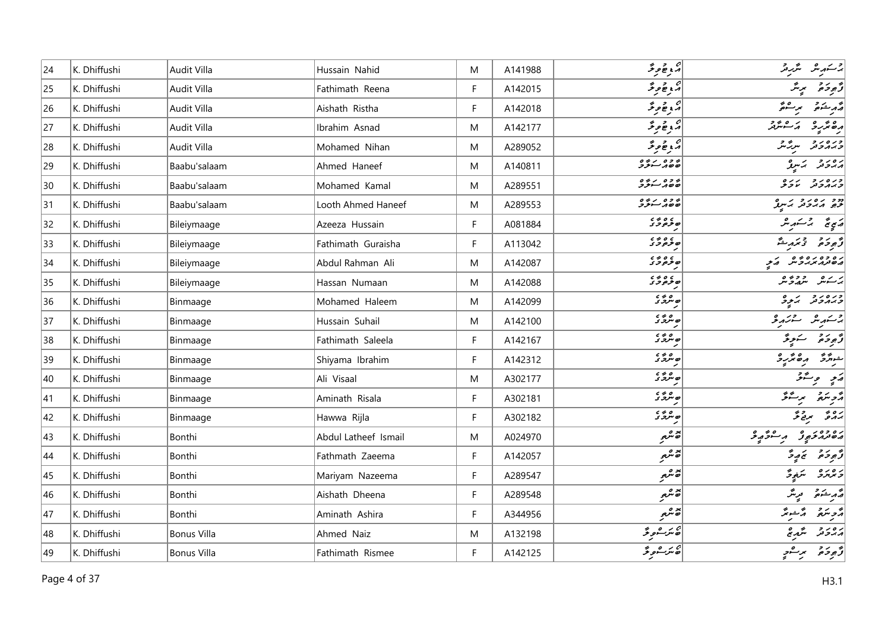| 24 | K. Dhiffushi | <b>Audit Villa</b> | Hussain Nahid        | M  | A141988 | لموجود                                        | ىر سەمەھرى ئىزىرى<br>م                      |
|----|--------------|--------------------|----------------------|----|---------|-----------------------------------------------|---------------------------------------------|
| 25 | K. Dhiffushi | <b>Audit Villa</b> | Fathimath Reena      | F  | A142015 | وموغوقه                                       |                                             |
| 26 | K. Dhiffushi | Audit Villa        | Aishath Ristha       | F  | A142018 | لموجوعه                                       | ه د شود مرسوم<br>د د شوم مرسوم              |
| 27 | K. Dhiffushi | Audit Villa        | Ibrahim Asnad        | M  | A142177 | لموجود                                        | مەھەر ئەسىر                                 |
| 28 | K. Dhiffushi | Audit Villa        | Mohamed Nihan        | M  | A289052 | لموجودة                                       | ورەرو سرگىر                                 |
| 29 | K. Dhiffushi | Baabu'salaam       | Ahmed Haneef         | M  | A140811 | $55 - 255$                                    | دەر د برس                                   |
| 30 | K. Dhiffushi | Baabu'salaam       | Mohamed Kamal        | M  | A289551 | پ <sup>ر و</sup> ه به دی<br><i>ه ه</i> ر سوگر | ورەر دىرە                                   |
| 31 | K. Dhiffushi | Baabu'salaam       | Looth Ahmed Haneef   | M  | A289553 | پروه ريږه<br><i>ه ۱۳۵</i> سنور                | دو ده ده د په کر                            |
| 32 | K. Dhiffushi | Bileiymaage        | Azeeza Hussain       | F  | A081884 | ړ ه و د ،<br>م <i>و</i> و د د                 | مَبِيءَ بِرَسَهِ مِنْ                       |
| 33 | K. Dhiffushi | Bileiymaage        | Fathimath Guraisha   | F  | A113042 | ه ده و د ،<br>موخور د                         | و دو و در شک                                |
| 34 | K. Dhiffushi | Bileiymaage        | Abdul Rahman Ali     | M  | A142087 | ه ده و د ،<br>موخود د                         | גם כם גם כי ה' ב'                           |
| 35 | K. Dhiffushi | Bileiymaage        | Hassan Numaan        | M  | A142088 | ه ۶ ه و ۶<br>حوموز د                          | برىك ئىق ئىق                                |
| 36 | K. Dhiffushi | Binmaage           | Mohamed Haleem       | M  | A142099 | ە ئەرىرى<br>ئ                                 | ورەرو پەرو                                  |
| 37 | K. Dhiffushi | Binmaage           | Hussain Suhail       | M  | A142100 | ە ئەدى<br>مەشرىرى                             | برسكريثر المتركرو                           |
| 38 | K. Dhiffushi | Binmaage           | Fathimath Saleela    | F  | A142167 | ە مەردى<br>م                                  | قرموخو سكويج                                |
| 39 | K. Dhiffushi | Binmaage           | Shiyama Ibrahim      | F  | A142312 | ە ئەرىرى<br>ئ                                 |                                             |
| 40 | K. Dhiffushi | Binmaage           | Ali Visaal           | M  | A302177 | صرحری                                         | أرشح وستمثر                                 |
| 41 | K. Dhiffushi | Binmaage           | Aminath Risala       | F  | A302181 | جو مرچ ۽                                      | ۇ ئەسكە ئەسكە                               |
| 42 | K. Dhiffushi | Binmaage           | Hawwa Rijla          | F. | A302182 | ە ئەرىرى<br>ئ                                 | برەپچ<br>ىرقە تۇ                            |
| 43 | K. Dhiffushi | Bonthi             | Abdul Latheef Ismail | M  | A024970 | القسمبر                                       | גם כפיבת כל השיכתיב                         |
| 44 | K. Dhiffushi | Bonthi             | Fathmath Zaeema      | F  | A142057 | قاشعر                                         |                                             |
| 45 | K. Dhiffushi | Bonthi             | Mariyam Nazeema      | F  | A289547 | اقتصره                                        | ر ه ر ه<br><del>ر</del> بربرگ<br>سَمَعٍ رَّ |
| 46 | K. Dhiffushi | Bonthi             | Aishath Dheena       | F  | A289548 | قاشعر                                         | وگرېشو تړنگر<br>م                           |
| 47 | K. Dhiffushi | Bonthi             | Aminath Ashira       | F  | A344956 | اقتفعج                                        | ترشد تر<br>أرمز                             |
| 48 | K. Dhiffushi | <b>Bonus Villa</b> | Ahmed Naiz           | M  | A132198 | ئەسرىسىمو ئ <sup>ۇ</sup>                      | پروژبر<br>سَّدِي                            |
| 49 | K. Dhiffushi | <b>Bonus Villa</b> | Fathimath Rismee     | F  | A142125 | ە ئىر ش <sub>ەھە</sub> ئە                     | توارد ويراعي                                |
|    |              |                    |                      |    |         |                                               |                                             |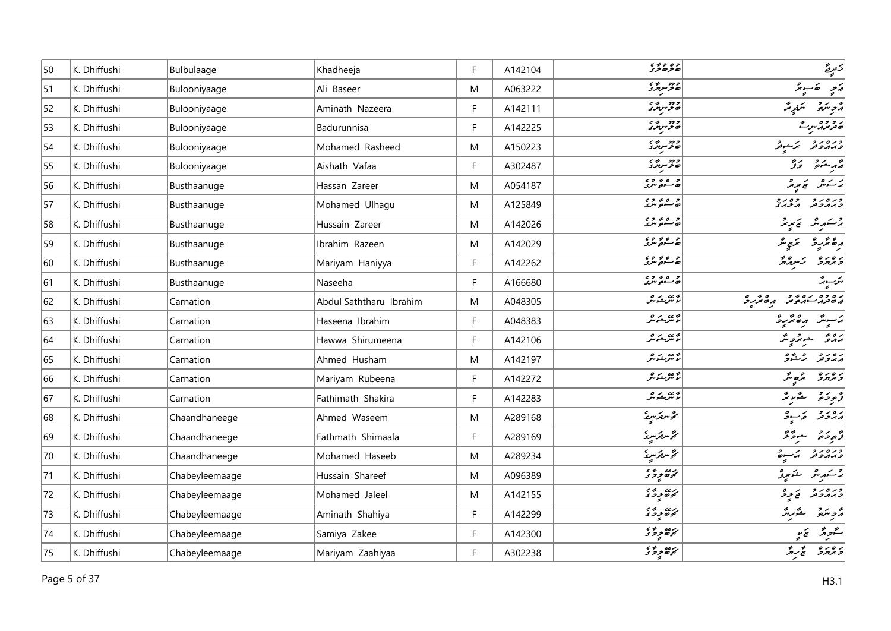| 50 | K. Dhiffushi | Bulbulaage     | Khadheeja               | F         | A142104 | د ه د د »<br>مه نور                         |                                                 |
|----|--------------|----------------|-------------------------|-----------|---------|---------------------------------------------|-------------------------------------------------|
| 51 | K. Dhiffushi | Bulooniyaage   | Ali Baseer              | ${\sf M}$ | A063222 | و دو .<br>ن نو سرد د                        |                                                 |
| 52 | K. Dhiffushi | Bulooniyaage   | Aminath Nazeera         | F         | A142111 | ە دوسرىرى                                   | أأرمني                                          |
| 53 | K. Dhiffushi | Bulooniyaage   | Badurunnisa             | F         | A142225 | و دو .<br>ن نو سرمر <sub>ک</sub>            | ر و وه<br>ت <i>ق</i> ر <i>بر ۸</i> سرت          |
| 54 | K. Dhiffushi | Bulooniyaage   | Mohamed Rasheed         | ${\sf M}$ | A150223 | ەدە پەر                                     | ورەرو كەنبەتر                                   |
| 55 | K. Dhiffushi | Bulooniyaage   | Aishath Vafaa           | F         | A302487 | و دو په دي<br><i>ه نو</i> سرون              | أوار يدو أواقى                                  |
| 56 | K. Dhiffushi | Busthaanuge    | Hassan Zareer           | ${\sf M}$ | A054187 | و ۵۵ و ،<br>حاسوم سر <sub>ک</sub>           | ترسكانكرا الجاميريتى                            |
| 57 | K. Dhiffushi | Busthaanuge    | Mohamed Ulhagu          | ${\sf M}$ | A125849 | ه ۵۵ و ۷<br>ت <i>ه س</i> ره سر <sub>ک</sub> | כנסני כסניב<br><i>כג</i> וכני ול <i>בג</i>      |
| 58 | K. Dhiffushi | Busthaanuge    | Hussain Zareer          | ${\sf M}$ | A142026 | و ۵۵ و ،<br>حاسوم سر <sub>ک</sub>           | يزخير شي يا يا يو يا                            |
| 59 | K. Dhiffushi | Busthaanuge    | Ibrahim Razeen          | M         | A142029 | و ۵۵ و ،<br>ت <i>ق</i> سیو سر <sub>ک</sub>  | ەرھەترىر <sup>ە</sup><br>ىمەسچە يىگە            |
| 60 | K. Dhiffushi | Busthaanuge    | Mariyam Haniyya         | F         | A142262 | و ۵۵ و ،<br>حاسوم سر <sub>ک</sub>           | ر ه ر ه<br><del>و</del> بربرو<br>ر سمه پژ       |
| 61 | K. Dhiffushi | Busthaanuge    | Naseeha                 | F         | A166680 | و ۱۵ پورې<br>پېښتونکو                       | ىئەسەيە<br>ئ                                    |
| 62 | K. Dhiffushi | Carnation      | Abdul Saththaru Ibrahim | ${\sf M}$ | A048305 | رسمبر<br>بر تىرىشە بىر                      | ره وه ره د و<br>پرې <i>ور سره ون</i><br>ەھ تررۇ |
| 63 | K. Dhiffushi | Carnation      | Haseena Ibrahim         | F         | A048383 | ە ئەرىئە بىر<br>ئانترىشە بىر                | ئەسەپىتىر<br>ئە<br>دە ئەرد                      |
| 64 | K. Dhiffushi | Carnation      | Hawwa Shirumeena        | F         | A142106 | ە ئەرىئە بىر<br>ئانترىشە بىر                | ر ه و<br>برد و<br>ے پر تر <sub>کی</sub> پر      |
| 65 | K. Dhiffushi | Carnation      | Ahmed Husham            | ${\sf M}$ | A142197 | ەسىر<br>ئانترىشەنىر                         | ح مش <sup>و</sup> و<br>ر ه ر د<br>م.ر څ مر      |
| 66 | K. Dhiffushi | Carnation      | Mariyam Rubeena         | F         | A142272 | ە ئەرىئە بىر<br>ئانترىشە بىر                | برەپر<br>ر ه ر ه<br><del>ر</del> بربرگ          |
| 67 | K. Dhiffushi | Carnation      | Fathimath Shakira       | F         | A142283 | ە ئەرىئە بىر<br>ئانترىشە بىر                | شەر ئە<br>و په پر د                             |
| 68 | K. Dhiffushi | Chaandhaneege  | Ahmed Waseem            | ${\sf M}$ | A289168 | كۇسىترسرىگە                                 | رەرو رىدۇ                                       |
| 69 | K. Dhiffushi | Chaandhaneege  | Fathmath Shimaala       | F         | A289169 | ڭرىس <i>قرىپى</i> دىگە                      | ژَهِ دَهُ وَ شَرْدَ دَّ                         |
| 70 | K. Dhiffushi | Chaandhaneege  | Mohamed Haseeb          | M         | A289234 | كۇسرىر سرچ                                  | وره رو برسده                                    |
| 71 | K. Dhiffushi | Chabeyleemaage | Hussain Shareef         | ${\sf M}$ | A096389 | رن ده د.<br>کوه پرد د                       | چەسىر شەھىرى                                    |
| 72 | K. Dhiffushi | Chabeyleemaage | Mohamed Jaleel          | ${\sf M}$ | A142155 | رى پەر<br>كۆڭ پەرى                          | ورەر دىم يەر                                    |
| 73 | K. Dhiffushi | Chabeyleemaage | Aminath Shahiya         | F         | A142299 | رن ده د<br>کوه پرد د                        | ستەرىر<br>ا پر در مرد<br>مسلم                   |
| 74 | K. Dhiffushi | Chabeyleemaage | Samiya Zakee            | F         | A142300 | ری پر وی<br>نځانځ تر د                      | ستمریز<br>تجميح                                 |
| 75 | K. Dhiffushi | Chabeyleemaage | Mariyam Zaahiyaa        | F         | A302238 | رن ده د<br>کوه پرد د                        | و وره ځرگه                                      |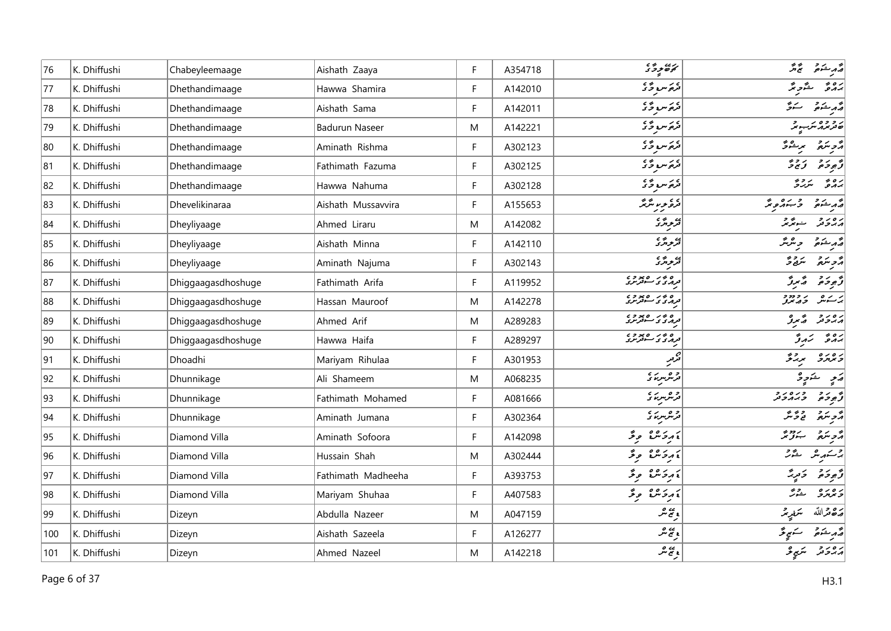| 76  | K. Dhiffushi | Chabeyleemaage     | Aishath Zaaya         | F  | A354718 | رى<br>كۆھنچەترى                                                   |                                          |
|-----|--------------|--------------------|-----------------------|----|---------|-------------------------------------------------------------------|------------------------------------------|
| 77  | K. Dhiffushi | Dhethandimaage     | Hawwa Shamira         | F. | A142010 | ے ر<br>تریخ سرہ تر <sub>ک</sub>                                   | برەپچ<br>ستَدُّو مَرَّ                   |
| 78  | K. Dhiffushi | Dhethandimaage     | Aishath Sama          | F. | A142011 | قرەر سو ۋى                                                        | پ <sup>م</sup> پر ڪوير<br>س<br>سەبىج     |
| 79  | K. Dhiffushi | Dhethandimaage     | <b>Badurun Naseer</b> | M  | A142221 | ە بەر<br><mark>ئەرەك</mark> سوغ ئەر                               | ە دې دە بىر ب                            |
| 80  | K. Dhiffushi | Dhethandimaage     | Aminath Rishma        | F  | A302123 | مرهر سو څر                                                        | أرمز تر<br>ىرىشەگ                        |
| 81  | K. Dhiffushi | Dhethandimaage     | Fathimath Fazuma      | F  | A302125 | ې ئەھەمبىي ئ <sup>ەي</sup>                                        | توسح و<br>و مرد<br>اقرام در م            |
| 82  | K. Dhiffushi | Dhethandimaage     | Hawwa Nahuma          | F  | A302128 | ې ئەھەمبىي ئ <sup>ەي</sup><br>قىر <i>مۇ</i> مبىر ئ <sup>ىرى</sup> | رەپ بەدى                                 |
| 83  | K. Dhiffushi | Dhevelikinaraa     | Aishath Mussavvira    | F. | A155653 | ە ئەۋىرىدىنىڭە<br>مەم                                             | ومرشوم وبناموند                          |
| 84  | K. Dhiffushi | Dheyliyaage        | Ahmed Liraru          | M  | A142082 | ں<br>تروپڑی                                                       | أرەر دىرىگە                              |
| 85  | K. Dhiffushi | Dheyliyaage        | Aishath Minna         | F  | A142110 | ەر<br>ترىپەترى                                                    | ە ئەشكە بىر ئىر                          |
| 86  | K. Dhiffushi | Dheyliyaage        | Aminath Najuma        | F. | A302143 | در در در<br>  قرموبری                                             | أرمز يتزه<br>ىر 3 بى<br>سرچ گ            |
| 87  | K. Dhiffushi | Dhiggaagasdhoshuge | Fathimath Arifa       | F  | A119952 | ه ۶ بر ۲۵ و د د<br>درور د ک                                       | توالج وكالمحمد وتحسير                    |
| 88  | K. Dhiffushi | Dhiggaagasdhoshuge | Hassan Mauroof        | M  | A142278 | ہ بھ بر ۔ ہے یو و ے<br>توہر <sub>کو</sub> کو مسونو <i>ر</i> ی     | يركبش ومتعرو                             |
| 89  | K. Dhiffushi | Dhiggaagasdhoshuge | Ahmed Arif            | M  | A289283 | ہ بھ بر ہے و د<br>توہر <sub>ک</sub> ے کسی تو <i>ہو د</i>          | برەر دېرو                                |
| 90  | K. Dhiffushi | Dhiggaagasdhoshuge | Hawwa Haifa           | F  | A289297 | ہ بھ بر ہے و و تا<br>توہری <sub>ک</sub> ے مسوفرس                  | بروبح<br>تربر بخ                         |
| 91  | K. Dhiffushi | Dhoadhi            | Mariyam Rihulaa       | F  | A301953 | تحرمر                                                             | ىرىرتى<br>ر ه ر ه<br><del>و</del> بربرو  |
| 92  | K. Dhiffushi | Dhunnikage         | Ali Shameem           | M  | A068235 | قرىگرىنزىكى                                                       | أركمني المسكورة                          |
| 93  | K. Dhiffushi | Dhunnikage         | Fathimath Mohamed     | F. | A081666 | و م <sub>رسر</sub> بر ۽<br>مرس                                    | و ر ه ر و<br><i>و پر</i> و تر<br>ۇ بوزىر |
| 94  | K. Dhiffushi | Dhunnikage         | Aminath Jumana        | F  | A302364 | قرىرىدىر                                                          | و ءِ پڙ<br>أرمره                         |
| 95  | K. Dhiffushi | Diamond Villa      | Aminath Sofoora       | F  | A142098 | بأربر مروه<br>حريخر                                               | سەدىپە<br>أرمر برد                       |
| 96  | K. Dhiffushi | Diamond Villa      | Hussain Shah          | M  | A302444 | د بره ه<br>  د برخ مره<br>حرتخر                                   | ے جمیز<br>جر <u>س</u> ے <sub>مر</sub> شر |
| 97  | K. Dhiffushi | Diamond Villa      | Fathimath Madheeha    | F  | A393753 | ، ئەرزىش ھ                                                        | وٌمورَمُ<br>تزىرر                        |
| 98  | K. Dhiffushi | Diamond Villa      | Mariyam Shuhaa        | F  | A407583 | ئەر ئەرە<br>ئ<br>ە ق                                              | ستذيحه<br>ر ه ر ه<br><del>د</del> بربرگ  |
| 99  | K. Dhiffushi | Dizeyn             | Abdulla Nazeer        | M  | A047159 | ۽ تي مثر                                                          | <mark>بر25</mark> مرالله<br>سكغريم       |
| 100 | K. Dhiffushi | Dizeyn             | Aishath Sazeela       | F. | A126277 | و مچ مګر<br>م                                                     | و مر شوه<br>مر                           |
| 101 | K. Dhiffushi | Dizeyn             | Ahmed Nazeel          | M  | A142218 | وتھ مگر<br>مر                                                     | أرور و سكوتر                             |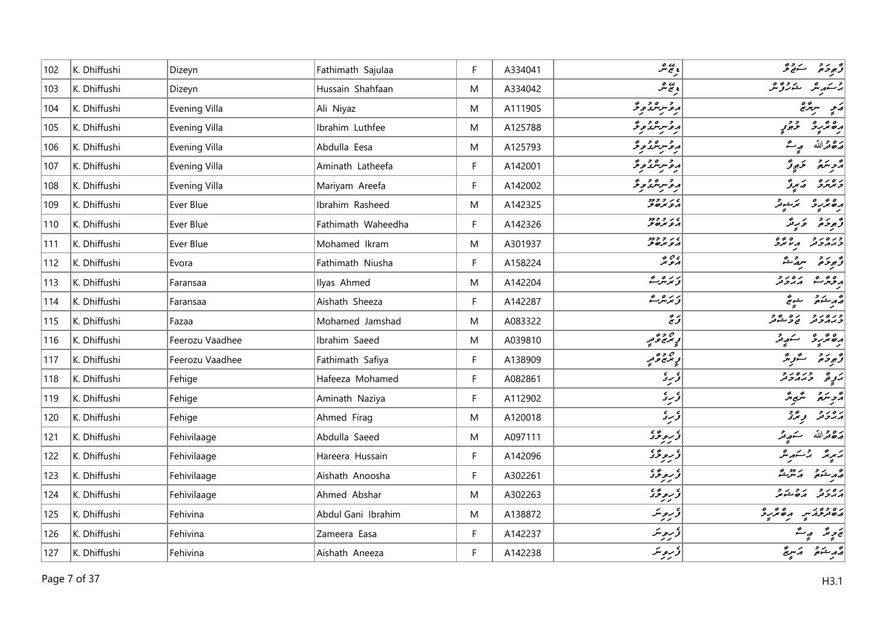| 102 | K. Dhiffushi | Dizeyn               | Fathimath Sajulaa  | F  | A334041 | ۽ تي مثر                                  | $\begin{array}{cc} \begin{array}{ccc} \circ & \circ & \circ & \circ \\ \circ & \circ & \circ & \circ \\ \circ & \circ & \circ & \circ \end{array} \\ \end{array}$ |
|-----|--------------|----------------------|--------------------|----|---------|-------------------------------------------|-------------------------------------------------------------------------------------------------------------------------------------------------------------------|
| 103 | K. Dhiffushi | Dizeyn               | Hussain Shahfaan   | M  | A334042 | و پھ مگر<br>م                             | ىش <i>ەر ۋى</i> ر<br>ج <sub>ە</sub> سىمەسىر                                                                                                                       |
| 104 | K. Dhiffushi | <b>Evening Villa</b> | Ali Niyaz          | M  | A111905 | ىر قەسرىكى <sub>گ</sub> و ئ <sup>ۇ</sup>  | أوسمج سرومني                                                                                                                                                      |
| 105 | K. Dhiffushi | Evening Villa        | Ibrahim Luthfee    | M  | A125788 | ىر قەسرىكرى <sub>تو</sub> ڭر              | وە ئېرىۋ<br>تحجي                                                                                                                                                  |
| 106 | K. Dhiffushi | Evening Villa        | Abdulla Eesa       | M  | A125793 | ە ئ <sup>ە</sup> سەسىمە ئورگە             | ەھەراللە<br>رتہ                                                                                                                                                   |
| 107 | K. Dhiffushi | Evening Villa        | Aminath Latheefa   | F  | A142001 | ىر قەسرىكى <sub>گ</sub> و ئۇ              | أرمز<br>ځږوگر                                                                                                                                                     |
| 108 | K. Dhiffushi | Evening Villa        | Mariyam Areefa     | F  | A142002 | ىر قەسرىكى <sub>گ</sub> و ئۇ              | ر ه ر ه<br><del>د</del> بربرگ<br>ەسىرىق                                                                                                                           |
| 109 | K. Dhiffushi | Ever Blue            | Ibrahim Rasheed    | M  | A142325 | ړ ر د د د<br>د و بره ن                    | ەرھەترىر <sup>ە</sup><br>بخرشدقر                                                                                                                                  |
| 110 | K. Dhiffushi | Ever Blue            | Fathimath Waheedha | F  | A142326 | ג ב בבב<br>גם <del>ג</del> ם <del>ב</del> | وٌجوحَمٌ وَرِمَّرٌ                                                                                                                                                |
| 111 | K. Dhiffushi | Ever Blue            | Mohamed Ikram      | M  | A301937 | ړ ر د د د<br>د و بره تر                   | و ر ه ر د<br>د بر پر تر<br>ەر ئەمۇرى                                                                                                                              |
| 112 | K. Dhiffushi | Evora                | Fathimath Niusha   | F  | A158224 | ى ەي<br>مەھ                               | سرچر کے<br>وٌمودَهُ                                                                                                                                               |
| 113 | K. Dhiffushi | Faransaa             | Ilyas Ahmed        | M  | A142204 | ۇ ئەرمىرىشە                               | ەر دەر<br>ەر ۋە ئە                                                                                                                                                |
| 114 | K. Dhiffushi | Faransaa             | Aishath Sheeza     | F  | A142287 | ۇ ئەيرىر                                  |                                                                                                                                                                   |
| 115 | K. Dhiffushi | Fazaa                | Mohamed Jamshad    | M  | A083322 | ترتج                                      | ورەرو رەيدو<br><i>دىد</i> روىر <mark>ن</mark> ےوىشۇنر                                                                                                             |
| 116 | K. Dhiffushi | Feerozu Vaadhee      | Ibrahim Saeed      | M  | A039810 | ر ه د و و.<br>پ <sub>ه</sub> تریخ قریب    | رە ئەر ئەر ئە                                                                                                                                                     |
| 117 | K. Dhiffushi | Feerozu Vaadhee      | Fathimath Safiya   | F  | A138909 | ر ه د و و.<br>په مربع څ <sup>و</sup> په   | ومودة الشوائر                                                                                                                                                     |
| 118 | K. Dhiffushi | Fehige               | Hafeeza Mohamed    | F  | A082861 | ې<br>توري                                 | برَوٍخَر<br>و ره ر د<br><i>د ب</i> رگرفر                                                                                                                          |
| 119 | K. Dhiffushi | Fehige               | Aminath Naziya     | F. | A112902 | ې<br>توريخ                                | أرمز<br>مثني ثر                                                                                                                                                   |
| 120 | K. Dhiffushi | Fehige               | Ahmed Firag        | M  | A120018 | ې<br>توري                                 | رەرد پەر                                                                                                                                                          |
| 121 | K. Dhiffushi | Fehivilaage          | Abdulla Saeed      | M  | A097111 | ۇروڭۇ                                     | مَە قمەللە سەمەتر                                                                                                                                                 |
| 122 | K. Dhiffushi | Fehivilaage          | Hareera Hussain    | F  | A142096 | ۇروڭۇ                                     | ىكىيەنئە الاسكىرىش                                                                                                                                                |
| 123 | K. Dhiffushi | Fehivilaage          | Aishath Anoosha    | F  | A302261 | ې روڅه <sup>د</sup>                       | و در دوره<br>مرد شومی در مردو                                                                                                                                     |
| 124 | K. Dhiffushi | Fehivilaage          | Ahmed Abshar       | M  | A302263 | ۇروڭۇ                                     | رەرد رەپر                                                                                                                                                         |
| 125 | K. Dhiffushi | Fehivina             | Abdul Gani Ibrahim | M  | A138872 | ۇ <sub>سرحە</sub> بىگە                    | גם בפג ת ביציב                                                                                                                                                    |
| 126 | K. Dhiffushi | Fehivina             | Zameera Easa       | F  | A142237 | ۇر <sub>چە مى</sub> ر                     | تمجي شهر مي                                                                                                                                                       |
| 127 | K. Dhiffushi | Fehivina             | Aishath Aneeza     | F. | A142238 | ۇروپر                                     | ومشاوق وكالمراجح                                                                                                                                                  |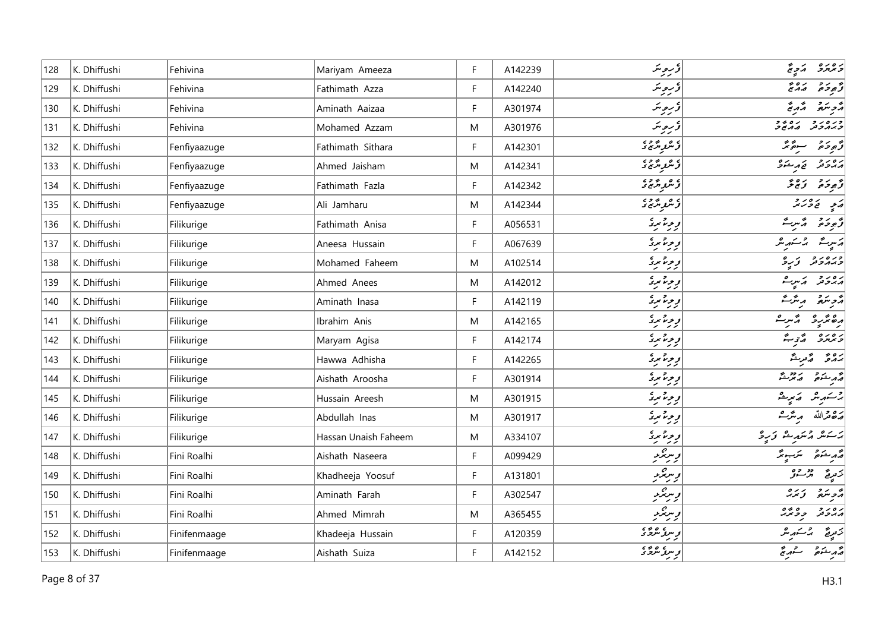| 128 | K. Dhiffushi | Fehivina     | Mariyam Ameeza       | F           | A142239 | ۇروپر<br>مەم                       | ر ه بر ه<br>تر بر بر<br>برَجٍ تَح                                                                                                                                                                                                                                                                                                                                                                                                                                                                                                                                                                                                                |
|-----|--------------|--------------|----------------------|-------------|---------|------------------------------------|--------------------------------------------------------------------------------------------------------------------------------------------------------------------------------------------------------------------------------------------------------------------------------------------------------------------------------------------------------------------------------------------------------------------------------------------------------------------------------------------------------------------------------------------------------------------------------------------------------------------------------------------------|
| 129 | K. Dhiffushi | Fehivina     | Fathimath Azza       | F.          | A142240 | ۇروپر                              | ر ه پر<br>مربر<br>  د څوخه و                                                                                                                                                                                                                                                                                                                                                                                                                                                                                                                                                                                                                     |
| 130 | K. Dhiffushi | Fehivina     | Aminath Aaizaa       | F           | A301974 | ۇروپر                              | أأدبتهم أأربح                                                                                                                                                                                                                                                                                                                                                                                                                                                                                                                                                                                                                                    |
| 131 | K. Dhiffushi | Fehivina     | Mohamed Azzam        | M           | A301976 | ۇروپر                              | و ر ه ر و<br><i>و بر</i> پر <del>و</del> تر<br>こさのノ<br>コビハイ                                                                                                                                                                                                                                                                                                                                                                                                                                                                                                                                                                                      |
| 132 | K. Dhiffushi | Fenfiyaazuge | Fathimath Sithara    | F.          | A142301 | ې هرو پر دې<br>د شرو پر پر         | $\begin{array}{c} \overbrace{\phantom{\alpha}}^{2}\overbrace{\phantom{\alpha}}^{2} & \overbrace{\phantom{\alpha}}^{2} & \overbrace{\phantom{\alpha}}^{2} & \overbrace{\phantom{\alpha}}^{2} & \overbrace{\phantom{\alpha}}^{2} & \overbrace{\phantom{\alpha}}^{2} & \overbrace{\phantom{\alpha}}^{2} & \overbrace{\phantom{\alpha}}^{2} & \overbrace{\phantom{\alpha}}^{2} & \overbrace{\phantom{\alpha}}^{2} & \overbrace{\phantom{\alpha}}^{2} & \overbrace{\phantom{\alpha}}^{2} & \overbrace{\phantom{\alpha}}^{2} & \overbrace{\phantom{\alpha}}^{2} & \overbrace{\phantom{\alpha}}^{2} & \overbrace{\phantom{\$<br>نځ ج 5 ج<br>اگر جو 5 جو |
| 133 | K. Dhiffushi | Fenfiyaazuge | Ahmed Jaisham        | M           | A142341 | ې هرو پر دې<br>ز سرو پر پر د       | أرور ويرشره                                                                                                                                                                                                                                                                                                                                                                                                                                                                                                                                                                                                                                      |
| 134 | K. Dhiffushi | Fenfiyaazuge | Fathimath Fazla      | F           | A142342 | ۇ شرېر ترى                         | توجوخو تركافر                                                                                                                                                                                                                                                                                                                                                                                                                                                                                                                                                                                                                                    |
| 135 | K. Dhiffushi | Fenfiyaazuge | Ali Jamharu          | M           | A142344 | ې شر <sub>و</sub> پېړۍ ته          | $2236 - 26$                                                                                                                                                                                                                                                                                                                                                                                                                                                                                                                                                                                                                                      |
| 136 | K. Dhiffushi | Filikurige   | Fathimath Anisa      | F           | A056531 | و پر رہ<br>بربر مربر               | قرموقر قرمرت                                                                                                                                                                                                                                                                                                                                                                                                                                                                                                                                                                                                                                     |
| 137 | K. Dhiffushi | Filikurige   | Aneesa Hussain       | F           | A067639 | د پرې برې<br>بربر بر               | أمسرت بركستهر مر                                                                                                                                                                                                                                                                                                                                                                                                                                                                                                                                                                                                                                 |
| 138 | K. Dhiffushi | Filikurige   | Mohamed Faheem       | M           | A102514 | و پر رہ<br>ربر مر                  | و ر ه ر د<br>تر بر بر تر<br>تزرو                                                                                                                                                                                                                                                                                                                                                                                                                                                                                                                                                                                                                 |
| 139 | K. Dhiffushi | Filikurige   | Ahmed Anees          | M           | A142012 | و پرې <sup>د</sup> ېدنې<br>سر      | أرەر ئەرب                                                                                                                                                                                                                                                                                                                                                                                                                                                                                                                                                                                                                                        |
| 140 | K. Dhiffushi | Filikurige   | Aminath Inasa        | F           | A142119 | و پر رہ<br>بربر میں                | أأردستمو أرتثر                                                                                                                                                                                                                                                                                                                                                                                                                                                                                                                                                                                                                                   |
| 141 | K. Dhiffushi | Filikurige   | Ibrahim Anis         | M           | A142165 | و پر رہ<br>بربر میں<br>بربر        | ە ئەسرىسە<br>ەر ھەترىر <i>ۋ</i>                                                                                                                                                                                                                                                                                                                                                                                                                                                                                                                                                                                                                  |
| 142 | K. Dhiffushi | Filikurige   | Maryam Agisa         | F           | A142174 | و پرې <sup>د</sup> برد<br>بربر     | ر ه ر ه<br><del>و</del> بربرو<br>رمجي تەپتىگە                                                                                                                                                                                                                                                                                                                                                                                                                                                                                                                                                                                                    |
| 143 | K. Dhiffushi | Filikurige   | Hawwa Adhisha        | $\mathsf F$ | A142265 | و پرې <sup>د</sup> ېدنې<br>سر      | رە ئەرىش                                                                                                                                                                                                                                                                                                                                                                                                                                                                                                                                                                                                                                         |
| 144 | K. Dhiffushi | Filikurige   | Aishath Aroosha      | F           | A301914 | و پرې <sup>5</sup> بر <sup>ي</sup> | ه د شو و دود د                                                                                                                                                                                                                                                                                                                                                                                                                                                                                                                                                                                                                                   |
| 145 | K. Dhiffushi | Filikurige   | Hussain Areesh       | M           | A301915 | و پرې <sub>مبری</sub><br>بربر م    | يزحكم مراقب المتحرجة                                                                                                                                                                                                                                                                                                                                                                                                                                                                                                                                                                                                                             |
| 146 | K. Dhiffushi | Filikurige   | Abdullah Inas        | M           | A301917 | و چه تا برد<br>بر بر               | رە دالله مەشر                                                                                                                                                                                                                                                                                                                                                                                                                                                                                                                                                                                                                                    |
| 147 | K. Dhiffushi | Filikurige   | Hassan Unaish Faheem | M           | A334107 | و پر رہ<br>ربر مرد                 | يُرَسَمْ مُرْسَمْرِكْ وَرِدْ                                                                                                                                                                                                                                                                                                                                                                                                                                                                                                                                                                                                                     |
| 148 | K. Dhiffushi | Fini Roalhi  | Aishath Naseera      | F           | A099429 | وسرچمو                             | و اير شور سرب در شور در مرکز به در مرکز در استان در سرکز در استان در استان در استان در استان در استان در استان<br>مرکز در استان در استان در استان در استان در استان در استان در استان در استان در استان در استان در استان در است                                                                                                                                                                                                                                                                                                                                                                                                                 |
| 149 | K. Dhiffushi | Fini Roalhi  | Khadheeja Yoosuf     | F           | A131801 | وسرچمو                             | ر <sub>َ موقع</sub> مرگور وي<br>موقع مرگور                                                                                                                                                                                                                                                                                                                                                                                                                                                                                                                                                                                                       |
| 150 | K. Dhiffushi | Fini Roalhi  | Aminath Farah        | F           | A302547 | وببرچو                             | أزويتهم توتديره                                                                                                                                                                                                                                                                                                                                                                                                                                                                                                                                                                                                                                  |
| 151 | K. Dhiffushi | Fini Roalhi  | Ahmed Mimrah         | M           | A365455 | وسرچمو                             | גםגב בכתב                                                                                                                                                                                                                                                                                                                                                                                                                                                                                                                                                                                                                                        |
| 152 | K. Dhiffushi | Finifenmaage | Khadeeja Hussain     | F.          | A120359 | وسروعوته                           | تزمريق الرستمريش                                                                                                                                                                                                                                                                                                                                                                                                                                                                                                                                                                                                                                 |
| 153 | K. Dhiffushi | Finifenmaage | Aishath Suiza        | F           | A142152 | ى <sub>ر س</sub> وڭرىگە ئ          | وكرمشكم فسنرمج                                                                                                                                                                                                                                                                                                                                                                                                                                                                                                                                                                                                                                   |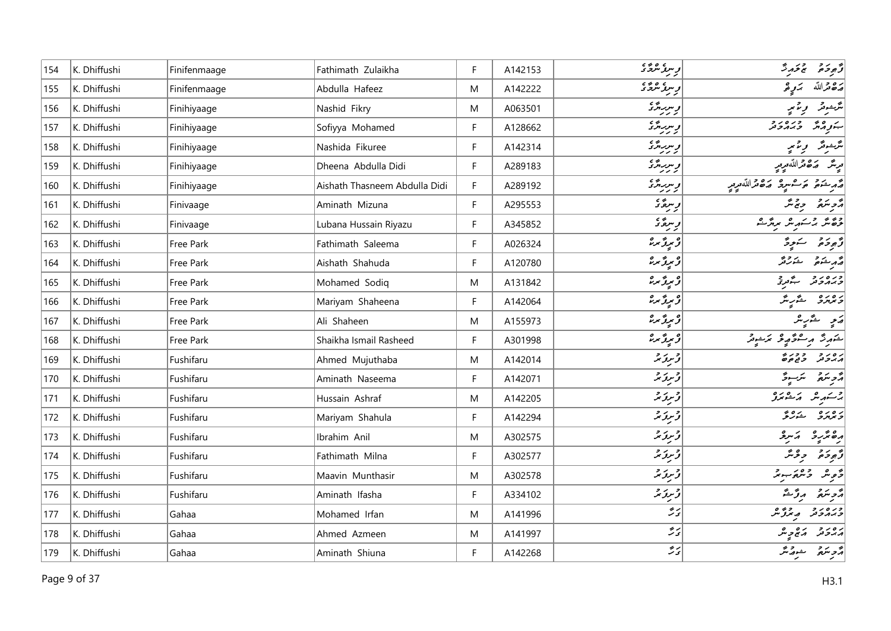| 154 | K. Dhiffushi | Finifenmaage | Fathimath Zulaikha            | F  | A142153 | <i>و</i> سرۇ مەدىجە ئە         | أزُّودَة للمحمر                                                                                                                                                                                                                     |
|-----|--------------|--------------|-------------------------------|----|---------|--------------------------------|-------------------------------------------------------------------------------------------------------------------------------------------------------------------------------------------------------------------------------------|
| 155 | K. Dhiffushi | Finifenmaage | Abdulla Hafeez                | M  | A142222 | وسرڈ شرچ کی                    | برە داللە بروپۇ                                                                                                                                                                                                                     |
| 156 | K. Dhiffushi | Finihiyaage  | Nashid Fikry                  | M  | A063501 |                                | س <i>رگشونر و با پر</i>                                                                                                                                                                                                             |
| 157 | K. Dhiffushi | Finihiyaage  | Sofiyya Mohamed               | F  | A128662 | او مدر پروژه<br><u>گرس</u>     | ה כל כנסנב                                                                                                                                                                                                                          |
| 158 | K. Dhiffushi | Finihiyaage  | Nashida Fikuree               | F  | A142314 | و سربر پژی<br>بر سربر          | شهده و پ <sup>و</sup> مبر                                                                                                                                                                                                           |
| 159 | K. Dhiffushi | Finihiyaage  | Dheena Abdulla Didi           | F  | A289183 | او سور پرچ<br><u>اس پر</u>     | مریٹر بر <i>ے قر</i> اللّہ مرمر                                                                                                                                                                                                     |
| 160 | K. Dhiffushi | Finihiyaage  | Aishath Thasneem Abdulla Didi | F  | A289192 | او سربر پر ہے<br>او سربر پر پر | ومرشوم وكسره وكالاللهيع                                                                                                                                                                                                             |
| 161 | K. Dhiffushi | Finivaage    | Aminath Mizuna                | F  | A295553 | وسرهمی                         | ה בית בין בית היות בין היותר בין היותר בין היותר בין היותר בין היותר בין היותר בין היותר בין היותר בין היותר ב<br>הודעיות היותר בין היותר היותר בין היותר בין היותר בין היותר בין היותר בין היותר בין היותר בין היותר בין היותר<br> |
| 162 | K. Dhiffushi | Finivaage    | Lubana Hussain Riyazu         | F  | A345852 | اوسونچ<br>په                   |                                                                                                                                                                                                                                     |
| 163 | K. Dhiffushi | Free Park    | Fathimath Saleema             | F. | A026324 | ە بېرىۋىر بە                   | أراوحو المستحفية                                                                                                                                                                                                                    |
| 164 | K. Dhiffushi | Free Park    | Aishath Shahuda               | F. | A120780 | ۇ بېرتۇ بىرىئە                 | أقهر مشترة المستشر والمحمد                                                                                                                                                                                                          |
| 165 | K. Dhiffushi | Free Park    | Mohamed Sodiq                 | M  | A131842 | ژېږ ژُبرر ه<br>                | ورەر دېم پەرچ                                                                                                                                                                                                                       |
| 166 | K. Dhiffushi | Free Park    | Mariyam Shaheena              | F  | A142064 | و بروژ بررا<br>افران           | رەرە شەرش                                                                                                                                                                                                                           |
| 167 | K. Dhiffushi | Free Park    | Ali Shaheen                   | M  | A155973 | ە بېرىۋىر ئە                   | أركمني المتقرب شر                                                                                                                                                                                                                   |
| 168 | K. Dhiffushi | Free Park    | Shaikha Ismail Rasheed        | F  | A301998 | ژىرۇ برر                       | شەرد رەۋر ئەيدى                                                                                                                                                                                                                     |
| 169 | K. Dhiffushi | Fushifaru    | Ahmed Mujuthaba               | M  | A142014 | ۇىردىم                         | נ סנים - כבנים<br>הגבע - כבים כים                                                                                                                                                                                                   |
| 170 | K. Dhiffushi | Fushifaru    | Aminath Naseema               | F. | A142071 | ۇىرۇ ئە                        | أأزجر متكر مترسورة                                                                                                                                                                                                                  |
| 171 | K. Dhiffushi | Fushifaru    | Hussain Ashraf                | M  | A142205 | ۇىرۇ ئە                        | بركستهر شرك برده وره                                                                                                                                                                                                                |
| 172 | K. Dhiffushi | Fushifaru    | Mariyam Shahula               | F. | A142294 | ژىرۇ ئر                        | رەرە شەەپ<br><i>جىن</i> ەر شەرىخ                                                                                                                                                                                                    |
| 173 | K. Dhiffushi | Fushifaru    | Ibrahim Anil                  | M  | A302575 | ژىرۇ ئە                        | مەھترىرى كەبىرى                                                                                                                                                                                                                     |
| 174 | K. Dhiffushi | Fushifaru    | Fathimath Milna               | F  | A302577 | ۇىرۇ ئە                        | ومجودة وقتر                                                                                                                                                                                                                         |
| 175 | K. Dhiffushi | Fushifaru    | Maavin Munthasir              | M  | A302578 | ۇ ئىرىگە                       | وموسى ومريد                                                                                                                                                                                                                         |
| 176 | K. Dhiffushi | Fushifaru    | Aminath Ifasha                | F  | A334102 | ۇ ئىرىگە                       | أأرجا المرتوسة                                                                                                                                                                                                                      |
| 177 | K. Dhiffushi | Gahaa        | Mohamed Irfan                 | M  | A141996 | ترجح                           | ورەرو ھىرگىر                                                                                                                                                                                                                        |
| 178 | K. Dhiffushi | Gahaa        | Ahmed Azmeen                  | M  | A141997 | ىرچ                            | גפלב גם בית                                                                                                                                                                                                                         |
| 179 | K. Dhiffushi | Gahaa        | Aminath Shiuna                | F  | A142268 | ىرچ                            | أروسكم بمستركش                                                                                                                                                                                                                      |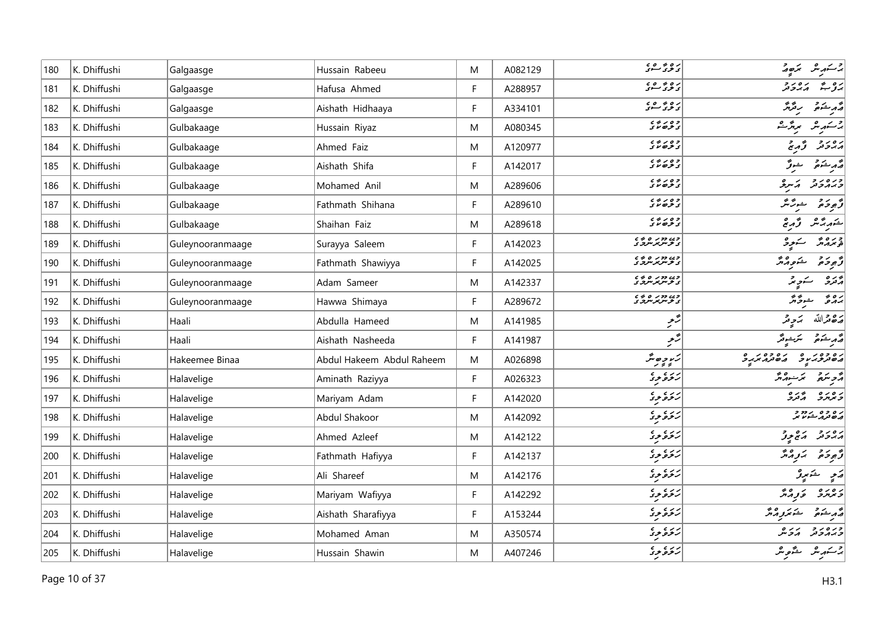| 180 | K. Dhiffushi | Galgaasge        | Hussain Rabeeu            | M           | A082129 | ر ه و م ه ،<br>د نور سور                                  | ג הוניה תופול                                               |
|-----|--------------|------------------|---------------------------|-------------|---------|-----------------------------------------------------------|-------------------------------------------------------------|
| 181 | K. Dhiffushi | Galgaasge        | Hafusa Ahmed              | F           | A288957 | ر ه بر ه ،<br>د نرگ                                       | برو پژ<br>برور و                                            |
| 182 | K. Dhiffushi | Galgaasge        | Aishath Hidhaaya          | F           | A334101 | ر ه و مره و و<br>د مرگ <sup>5</sup>                       | وكرمشكم بالمراكز                                            |
| 183 | K. Dhiffushi | Gulbakaage       | Hussain Riyaz             | M           | A080345 | وه ر پر پر<br><b>ی نژ</b> ه تو تو                         | برحشر شهر سر پر شر                                          |
| 184 | K. Dhiffushi | Gulbakaage       | Ahmed Faiz                | M           | A120977 | وه ر د و<br>  د نوځونو د                                  | بر ه بر د<br>م <i>ر</i> بر <del>و</del> ر<br>تۇ مەسم        |
| 185 | K. Dhiffushi | Gulbakaage       | Aishath Shifa             | F           | A142017 | د و ړ د  ،<br>د نره نړ                                    |                                                             |
| 186 | K. Dhiffushi | Gulbakaage       | Mohamed Anil              | M           | A289606 | وه رپو ء<br>  د نوځ ته د                                  | כנסנכ ג'ינב                                                 |
| 187 | K. Dhiffushi | Gulbakaage       | Fathmath Shihana          | F           | A289610 | و ه ر پر پر<br>د <del>تر</del> ن مر                       | أَوْجِعَةُ شَرِيْتُرُ                                       |
| 188 | K. Dhiffushi | Gulbakaage       | Shaihan Faiz              | M           | A289618 | وه رپو ء<br>  د څر <i>ه ن</i> و د                         | ىشەر <i>بە</i> تەر<br>ترٌ مر ح                              |
| 189 | K. Dhiffushi | Guleynooranmaage | Surayya Saleem            | F           | A142023 | وړ، دور ه په ،<br>د نوسرپوسرچ د                           | ج پر ۵ پر<br>فو <del>ب</del> رمر بر<br>سەرد                 |
| 190 | K. Dhiffushi | Guleynooranmaage | Fathmath Shawiyya         | F           | A142025 | وړ، دور ه پو ،<br>د <del>نو</del> سرپوسر <del>ن</del> و د | شەھ ەرىژ<br>وٌجوحه                                          |
| 191 | K. Dhiffushi | Guleynooranmaage | Adam Sameer               | M           | A142337 | وړ، دور ه پو ،<br>د <del>نو</del> سرپوسر <del>ن</del> و د | ەر ئەر<br>سەر پر                                            |
| 192 | K. Dhiffushi | Guleynooranmaage | Hawwa Shimaya             | $\mathsf F$ | A289672 | وړ، دور ه په ،<br>د <del>ن</del> رسرپرسر <del>و</del> د   | برە پىر<br>شەۋىژ                                            |
| 193 | K. Dhiffushi | Haali            | Abdulla Hameed            | M           | A141985 | رصمير                                                     | وكافرالله<br>برَحٍ قر                                       |
| 194 | K. Dhiffushi | Haali            | Aishath Nasheeda          | F           | A141987 | رٌمبرِ                                                    | لأمر شكوته الكربشوقر                                        |
| 195 | K. Dhiffushi | Hakeemee Binaa   | Abdul Hakeem Abdul Raheem | M           | A026898 | ر<br>په د حو میگر                                         | נסכסג' פ"מ בסבר מגים.<br>הסבר <i>בה</i> על הסבר <i>הר</i> ב |
| 196 | K. Dhiffushi | Halavelige       | Aminath Raziyya           | F           | A026323 | ر ره د ه                                                  | أأروسكم بمساهد                                              |
| 197 | K. Dhiffushi | Halavelige       | Mariyam Adam              | F           | A142020 | ئەنزەڭرى                                                  | ر ه ر ه<br>د بربرگ<br>پور ہ<br>مرکز                         |
| 198 | K. Dhiffushi | Halavelige       | Abdul Shakoor             | M           | A142092 | ئەنزۇمۇر                                                  | ر ٥ ۶ ٥ ٥ ٠ م <del>٥ ٠</del><br>پرڪ تر ۾ شونو <i>بر</i>     |
| 199 | K. Dhiffushi | Halavelige       | Ahmed Azleef              | M           | A142122 | ر ر ،<br>رکوه و د                                         | د ۱۵ د ۱۵ د و                                               |
| 200 | K. Dhiffushi | Halavelige       | Fathmath Hafiyya          | F           | A142137 | ر ر ،<br>ر د د د                                          | وحياته بمرمد                                                |
| 201 | K. Dhiffushi | Halavelige       | Ali Shareef               | M           | A142176 | ر ري<br>ر توڅ مونو                                        | أەيم سەيدۇ                                                  |
| 202 | K. Dhiffushi | Halavelige       | Mariyam Wafiyya           | F           | A142292 | <br> رئزۂ مرد                                             | במתכ פֿנָמת                                                 |
| 203 | K. Dhiffushi | Halavelige       | Aishath Sharafiyya        | F           | A153244 | ترىخ ويح                                                  | مەرشىق شىرومەر                                              |
| 204 | K. Dhiffushi | Halavelige       | Mohamed Aman              | M           | A350574 | ئەنزۇمۇر                                                  | כנסנכ גנם                                                   |
| 205 | K. Dhiffushi | Halavelige       | Hussain Shawin            | M           | A407246 | ئەنزۇمۇ ئ                                                 | برسكىرىكر المشويكر                                          |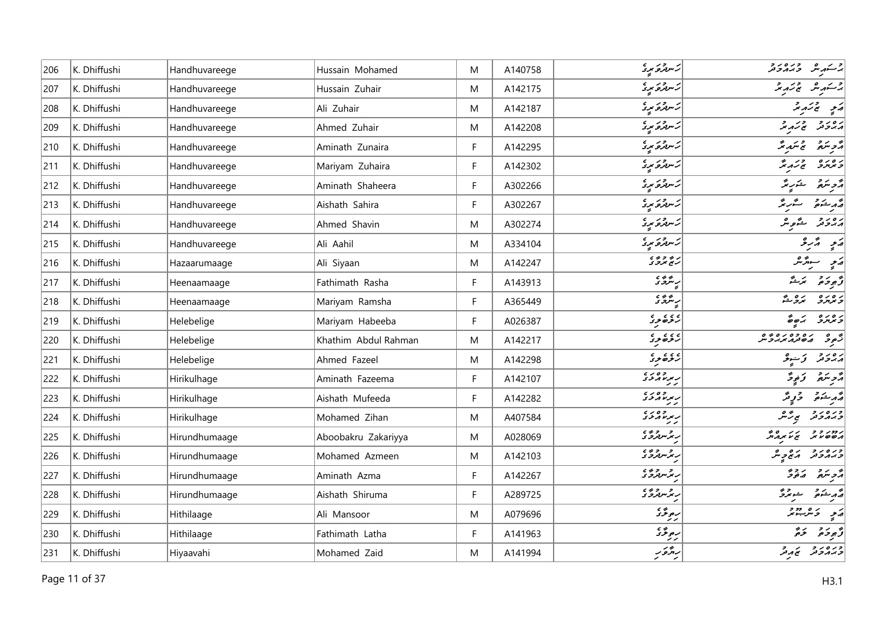| 206 | K. Dhiffushi | Handhuvareege | Hussain Mohamed      | M           | A140758 | ئەسە <i>تى كى</i> رى                         |                                                 |
|-----|--------------|---------------|----------------------|-------------|---------|----------------------------------------------|-------------------------------------------------|
| 207 | K. Dhiffushi | Handhuvareege | Hussain Zuhair       | M           | A142175 | -<br> سرچرې سرچر                             | جەسكىرىكى ئەجرىرىگە                             |
| 208 | K. Dhiffushi | Handhuvareege | Ali Zuhair           | M           | A142187 | -<br> سرچرې سرچ                              | أوسمح متكرمة                                    |
| 209 | K. Dhiffushi | Handhuvareege | Ahmed Zuhair         | M           | A142208 | ئەسە <i>تى كى</i> رى                         | رەرو ور                                         |
| 210 | K. Dhiffushi | Handhuvareege | Aminath Zunaira      | F           | A142295 | ئەسە <i>تى ئە</i> رى                         | أأوسكم ومتمرش                                   |
| 211 | K. Dhiffushi | Handhuvareege | Mariyam Zuhaira      | F           | A142302 | ر سرچر <sub>محر</sub> ي                      | ويوره ورمد                                      |
| 212 | K. Dhiffushi | Handhuvareege | Aminath Shaheera     | F           | A302266 | ئەسە <i>تى كى</i> رى                         | مەر ئىكىما ئىكە ئېرىتى                          |
| 213 | K. Dhiffushi | Handhuvareege | Aishath Sahira       | F           | A302267 | ر سرچرې پېر <sup>ي</sup>                     | ە بەيدە ئەرىتى<br>مەرىسىدە ئىرىتى               |
| 214 | K. Dhiffushi | Handhuvareege | Ahmed Shavin         | M           | A302274 | ر سرچر <sub>سر</sub> م<br>سرچر <i>ی پ</i> ری | بر ه بر و<br>م.بر <del>و</del> مر<br>ستگەھ مىگر |
| 215 | K. Dhiffushi | Handhuvareege | Ali Aahil            | M           | A334104 | ئەس <i>قرىر م</i> ېرىگە                      | ە ئەربى                                         |
| 216 | K. Dhiffushi | Hazaarumaage  | Ali Siyaan           | M           | A142247 | ر ۶ و ۶ ي<br>ر بح بور د                      | ړې سورتند                                       |
| 217 | K. Dhiffushi | Heenaamaage   | Fathimath Rasha      | F           | A143913 | ر پژوي<br>په مرد د                           | توجوحوا المراكبة                                |
| 218 | K. Dhiffushi | Heenaamaage   | Mariyam Ramsha       | F           | A365449 | ر پڙھ ي<br>پيدا                              | ر ه ر ه<br>تر بر بر<br>بروشه                    |
| 219 | K. Dhiffushi | Helebelige    | Mariyam Habeeba      | $\mathsf F$ | A026387 | ه ، ، ، ،<br>روه <sub>فر</sub> د             | ره ره بره څ                                     |
| 220 | K. Dhiffushi | Helebelige    | Khathim Abdul Rahman | M           | A142217 | ی ی ی ی<br>رنو <i>ه و</i> ی                  | ره وه ره د ه<br>پره تربر تر تر<br>رٌه و         |
| 221 | K. Dhiffushi | Helebelige    | Ahmed Fazeel         | M           | A142298 | ئ ئ ئ ج ئ                                    | ەرە ئەزىنى                                      |
| 222 | K. Dhiffushi | Hirikulhage   | Aminath Fazeema      | F           | A142107 | ار بر ده د د ،<br>پر را د بر د د             | أزجر شرد<br>توَ فوِ وَ                          |
| 223 | K. Dhiffushi | Hirikulhage   | Aishath Mufeeda      | F           | A142282 | ر بر ره در پ<br>رسمه در نوی                  | اړم کر ده.<br>افراد کشونو                       |
| 224 | K. Dhiffushi | Hirikulhage   | Mohamed Zihan        | M           | A407584 | لربر وه د ع<br>مربر ملائزی                   | و ره ر و<br>د بر د تر تر                        |
| 225 | K. Dhiffushi | Hirundhumaage | Aboobakru Zakariyya  | M           | A028069 | ار پر سرچينې                                 | LOUTE SIDE                                      |
| 226 | K. Dhiffushi | Hirundhumaage | Mohamed Azmeen       | M           | A142103 | ر پر سرچ دي.<br>م                            | כנים נים נים בית                                |
| 227 | K. Dhiffushi | Hirundhumaage | Aminath Azma         | F           | A142267 | ر بر سرور د<br>ر بر سرفر د                   | أترجم المنوفر                                   |
| 228 | K. Dhiffushi | Hirundhumaage | Aishath Shiruma      | F           | A289725 | ر پر سرپر دی.<br>بر پر سرپر دی               | و د شور شونرو<br>د د سونرو                      |
| 229 | K. Dhiffushi | Hithilaage    | Ali Mansoor          | M           | A079696 | ر و ژَء<br>ر د                               |                                                 |
| 230 | K. Dhiffushi | Hithilaage    | Fathimath Latha      | F           | A141963 | رەپچە<br>رى                                  | وً بوديم ويم                                    |
| 231 | K. Dhiffushi | Hiyaavahi     | Mohamed Zaid         | M           | A141994 | رېژوَر                                       | כנסנכ הנב                                       |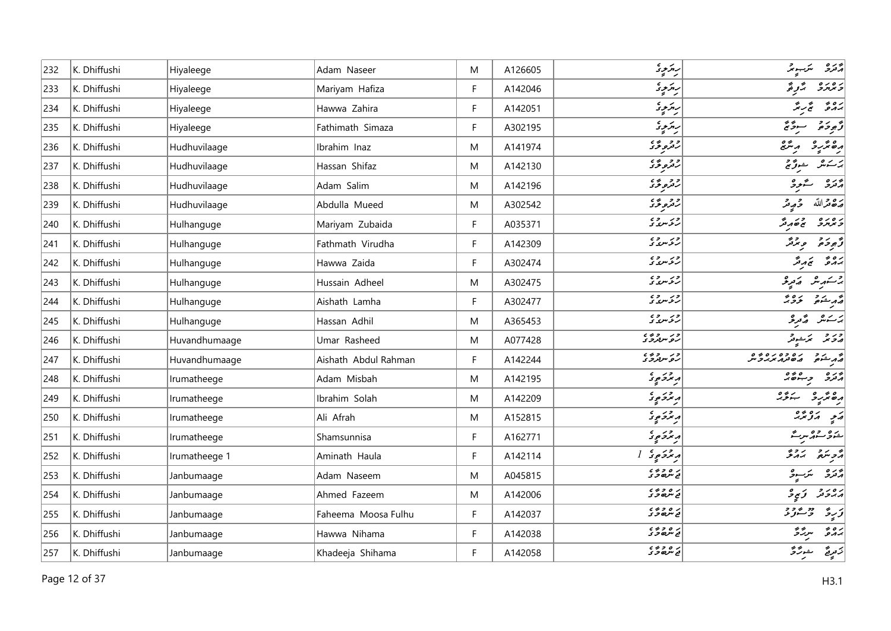| 232 | K. Dhiffushi | Hiyaleege     | Adam Naseer          | M         | A126605 | رېزىي <sup>ى</sup>                             | پر ده<br>پر تر ژ<br>ىئرسېدىر                             |
|-----|--------------|---------------|----------------------|-----------|---------|------------------------------------------------|----------------------------------------------------------|
| 233 | K. Dhiffushi | Hiyaleege     | Mariyam Hafiza       | F         | A142046 | رېزى <sub>ۋى</sub>                             | ر ه ر ه<br><del>و</del> بربرو<br>بَرَّمَوهُ              |
| 234 | K. Dhiffushi | Hiyaleege     | Hawwa Zahira         | F         | A142051 | رېزونه<br>ر                                    | برەپچ<br>ىئەرىتىر                                        |
| 235 | K. Dhiffushi | Hiyaleege     | Fathimath Simaza     | F         | A302195 | رېزونه<br>ر                                    | و مرد<br>ترجوح<br>سەدىج                                  |
| 236 | K. Dhiffushi | Hudhuvilaage  | Ibrahim Inaz         | M         | A141974 | ر و د و و د<br>راند مرکز د                     | ەر ھەئرىر <sup>ە</sup><br>ەرىتى                          |
| 237 | K. Dhiffushi | Hudhuvilaage  | Hassan Shifaz        | M         | A142130 | د د<br>رند <sub>ی څ</sub> ر                    | ئەسەئى <sup>س</sup><br>ے وگر م                           |
| 238 | K. Dhiffushi | Hudhuvilaage  | Adam Salim           | ${\sf M}$ | A142196 | د د د په<br>رتر <sub>و څر</sub>                | په ره<br>درگرو<br>سەٌ ود                                 |
| 239 | K. Dhiffushi | Hudhuvilaage  | Abdulla Mueed        | ${\sf M}$ | A302542 | د د په ،<br>رتره ژد                            | برە قراللە<br>تر مرتر                                    |
| 240 | K. Dhiffushi | Hulhanguge    | Mariyam Zubaida      | F         | A035371 | و ر د د ه<br>رنگ سرند و                        | سم دیگر<br>می خواہد مگر<br>ر ه ر ه<br><del>ر</del> بربرگ |
| 241 | K. Dhiffushi | Hulhanguge    | Fathmath Virudha     | F         | A142309 | و ر د د ه<br>رنگ سرند و                        | ء برتر<br>ۇ بوز ە                                        |
| 242 | K. Dhiffushi | Hulhanguge    | Hawwa Zaida          | F         | A302474 | و پر دی<br>رنگ سر <sub>ک</sub> ی               | رە ئەرتگە                                                |
| 243 | K. Dhiffushi | Hulhanguge    | Hussain Adheel       | ${\sf M}$ | A302475 | و پر سر و »<br>رنگ سرند ی                      | جر ڪمر شهر ان کامونو پر                                  |
| 244 | K. Dhiffushi | Hulhanguge    | Aishath Lamha        | F         | A302477 | ح پر سرچ پر<br>مرکز سر <u>ی</u> ر <sub>ک</sub> | وكرمشتي ووور                                             |
| 245 | K. Dhiffushi | Hulhanguge    | Hassan Adhil         | M         | A365453 | و پر سر و <sup>ي</sup>                         | ىرىكىش ھەمرى                                             |
| 246 | K. Dhiffushi | Huvandhumaage | Umar Rasheed         | M         | A077428 | و ر په و ده و<br>رنو سربرو و                   | ەر ئەسىر                                                 |
| 247 | K. Dhiffushi | Huvandhumaage | Aishath Abdul Rahman | F         | A142244 | و ر په و ده و<br>رنو سربرو و                   | ر ه وه ر ه د ه<br>پره تربر تر بر<br>ر<br>در ۲ سنومی      |
| 248 | K. Dhiffushi | Irumatheege   | Adam Misbah          | ${\sf M}$ | A142195 | وبردحو                                         | وسقص<br>پھر ہ<br>مرکز                                    |
| 249 | K. Dhiffushi | Irumatheege   | Ibrahim Solah        | M         | A142209 | ېر بر دې<br>بر بر دې                           | ە ھەترىر <sup>ە</sup><br>ىبە ئۇر                         |
| 250 | K. Dhiffushi | Irumatheege   | Ali Afrah            | M         | A152815 | وبردوء                                         | أيمو أيده والمحمد                                        |
| 251 | K. Dhiffushi | Irumatheege   | Shamsunnisa          | F         | A162771 | <br>  پر ټرنې پو ځ                             | شەۋىسە ئەسرىسە                                           |
| 252 | K. Dhiffushi | Irumatheege 1 | Aminath Haula        | F         | A142114 | وبرځ موځه                                      | بردعى<br>أرمز                                            |
| 253 | K. Dhiffushi | Janbumaage    | Adam Naseem          | ${\sf M}$ | A045815 | ر ه د و »<br>نح سره تر د                       | په ره<br>د ترو<br>ىئرسىرى                                |
| 254 | K. Dhiffushi | Janbumaage    | Ahmed Fazeem         | ${\sf M}$ | A142006 | ر ه د و و<br>تع سر <del>ه</del> و د            | بر 2 بر 12<br>مربر <del>5</del> مر<br>ترىپى ۋ            |
| 255 | K. Dhiffushi | Janbumaage    | Faheema Moosa Fulhu  | F         | A142037 | ر ه د و و<br>نح سرچ تر د                       | دو په وو<br>تر ر <sup>ی</sup> تر<br>و                    |
| 256 | K. Dhiffushi | Janbumaage    | Hawwa Nihama         | F         | A142038 | ر ه د و و<br>نح سرچ تر د                       | برەپچ<br>سرچمځ                                           |
| 257 | K. Dhiffushi | Janbumaage    | Khadeeja Shihama     | F         | A142058 | ر ه د و و ،<br>د سره تر د                      | رَسِيعٌ سُمِرَّةٌ                                        |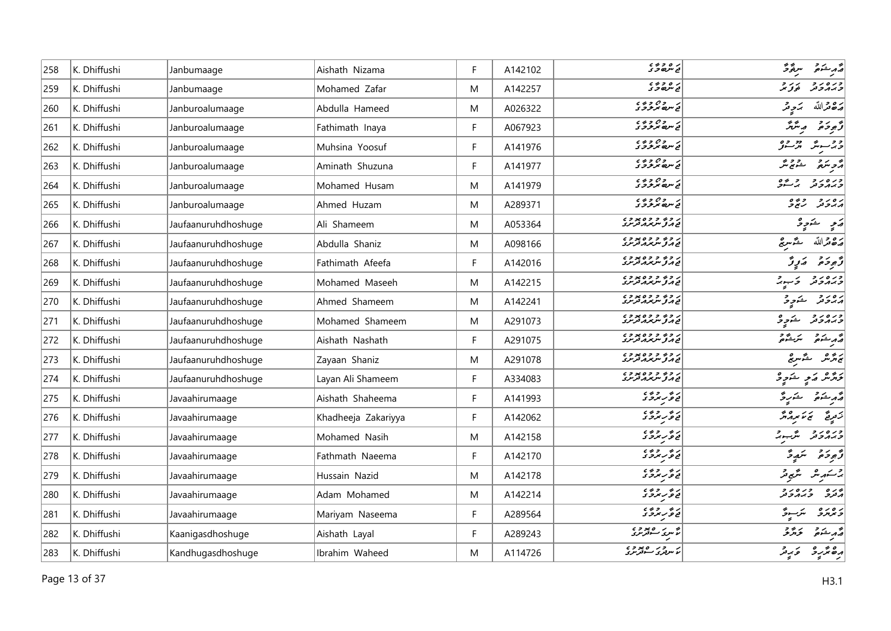| 258 | K. Dhiffushi | Janbumaage          | Aishath Nizama      | F. | A142102 | ر ه د د »<br>د سره تر د                            | سرة ژ<br>ا پر مرکز شده<br>ا                |
|-----|--------------|---------------------|---------------------|----|---------|----------------------------------------------------|--------------------------------------------|
| 259 | K. Dhiffushi | Janbumaage          | Mohamed Zafar       | M  | A142257 | ر ه د و و ،<br>تع سرچ تر ی                         | و ره ر و<br><i>و بر د</i> 5 تر<br>ۇ ئەر جە |
| 260 | K. Dhiffushi | Janburoalumaage     | Abdulla Hameed      | M  | A026322 | ر روح و د ،<br>نے سرد تر تر ی                      | رەمەللە<br>برَحٍة قر                       |
| 261 | K. Dhiffushi | Janburoalumaage     | Fathimath Inaya     | F. | A067923 | ر ده ده د<br>د سره برود د                          | ەرشىز<br>ۇ بۇ جۇ ئ                         |
| 262 | K. Dhiffushi | Janburoalumaage     | Muhsina Yoosuf      | F  | A141976 | ر روح و د ء<br>تع سره مرمور د                      | دد وه<br>در سو<br>3 يەسەمىگە               |
| 263 | K. Dhiffushi | Janburoalumaage     | Aminath Shuzuna     | F  | A141977 | ر روح و ده و<br>تع سرحه مرمومو د                   | ړ څر سره<br>شەتچە ئىگر                     |
| 264 | K. Dhiffushi | Janburoalumaage     | Mohamed Husam       | M  | A141979 | ر ده ده د<br>د سره برو د د                         | و ر ه ر د<br>تر پر ژ تر<br>برْسْتَرْو      |
| 265 | K. Dhiffushi | Janburoalumaage     | Ahmed Huzam         | M  | A289371 | ر روم و د ء<br>تع سرح پر برگ                       | ەرەر<br>ر ج و                              |
| 266 | K. Dhiffushi | Jaufaanuruhdhoshuge | Ali Shameem         | M  | A053364 | ر و ده و و ه پر و ،<br>بے هرفی سرپورتوسری          | ړَ په شَوَدُ                               |
| 267 | K. Dhiffushi | Jaufaanuruhdhoshuge | Abdulla Shaniz      | M  | A098166 | ر و ده و و ه پر و ،<br>بی بر تو سربور توسری        | برە تراللە<br>ڪُ سرچ                       |
| 268 | K. Dhiffushi | Jaufaanuruhdhoshuge | Fathimath Afeefa    | F  | A142016 |                                                    | وٌمِ وَوَ وَ اللَّهِ وَ                    |
| 269 | K. Dhiffushi | Jaufaanuruhdhoshuge | Mohamed Maseeh      | M  | A142215 | ر و بر و و ه پر و ء<br>بح پر تو سربور توسری        | و ر ه ر د<br>تر بر تر تر<br>ىز سەرتر       |
| 270 | K. Dhiffushi | Jaufaanuruhdhoshuge | Ahmed Shameem       | M  | A142241 | پر و بر و و ه پر و ء<br>  بے پر تو سر پورتو توسری  | رەر دۇر                                    |
| 271 | K. Dhiffushi | Jaufaanuruhdhoshuge | Mohamed Shameem     | M  | A291073 | ر و بر و و ه بر و ،<br>بے در تی سربور توسری        | ورەرو شەرۋ                                 |
| 272 | K. Dhiffushi | Jaufaanuruhdhoshuge | Aishath Nashath     | F  | A291075 | ر و ده و و ه پر و ،<br><u>د</u> مرتو سربور توسر    | أقرم شوة المريح و                          |
| 273 | K. Dhiffushi | Jaufaanuruhdhoshuge | Zayaan Shaniz       | M  | A291078 | ر و ده و و ه پر و ،<br>بے پر تو سربوری توسری       | ىر ئۇس سەھىرى بول                          |
| 274 | K. Dhiffushi | Jaufaanuruhdhoshuge | Layan Ali Shameem   | F  | A334083 | ر و د و و ه پر و ،<br>بے پر تو سربور توسر          | ترتر تريا الشريرة                          |
| 275 | K. Dhiffushi | Javaahirumaage      | Aishath Shaheema    | F  | A141993 | پر څر پر چري                                       | پ <sup>و</sup> پر شکھی<br>ر شەرىچ          |
| 276 | K. Dhiffushi | Javaahirumaage      | Khadheeja Zakariyya | F  | A142062 | ر و برو و ،<br>نح قر برو د                         | تكريج أتماسم وأواثر                        |
| 277 | K. Dhiffushi | Javaahirumaage      | Mohamed Nasih       | M  | A142158 | پر څر بر څر ی                                      | و ر ه ر و<br>و پر ډر تر<br>ىئرىبىدىر       |
| 278 | K. Dhiffushi | Javaahirumaage      | Fathmath Naeema     | F  | A142170 | ریم رحمہ ی<br>  ہے جگہ مرکز ی                      | ۋە ئەڭ ئىمدۇ                               |
| 279 | K. Dhiffushi | Javaahirumaage      | Hussain Nazid       | M  | A142178 | پر ځېږي د ده دي<br>  پنج ځو کړيد ک                 | سٌري تر<br>جر <u>س</u> ے مدر سر            |
| 280 | K. Dhiffushi | Javaahirumaage      | Adam Mohamed        | M  | A142214 | ر پر وی ،<br>بے <i>و ر</i> برو <sub>ک</sub>        | و رە ر د<br>تر پروتر<br>پەرە<br>مەنىرى     |
| 281 | K. Dhiffushi | Javaahirumaage      | Mariyam Naseema     | F  | A289564 | ر پر پر پر پر<br>نے ترکر پر پر پ                   | ر ه ر ه<br><del>ر</del> بربرگ<br>سرسىر     |
| 282 | K. Dhiffushi | Kaanigasdhoshuge    | Aishath Layal       | F  | A289243 | رم سری سوچوری<br>مگ <b>سری س</b> تو <i>تر پو</i> ی | ر<br>دگرار شکوهی<br>ئەدىر                  |
| 283 | K. Dhiffushi | Kandhugasdhoshuge   | Ibrahim Waheed      | M  | A114726 | ر در در ۲۵ وی<br>را سرفری سنگورمری                 | رە ئرىر ئىرىر                              |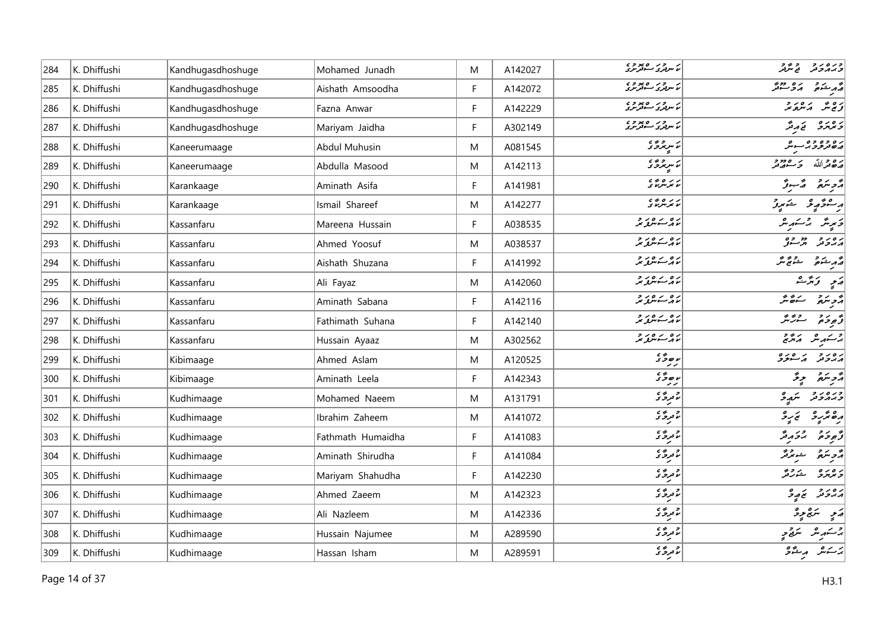| 284 | K. Dhiffushi | Kandhugasdhoshuge | Mohamed Junadh    | M           | A142027 | پر دوبر ۱۵ پوو د<br>  پا سرفری سوفرمزی                     | وره رو و ورو<br><i>وبرورون</i> و ف <i>ي سر</i> گر         |
|-----|--------------|-------------------|-------------------|-------------|---------|------------------------------------------------------------|-----------------------------------------------------------|
| 285 | K. Dhiffushi | Kandhugasdhoshuge | Aishath Amsoodha  | F           | A142072 | ر سر <i>ور</i> شود د ،<br>ما سرفری سنگورمری                | ه در ده دوم<br>مگر شوم در در                              |
| 286 | K. Dhiffushi | Kandhugasdhoshuge | Fazna Anwar       | F           | A142229 | ر سرور گروه و د<br>ما سرفری سنگورمری                       | زەش ئەشھىر                                                |
| 287 | K. Dhiffushi | Kandhugasdhoshuge | Mariyam Jaidha    | F           | A302149 | ر سر <i>ور</i> شود د د .<br>ما سر <del>ب</del> ری شونترنری | رەرە يەر                                                  |
| 288 | K. Dhiffushi | Kaneerumaage      | Abdul Muhusin     | M           | A081545 | پاسپردی<br> -                                              | ره وه وه<br>په <i>ه تر تر چر</i> سوس                      |
| 289 | K. Dhiffushi | Kaneerumaage      | Abdulla Masood    | M           | A142113 | ر سرچوي<br>موهر دي                                         | رە داللە ئەمەد                                            |
| 290 | K. Dhiffushi | Karankaage        | Aminath Asifa     | F           | A141981 | ر ر ه و ،<br>ما <del>ب</del> رمبر <i>دا</i> د              | أزويته أرمبوز                                             |
| 291 | K. Dhiffushi | Karankaage        | Ismail Shareef    | M           | A142277 | ر ره ۶۵<br>ما بر مرما د                                    | رەشۇرچە ھەرۇ                                              |
| 292 | K. Dhiffushi | Kassanfaru        | Mareena Hussain   | F           | A038535 | پره په عربر د                                              | كە ئېرىگە ئەسكىرىكر                                       |
| 293 | K. Dhiffushi | Kassanfaru        | Ahmed Yoosuf      | M           | A038537 | رە بەھ بەر<br>مەمگەنگرىم                                   | נ סיני - מי קים<br>הגב הת-ית                              |
| 294 | K. Dhiffushi | Kassanfaru        | Aishath Shuzana   | F           | A141992 | رە بەھ بەر<br>مەمگەنگرىم                                   | شەمج ئىگر<br>ا پر مرکب تر در میتواند.<br>اور مرکب میتواند |
| 295 | K. Dhiffushi | Kassanfaru        | Ali Fayaz         | M           | A142060 | رە بەھ بر د                                                | ەيە دېرى                                                  |
| 296 | K. Dhiffushi | Kassanfaru        | Aminath Sabana    | F           | A142116 | رە بەھ بەر<br>مەمگەنگرىم                                   | ړُ پر پر ځانگر                                            |
| 297 | K. Dhiffushi | Kassanfaru        | Fathimath Suhana  | $\mathsf F$ | A142140 | ره په عرو                                                  | ۇ بۇر ئەرەپىر                                             |
| 298 | K. Dhiffushi | Kassanfaru        | Hussain Ayaaz     | M           | A302562 | رە ئەسەئىد <i>ى</i> ر                                      | جر شهر شهر مرکز م                                         |
| 299 | K. Dhiffushi | Kibimaage         | Ahmed Aslam       | M           | A120525 | ده د د<br>پان د د<br>--                                    | ړه رو پر ۱۵۷۵                                             |
| 300 | K. Dhiffushi | Kibimaage         | Aminath Leela     | F           | A142343 | ده و د<br>رخ                                               | أزوينهم ويؤ                                               |
| 301 | K. Dhiffushi | Kudhimaage        | Mohamed Naeem     | M           | A131791 | ا توریخ می<br>ما توریخ می                                  | ورەرو شھرى                                                |
| 302 | K. Dhiffushi | Kudhimaage        | Ibrahim Zaheem    | M           | A141072 | و مرگزی<br>ما مرگزی                                        | أرە ئۆر ئىس ئى                                            |
| 303 | K. Dhiffushi | Kudhimaage        | Fathmath Humaidha | F           | A141083 | توریح ی                                                    | وتجوحتي برحاري                                            |
| 304 | K. Dhiffushi | Kudhimaage        | Aminath Shirudha  | F           | A141084 | توریح د<br>  ما مورگ <sup>ی</sup> د                        | ړې سره شو سره کړ                                          |
| 305 | K. Dhiffushi | Kudhimaage        | Mariyam Shahudha  | F           | A142230 | و مرگزی<br>ما مرگزی                                        | رەرە شەدىر<br>ۋىمەدو شەرىر                                |
| 306 | K. Dhiffushi | Kudhimaage        | Ahmed Zaeem       | M           | A142323 | ر ورځ د<br>م                                               | پروتر ہے ہو                                               |
| 307 | K. Dhiffushi | Kudhimaage        | Ali Nazleem       | M           | A142336 | ر و پرځ<br>ما مرچ                                          | أرجح المتكافح والحراثة                                    |
| 308 | K. Dhiffushi | Kudhimaage        | Hussain Najumee   | M           | A289590 | د پورځ ی<br>  ما مورځ ی                                    |                                                           |
| 309 | K. Dhiffushi | Kudhimaage        | Hassan Isham      | M           | A289591 | د مرچ ی<br>  ما مرچ ی                                      | يركسكر الراشوق                                            |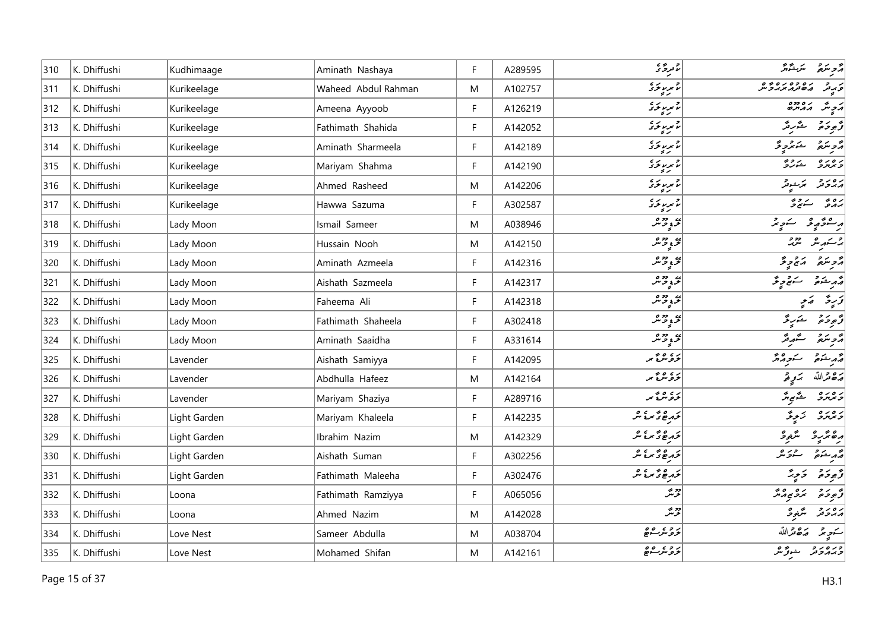| 310 | K. Dhiffushi | Kudhimaage   | Aminath Nashaya     | F         | A289595 | و د د د<br>ما مرد د            | سكرڪوگر<br>أثر حريثهمج                        |
|-----|--------------|--------------|---------------------|-----------|---------|--------------------------------|-----------------------------------------------|
| 311 | K. Dhiffushi | Kurikeelage  | Waheed Abdul Rahman | M         | A102757 | ئەبرىيە ئەي<br>                | ره وه ره ده م<br>پره تربر تر تر تر<br>حەر قر  |
| 312 | K. Dhiffushi | Kurikeelage  | Ameena Ayyoob       | F         | A126219 | تړیر پر دی<br>  سربر پوځو      | مۇچىتر<br>ג ם בבם<br>ג הג <del>ת</del>        |
| 313 | K. Dhiffushi | Kurikeelage  | Fathimath Shahida   | F         | A142052 | ة برر بر د ؟<br> ----          | و مرد<br>ترجو حرم<br>ىشتىرىتىر                |
| 314 | K. Dhiffushi | Kurikeelage  | Aminath Sharmeela   | F         | A142189 | تړبر پرې<br>  سربر برې         | أرمز<br>ىش <i>ە تۈ</i> چە ئ                   |
| 315 | K. Dhiffushi | Kurikeelage  | Mariyam Shahma      | F         | A142190 | د برروي<br>سربر مړي            | ر ه ر ه<br><del>و</del> بربرو<br>ے ترقر       |
| 316 | K. Dhiffushi | Kurikeelage  | Ahmed Rasheed       | ${\sf M}$ | A142206 | د برړيږي<br>سرچ                | برەر ئەرئىدىر                                 |
| 317 | K. Dhiffushi | Kurikeelage  | Hawwa Sazuma        | F         | A302587 | ر<br>با مربو مرد<br>مسرو       | رەپە سەدى                                     |
| 318 | K. Dhiffushi | Lady Moon    | Ismail Sameer       | ${\sf M}$ | A038946 | ،، وو ه<br>محرو حر             | رەشۇرچە سەرچە                                 |
| 319 | K. Dhiffushi | Lady Moon    | Hussain Nooh        | M         | A142150 | الخوجية                        | د که شهر مین میندانید.<br>مرگزار مین          |
| 320 | K. Dhiffushi | Lady Moon    | Aminath Azmeela     | F         | A142316 | ،، دو مر<br>محرو شر            | وحريتهم والمحاج فر                            |
| 321 | K. Dhiffushi | Lady Moon    | Aishath Sazmeela    | F         | A142317 | انو وده.<br>افروچین            |                                               |
| 322 | K. Dhiffushi | Lady Moon    | Faheema Ali         | F         | A142318 | الخوج وحمر                     |                                               |
| 323 | K. Dhiffushi | Lady Moon    | Fathimath Shaheela  | F         | A302418 | ي ود ه<br>محرو حس              | ومجموحهم<br>ے کر تخ                           |
| 324 | K. Dhiffushi | Lady Moon    | Aminath Saaidha     | F         | A331614 | په دومر<br>  مربح مر           | ړ پر په شورتگر                                |
| 325 | K. Dhiffushi | Lavender     | Aishath Samiyya     | F         | A142095 | ىر ، ە ، ئىر                   | ۇرمۇق سەرەر                                   |
| 326 | K. Dhiffushi | Lavender     | Abdhulla Hafeez     | ${\sf M}$ | A142164 | ر ، ە »<br>خرە بىرىگا ئىر      | برە داللە بروپۇ                               |
| 327 | K. Dhiffushi | Lavender     | Mariyam Shaziya     | F         | A289716 | ىر ، ە ە بىر<br>خرە ئىرىگا ئىر | ر ه ر ه<br><del>و</del> بوبرو<br>مشكم تحر ترك |
| 328 | K. Dhiffushi | Light Garden | Mariyam Khaleela    | F         | A142235 | أقهر هومج محدثة مثر            | ر ه ر ه<br><del>د</del> بربرگ<br>زَوِرَّ      |
| 329 | K. Dhiffushi | Light Garden | Ibrahim Nazim       | M         | A142329 | خەرج ئەسرى ھ                   | سَّمْجِرْ<br>ە ھەترىر <sup>ە</sup>            |
| 330 | K. Dhiffushi | Light Garden | Aishath Suman       | F         | A302256 | ائەرەقچىدى<br>_                | و مر شو د<br>مر<br>ستۇنىر                     |
| 331 | K. Dhiffushi | Light Garden | Fathimath Maleeha   | F         | A302476 | أخرم ويحمدنا                   | وموجع وتحيية                                  |
| 332 | K. Dhiffushi | Loona        | Fathimath Ramziyya  | F         | A065056 | چونئر                          | ىرۋ يې پر تر<br>و مر د<br>افزاد مر            |
| 333 | K. Dhiffushi | Loona        | Ahmed Nazim         | ${\sf M}$ | A142028 | تزيتر                          | بره بر و<br>مرکز فر<br>سگفجر ثر               |
| 334 | K. Dhiffushi | Love Nest    | Sameer Abdulla      | M         | A038704 | ىر دې پەرە                     | ەھەتراللە<br>سەرىتى                           |
| 335 | K. Dhiffushi | Love Nest    | Mohamed Shifan      | ${\sf M}$ | A142161 | ىر دې پەرە ھ                   | وره رو ده وه<br><i>د ب</i> رونر شوگر          |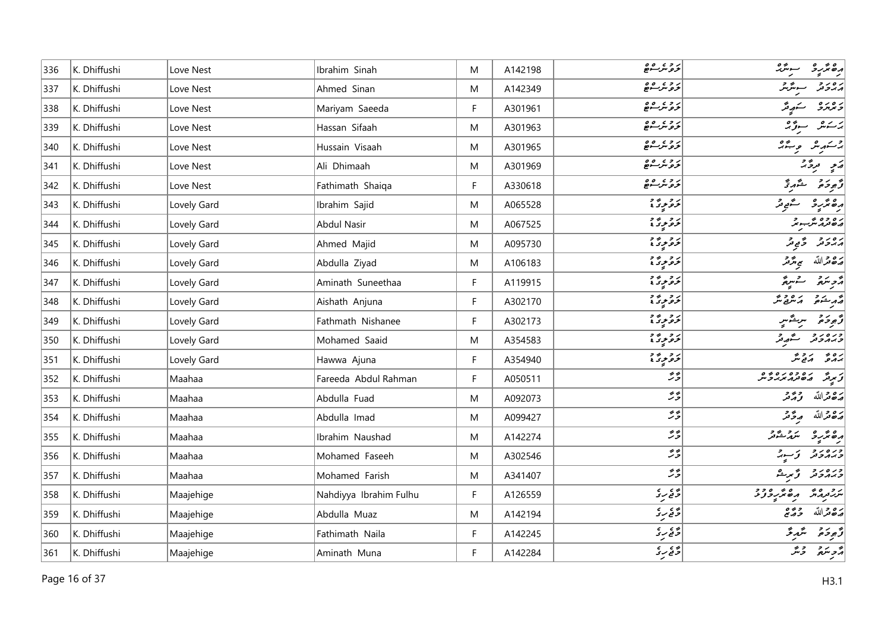| 336 | K. Dhiffushi | Love Nest   | Ibrahim Sinah          | M         | A142198 | ىر دې دە ھ                                                 | سەتلەر<br>سەتلەر<br>ەرھەترىر <sup>ى</sup> |
|-----|--------------|-------------|------------------------|-----------|---------|------------------------------------------------------------|-------------------------------------------|
| 337 | K. Dhiffushi | Love Nest   | Ahmed Sinan            | M         | A142349 | ىر دې دە ھ                                                 | پروژبر<br>سەمدَّرىتر                      |
| 338 | K. Dhiffushi | Love Nest   | Mariyam Saeeda         | F         | A301961 | ىر 3 يەر 2 ھ                                               | ر ه بر ه<br><del>د</del> بربرد<br>سەمەقر  |
| 339 | K. Dhiffushi | Love Nest   | Hassan Sifaah          | M         | A301963 | ىر دې پەرە ھ                                               | سەۋ بر<br>برسەشر                          |
| 340 | K. Dhiffushi | Love Nest   | Hussain Visaah         | M         | A301965 | ىز دې پەرە ھ                                               | ج ڪمريڪر او په چ                          |
| 341 | K. Dhiffushi | Love Nest   | Ali Dhimaah            | M         | A301969 | ىر 3 يىر 2 ي                                               | ړې د دي.                                  |
| 342 | K. Dhiffushi | Love Nest   | Fathimath Shaiqa       | F         | A330618 | ىر دې دە ھ                                                 | و مرد<br>ترموح م<br>مشمرتخ                |
| 343 | K. Dhiffushi | Lovely Gard | Ibrahim Sajid          | ${\sf M}$ | A065528 | ر د په د<br>نوه نړۍ ن                                      | ە ھەترىرى<br>رەھىرىرى<br>سنگھ قر          |
| 344 | K. Dhiffushi | Lovely Gard | <b>Abdul Nasir</b>     | M         | A067525 | ئۇغۇچە ئە                                                  | ره وه پر<br>پره تر پر سرج تر              |
| 345 | K. Dhiffushi | Lovely Gard | Ahmed Majid            | M         | A095730 | ر د په د<br>نوه نړۍ ن                                      | پروژ<br>رٌ مع قر                          |
| 346 | K. Dhiffushi | Lovely Gard | Abdulla Ziyad          | M         | A106183 | د د په د<br>  د ه د د د                                    | رەتراللە ب <sub>ى</sub> رتر               |
| 347 | K. Dhiffushi | Lovely Gard | Aminath Suneethaa      | F         | A119915 | د د په د<br>  د ه د د د                                    | ستسبقي<br>أرمز                            |
| 348 | K. Dhiffushi | Lovely Gard | Aishath Anjuna         | F         | A302170 | ئۇ ئۇ ئۇ ئۇ ق                                              | و<br>مگر شوی گر سرچ س                     |
| 349 | K. Dhiffushi | Lovely Gard | Fathmath Nishanee      | F         | A302173 | ر د پر د<br>نرونږ ،                                        | رتمودة سيشبر                              |
| 350 | K. Dhiffushi | Lovely Gard | Mohamed Saaid          | M         | A354583 | ر د پر د<br>نور پور د                                      | ورەر د شەر                                |
| 351 | K. Dhiffushi | Lovely Gard | Hawwa Ajuna            | F         | A354940 | ر د په د<br>نور نور د                                      | برەپە بەق ش                               |
| 352 | K. Dhiffushi | Maahaa      | Fareeda Abdul Rahman   | F         | A050511 | $\overset{\circ}{\mathcal{I}}\overset{\circ}{\mathcal{I}}$ | كريد ده ده ده ده م                        |
| 353 | K. Dhiffushi | Maahaa      | Abdulla Fuad           | M         | A092073 | $\overset{\circ}{\mathcal{I}}\overset{\circ}{\mathcal{I}}$ | رەتراللە ۋەتر                             |
| 354 | K. Dhiffushi | Maahaa      | Abdulla Imad           | M         | A099427 | $\overset{\circ}{\mathcal{I}}\overset{\circ}{\mathcal{I}}$ | ەھىراللە<br>پر پی تو<br>پر بی تور         |
| 355 | K. Dhiffushi | Maahaa      | Ibrahim Naushad        | M         | A142274 | $\overset{\circ}{\mathcal{I}}\overset{\circ}{\mathcal{I}}$ | سرد شو د<br>ەرھ ئ <sup>ۆ</sup> ر ۋ        |
| 356 | K. Dhiffushi | Maahaa      | Mohamed Faseeh         | M         | A302546 | $\overset{\circ}{\mathcal{I}}\overset{\circ}{\mathcal{I}}$ | ويهودنه وسير                              |
| 357 | K. Dhiffushi | Maahaa      | Mohamed Farish         | M         | A341407 | $\mathcal{I}^*_{\mathcal{I}}$                              | ورەرو ۇىرىش                               |
| 358 | K. Dhiffushi | Maajehige   | Nahdiyya Ibrahim Fulhu | F         | A126559 | ې ئې په دي.<br>مخينې مر                                    | يرجعه مدارج والمحمد والمحمد               |
| 359 | K. Dhiffushi | Maajehige   | Abdulla Muaz           | M         | A142194 | ه و د د کا<br>مرگ مرگ                                      | ەھىراللە<br>و ده م<br>د هر م              |
| 360 | K. Dhiffushi | Maajehige   | Fathimath Naila        | F         | A142245 | ل دي.<br>  قري سر د                                        | ا تۇ جۇ جۇ ج<br>ىئىر ئى                   |
| 361 | K. Dhiffushi | Maajehige   | Aminath Muna           | F         | A142284 | ی ی می<br>ترقع مر <sup>ی</sup>                             | ړ وسره د شر                               |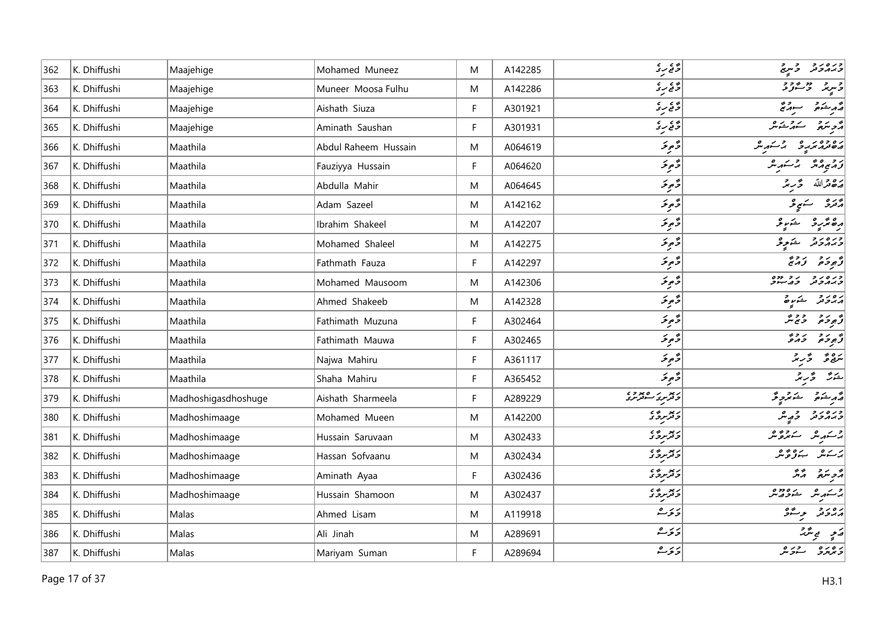| 362 | K. Dhiffushi | Maajehige           | Mohamed Muneez       | M           | A142285 | ه و ه<br>د قع مرد                                         | ورورور وسرح                                          |
|-----|--------------|---------------------|----------------------|-------------|---------|-----------------------------------------------------------|------------------------------------------------------|
| 363 | K. Dhiffushi | Maajehige           | Muneer Moosa Fulhu   | M           | A142286 | ی ء<br>ترقع سر تر                                         | وسرپر وسور                                           |
| 364 | K. Dhiffushi | Maajehige           | Aishath Siuza        | F           | A301921 | ه ده دره<br>ترقع مرد                                      | وكرمشكو سورمج                                        |
| 365 | K. Dhiffushi | Maajehige           | Aminath Saushan      | F           | A301931 | ه په ري<br>د کنج مرد                                      | سەر ئەيەنىگە<br>پ <sup>ر</sup> جە ئىبر               |
| 366 | K. Dhiffushi | Maathila            | Abdul Raheem Hussain | M           | A064619 | و څمو ځه<br>ر                                             | קסיקה <i>בקב</i> יה הרוברית יית                      |
| 367 | K. Dhiffushi | Maathila            | Fauziyya Hussain     | $\mathsf F$ | A064620 | قرموخر                                                    | زرمي مهر بر شهر شر                                   |
| 368 | K. Dhiffushi | Maathila            | Abdulla Mahir        | M           | A064645 | ۇ <sub>م</sub> وخە                                        | ەھىراللە<br>تر ريز                                   |
| 369 | K. Dhiffushi | Maathila            | Adam Sazeel          | M           | A142162 | ۇ <sub>م</sub> وخە                                        | سەپچ<br>پر رہ<br>دگرو                                |
| 370 | K. Dhiffushi | Maathila            | Ibrahim Shakeel      | M           | A142207 | ۇ <sub>م</sub> وخە                                        | ەر ھەترىر <i>ۋ</i><br>ے کمبر بحر<br>مق               |
| 371 | K. Dhiffushi | Maathila            | Mohamed Shaleel      | M           | A142275 | قرموخر                                                    | و ره ر و<br><i>و پر</i> پر تر<br>شكوي                |
| 372 | K. Dhiffushi | Maathila            | Fathmath Fauza       | F           | A142297 | ۇ <sub>م</sub> وخە                                        | وٌ و د و د و و                                       |
| 373 | K. Dhiffushi | Maathila            | Mohamed Mausoom      | M           | A142306 | ۇ <sub>م</sub> وخە                                        | ىر دە دە<br>و ر ه ر د<br>تر پر ژ تر                  |
| 374 | K. Dhiffushi | Maathila            | Ahmed Shakeeb        | M           | A142328 | و څمو ځه<br>ر                                             | رەرد شەرە                                            |
| 375 | K. Dhiffushi | Maathila            | Fathimath Muzuna     | $\mathsf F$ | A302464 | ۇ <sub>م</sub> وخە                                        | توموخو ووغر                                          |
| 376 | K. Dhiffushi | Maathila            | Fathimath Mauwa      | F           | A302465 | ۇ <sub>م</sub> وخە                                        | ر و د<br>ترمر<br>و مرد د                             |
| 377 | K. Dhiffushi | Maathila            | Najwa Mahiru         | $\mathsf F$ | A361117 | رصم                                                       | سره و پخ<br>ۇرىز                                     |
| 378 | K. Dhiffushi | Maathila            | Shaha Mahiru         | F           | A365452 | ځېږمخه                                                    | $\frac{2}{3}$ $\frac{2}{3}$                          |
| 379 | K. Dhiffushi | Madhoshigasdhoshuge | Aishath Sharmeela    | F           | A289229 | ر پو ر ر ص پو و ر<br>  تر تعریب سوتعریبی                  | ۇرىشى شىرىپ                                          |
| 380 | K. Dhiffushi | Madhoshimaage       | Mohamed Mueen        | M           | A142200 | ئەقترىردىگە ئە                                            | ورەرو وړیږ                                           |
| 381 | K. Dhiffushi | Madhoshimaage       | Hussain Saruvaan     | M           | A302433 | ئەقترىرىچ ئى                                              | د سکه شور در در در محمد به سر<br>بر سکهر شور سکرو می |
| 382 | K. Dhiffushi | Madhoshimaage       | Hassan Sofvaanu      | M           | A302434 | ر پو <sub>رځ</sub> په<br>د ترمرد د                        | برىك بۇۋىر                                           |
| 383 | K. Dhiffushi | Madhoshimaage       | Aminath Ayaa         | $\mathsf F$ | A302436 | ر پو <sub>رځ</sub> ي<br>و ترمړنو <sub>ک</sub>             | הכיתם היה                                            |
| 384 | K. Dhiffushi | Madhoshimaage       | Hussain Shamoon      | M           | A302437 | ر پو <sub>رځ</sub> ي<br>و تر <sub>مر</sub> و <sub>ک</sub> | جر شهر شرور وروما                                    |
| 385 | K. Dhiffushi | Malas               | Ahmed Lisam          | M           | A119918 | ئە ئەر <u>م</u>                                           | رەرو پەر                                             |
| 386 | K. Dhiffushi | Malas               | Ali Jinah            | M           | A289691 | ىز ئە                                                     | أرشح مح يترثر                                        |
| 387 | K. Dhiffushi | Malas               | Mariyam Suman        | F           | A289694 | ىز ئە                                                     | ويوجره<br>سەنى بىر                                   |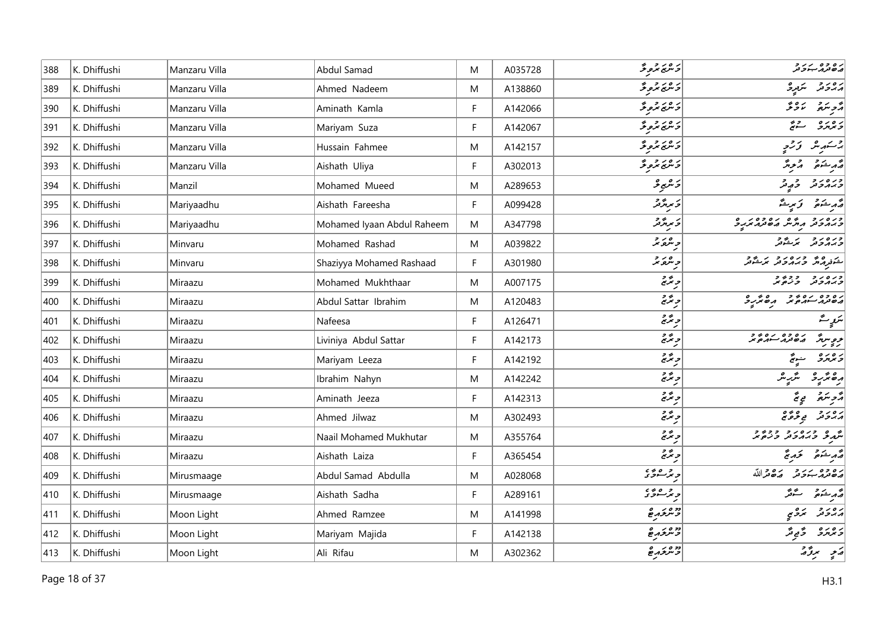| 388 | K. Dhiffushi | Manzaru Villa | Abdul Samad                | M  | A035728 | ىر ھەير <i>ھەي</i> گە                       | ر ٥ ۶ و ۵ ر ر و<br>پره ترور سوتر تر                        |
|-----|--------------|---------------|----------------------------|----|---------|---------------------------------------------|------------------------------------------------------------|
| 389 | K. Dhiffushi | Manzaru Villa | Ahmed Nadeem               | M  | A138860 | ئە ھەير بەرگە                               | پروتر سرمرو                                                |
| 390 | K. Dhiffushi | Manzaru Villa | Aminath Kamla              | F. | A142066 | ىر مەير ج <sub>ى</sub> رىدۇ.<br>مەسىم ئىرمو | أأزويتهم بادون                                             |
| 391 | K. Dhiffushi | Manzaru Villa | Mariyam Suza               | F  | A142067 | ىر ەير ب <sub>ە</sub> ر ئە                  | و وره<br>ستهج                                              |
| 392 | K. Dhiffushi | Manzaru Villa | Hussain Fahmee             | Μ  | A142157 | ىر ھ <sub>ى</sub> ر بر بەرگە                | يزحكم وترجي                                                |
| 393 | K. Dhiffushi | Manzaru Villa | Aishath Uliya              | F  | A302013 | ۇ ئىرى ترەپە ئە                             | أقرم شكوح المرحور                                          |
| 394 | K. Dhiffushi | Manzil        | Mohamed Mueed              | M  | A289653 | ۇ ئىرىمۇ                                    | כנים ניבי ב                                                |
| 395 | K. Dhiffushi | Mariyaadhu    | Aishath Fareesha           | F  | A099428 | ئە بىر پر گرى<br>م                          | أقهر خنوش وكالمرحثة                                        |
| 396 | K. Dhiffushi | Mariyaadhu    | Mohamed Iyaan Abdul Raheem | M  | A347798 | ئە بىرە ئەر                                 | כנסגב גמית הסבחתה.<br>כמהכת המית הסבחתה                    |
| 397 | K. Dhiffushi | Minvaru       | Mohamed Rashad             | M  | A039822 | احبشقه                                      | ورەر و پرشگر                                               |
| 398 | K. Dhiffushi | Minvaru       | Shaziyya Mohamed Rashaad   | F  | A301980 | احر مقدمة                                   | ك فرمان وره د د د د و د کار د د                            |
| 399 | K. Dhiffushi | Miraazu       | Mohamed Mukhthaar          | M  | A007175 | حربمرج                                      | כנסנכ ככבב<br>כגמכת כנסיג                                  |
| 400 | K. Dhiffushi | Miraazu       | Abdul Sattar Ibrahim       | M  | A120483 | حريثرة                                      | גם כם גם גם גם גם                                          |
| 401 | K. Dhiffushi | Miraazu       | Nafeesa                    | F  | A126471 | ىر ئەر<br>مەنىرىنى                          | ىئىر ئە                                                    |
| 402 | K. Dhiffushi | Miraazu       | Liviniya Abdul Sattar      | F  | A142173 | حربمجمج                                     | ر ٥ ۶ ٥ ٥ ٥ ٠ ٥ ٠<br>پره توپر سوپره پر<br>موءِ سردگر<br>ري |
| 403 | K. Dhiffushi | Miraazu       | Mariyam Leeza              | F  | A142192 | حريمهم                                      | ر ه ر ه<br><del>ر</del> بربر و<br>سنويج                    |
| 404 | K. Dhiffushi | Miraazu       | Ibrahim Nahyn              | M  | A142242 | حربمجمج                                     | ىتزىرىتىر<br>ە ھەترىر ۋ                                    |
| 405 | K. Dhiffushi | Miraazu       | Aminath Jeeza              | F. | A142313 | حريمج                                       | أثربر مرد<br>فج تج                                         |
| 406 | K. Dhiffushi | Miraazu       | Ahmed Jilwaz               | M  | A302493 | حربمجمج                                     | ره رو ده وه و                                              |
| 407 | K. Dhiffushi | Miraazu       | Naail Mohamed Mukhutar     | Μ  | A355764 | احرنتينج                                    | شری دره در دود د                                           |
| 408 | K. Dhiffushi | Miraazu       | Aishath Laiza              | F  | A365454 | حربمجمج                                     | أقهر مشكاتهم المحرمانج                                     |
| 409 | K. Dhiffushi | Mirusmaage    | Abdul Samad Abdulla        | Μ  | A028068 | د بر ۱۳۵۵                                   | ره وه بربر و بره و الله                                    |
| 410 | K. Dhiffushi | Mirusmaage    | Aishath Sadha              | F  | A289161 | د برگوري<br>د برگوري                        | أقهر شوقر الشقر                                            |
| 411 | K. Dhiffushi | Moon Light    | Ahmed Ramzee               | Μ  | A141998 | دی عرضه ه                                   | د ۱۵ د مره پر                                              |
| 412 | K. Dhiffushi | Moon Light    | Mariyam Majida             | F  | A142138 | ومشرقه وهج                                  | رەرە ئەر                                                   |
| 413 | K. Dhiffushi | Moon Light    | Ali Rifau                  | M  | A302362 | ومشرقه وهج                                  | ړې بروگ                                                    |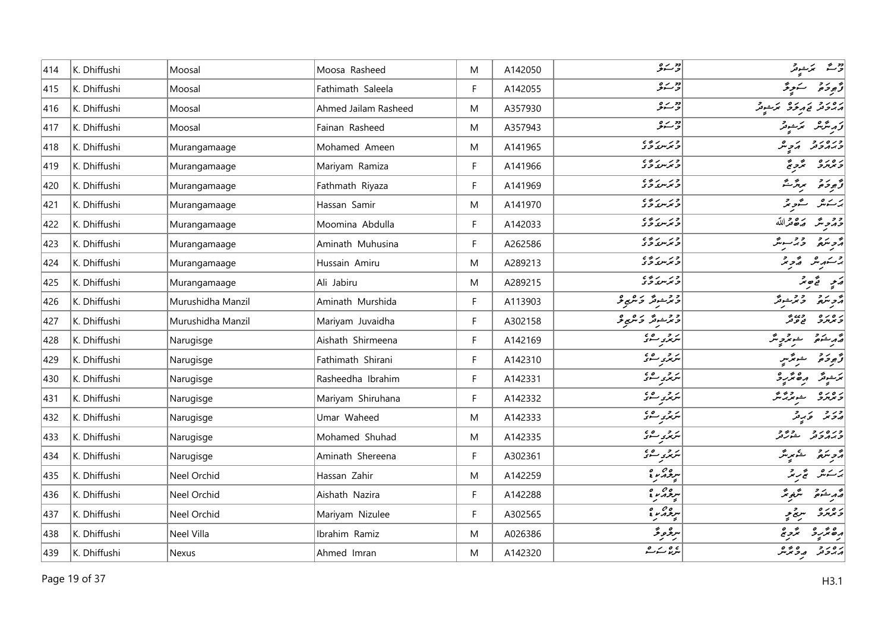| 414 | K. Dhiffushi | Moosal            | Moosa Rasheed        | M         | A142050 | دد سه و                         | ارسم المرسور<br>المراسم المرسور                                                                                                                                                     |
|-----|--------------|-------------------|----------------------|-----------|---------|---------------------------------|-------------------------------------------------------------------------------------------------------------------------------------------------------------------------------------|
| 415 | K. Dhiffushi | Moosal            | Fathimath Saleela    | F         | A142055 | در مەھ                          | دېږوخته ځېښته                                                                                                                                                                       |
| 416 | K. Dhiffushi | Moosal            | Ahmed Jailam Rasheed | M         | A357930 | دديد ع                          | גפנד בתוכל תוכני                                                                                                                                                                    |
| 417 | K. Dhiffushi | Moosal            | Fainan Rasheed       | M         | A357943 | دديد ع                          | ترىرىترىش ئىزىدىر                                                                                                                                                                   |
| 418 | K. Dhiffushi | Murangamaage      | Mohamed Ameen        | M         | A141965 | و رکنده د کار<br>د ترس رو د     | ورەرو كەچىگ                                                                                                                                                                         |
| 419 | K. Dhiffushi | Murangamaage      | Mariyam Ramiza       | F         | A141966 | د بر بر د و ،<br>تر بر بیر تر د | ر ه ر ه<br><del>ر</del> بربرگ<br>ترًى تم                                                                                                                                            |
| 420 | K. Dhiffushi | Murangamaage      | Fathmath Riyaza      | F         | A141969 | د در بر د و ،<br>تر تر سر کر د  | ىرىرىگە<br>ۇ بوخ <sub>ى</sub>                                                                                                                                                       |
| 421 | K. Dhiffushi | Murangamaage      | Hassan Samir         | ${\sf M}$ | A141970 | و بر سر پر پر<br>تر تر تر تر تر | ىر سەھرە سەھرىر                                                                                                                                                                     |
| 422 | K. Dhiffushi | Murangamaage      | Moomina Abdulla      | F         | A142033 | د در بر د و ،<br>تر تر سر کر د  | وقرح متر وكافدالله                                                                                                                                                                  |
| 423 | K. Dhiffushi | Murangamaage      | Aminath Muhusina     | F         | A262586 | د بر بر د و ،<br>تر بر بیر تر د | أأدج المرد والمحاسبة                                                                                                                                                                |
| 424 | K. Dhiffushi | Murangamaage      | Hussain Amiru        | M         | A289213 | و ر<br>د برس ژ ژ د              | يز سكر مثر الأحرار                                                                                                                                                                  |
| 425 | K. Dhiffushi | Murangamaage      | Ali Jabiru           | ${\sf M}$ | A289215 | و د بر د و ،<br>و برس و د د     | $\begin{array}{cc} \begin{array}{cc} 2 & 0 & \end{array} & \begin{array}{cc} 2 & \end{array} & \begin{array}{cc} 2 & \end{array} & \begin{array}{cc} 2 & \end{array} & \end{array}$ |
| 426 | K. Dhiffushi | Murushidha Manzil | Aminath Murshida     | F         | A113903 | 3 ټرمونژ ډکريږي                 | أرمز<br>و تر شدنگر                                                                                                                                                                  |
| 427 | K. Dhiffushi | Murushidha Manzil | Mariyam Juvaidha     | F         | A302158 | 3 ټرمونژ ډ شرح و                | ر ه ر ه<br><del>ر</del> بربرگ<br>و ن پر<br>مح حرکر                                                                                                                                  |
| 428 | K. Dhiffushi | Narugisge         | Aishath Shirmeena    | F         | A142169 | يترتزيه سفوتح                   | ۇ مەشكەمى<br>مەم<br>ے پر تر پر مگر<br>م                                                                                                                                             |
| 429 | K. Dhiffushi | Narugisge         | Fathimath Shirani    | F         | A142310 | ىئر <i>پرېمبر ت</i> همى<br>سر   | ۇ بوڭ ھوترس                                                                                                                                                                         |
| 430 | K. Dhiffushi | Narugisge         | Rasheedha Ibrahim    | F         | A142331 | ىئر <i>پرېمو س</i> ىمى          | رە ئۈرۈ<br>ىر ھەدىگە<br>ئى                                                                                                                                                          |
| 431 | K. Dhiffushi | Narugisge         | Mariyam Shiruhana    | F         | A142332 | يرچرېشو                         | ر ه بر ه<br><del>د</del> بربر و<br>ے پر بر<br>مشو <i>بحر بگ</i> ر                                                                                                                   |
| 432 | K. Dhiffushi | Narugisge         | Umar Waheed          | ${\sf M}$ | A142333 | يرچرېر شو                       | ەر ئەر ئەر ئە                                                                                                                                                                       |
| 433 | K. Dhiffushi | Narugisge         | Mohamed Shuhad       | M         | A142335 | يرچرې شوی                       | ے جمعر حر<br>و ر ه ر و<br>و پر پر و تر                                                                                                                                              |
| 434 | K. Dhiffushi | Narugisge         | Aminath Shereena     | F         | A302361 | ىئە <i>پىرى سى</i> رى           | ۇ ئەسكە ھەممەنگە                                                                                                                                                                    |
| 435 | K. Dhiffushi | Neel Orchid       | Hassan Zahir         | M         | A142259 | ببروژمره                        | برسك مجربته                                                                                                                                                                         |
| 436 | K. Dhiffushi | Neel Orchid       | Aishath Nazira       | F         | A142288 | ببروژمره                        | پھر مشرح<br>ا<br>متزهر تئر                                                                                                                                                          |
| 437 | K. Dhiffushi | Neel Orchid       | Mariyam Nizulee      | F         | A302565 |                                 | ويوبره<br>سرچ پو                                                                                                                                                                    |
| 438 | K. Dhiffushi | Neel Villa        | Ibrahim Ramiz        | M         | A026386 | سروگر و گ                       | دەنزېږ<br>بترىر چ                                                                                                                                                                   |
| 439 | K. Dhiffushi | Nexus             | Ahmed Imran          | M         | A142320 | ی میں کے گے<br>میرینا کے ک      | رەرد مەممىر                                                                                                                                                                         |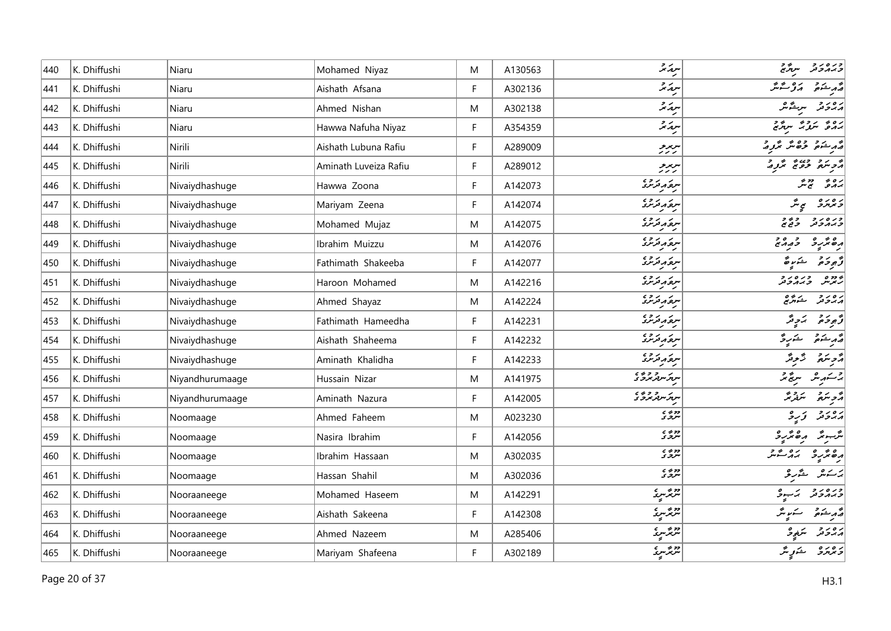| 440 | K. Dhiffushi | Niaru           | Mohamed Niyaz         | M  | A130563 | سرير                                   | سرپر تر<br>و ر ه ر و<br>تر <i>پر ټ</i> ر       |
|-----|--------------|-----------------|-----------------------|----|---------|----------------------------------------|------------------------------------------------|
| 441 | K. Dhiffushi | Niaru           | Aishath Afsana        | F. | A302136 | سدىمە                                  | لەر شەھرە بەر ئەيتر                            |
| 442 | K. Dhiffushi | Niaru           | Ahmed Nishan          | M  | A302138 | سدنتر                                  | رەرو سىشەر                                     |
| 443 | K. Dhiffushi | Niaru           | Hawwa Nafuha Niyaz    | F. | A354359 | سدنر                                   | روء سرور سردو                                  |
| 444 | K. Dhiffushi | Nirili          | Aishath Lubuna Rafiu  | F. | A289009 | سربر و                                 | و در ده ده و د د د                             |
| 445 | K. Dhiffushi | Nirili          | Aminath Luveiza Rafiu | F  | A289012 | سربر و.<br>بر بر بر                    | 2 20 200 200 21                                |
| 446 | K. Dhiffushi | Nivaiydhashuge  | Hawwa Zoona           | F  | A142073 | سرچ <sub>مر</sub> چر پر د <sub>ی</sub> | ره په دورو                                     |
| 447 | K. Dhiffushi | Nivaiydhashuge  | Mariyam Zeena         | F  | A142074 | سرچ <sub>مر</sub> چر پر د <sub>ی</sub> | ئەنگەر ئ<br>ې مخ<br>په هم                      |
| 448 | K. Dhiffushi | Nivaiydhashuge  | Mohamed Mujaz         | M  | A142075 | سرە ئەر تەرى                           | و ر ه ر د<br>تر پر ژ تر<br>و ده و<br>تر قع م   |
| 449 | K. Dhiffushi | Nivaiydhashuge  | Ibrahim Muizzu        | M  | A142076 | سرە مەر تەرى                           | و مهم مع<br>محمد م<br>ە ھەترىرى<br>بر ھەترىرى  |
| 450 | K. Dhiffushi | Nivaiydhashuge  | Fathimath Shakeeba    | F. | A142077 | سرە بەر دە                             | ۇ ب <sub>و</sub> ر د<br>شەرەت                  |
| 451 | K. Dhiffushi | Nivaiydhashuge  | Haroon Mohamed        | M  | A142216 | سرە بر دې                              | و ر ه ر د<br>تر پر ژنر<br>یر دو ه<br>رنجو مثر  |
| 452 | K. Dhiffushi | Nivaiydhashuge  | Ahmed Shayaz          | M  | A142224 | سرە ئەر تەرى                           | شەكەرىپى<br>ەرەر د                             |
| 453 | K. Dhiffushi | Nivaiydhashuge  | Fathimath Hameedha    | F  | A142231 | سرعه وترتره                            | ۇي <sub>م</sub> ۇت <sub>ۇ بەۋ</sub> تۇ         |
| 454 | K. Dhiffushi | Nivaiydhashuge  | Aishath Shaheema      | F  | A142232 | سرە ئەرىرد                             | پ <sup>و</sup> مرشتمو<br>م<br>ر شەرىخ          |
| 455 | K. Dhiffushi | Nivaiydhashuge  | Aminath Khalidha      | F. | A142233 | سرە بەر دە                             | أثر وبترة<br>رُگونر                            |
| 456 | K. Dhiffushi | Niyandhurumaage | Hussain Nizar         | M  | A141975 | سرکر سرچر شرح ی                        | سرچ تر<br>جر سەر بىر                           |
| 457 | K. Dhiffushi | Niyandhurumaaqe | Aminath Nazura        | F. | A142005 | سرکر سرچر پر دی<br>سرکر سرچر پر تر ی   | أثرجه تنزه<br>سرویژ                            |
| 458 | K. Dhiffushi | Noomaage        | Ahmed Faheem          | M  | A023230 | وو پر پر<br>سرچ پ                      | بر 2 بر 1<br>مربر <del>5</del> مر<br>تزبرو     |
| 459 | K. Dhiffushi | Noomaage        | Nasira Ibrahim        | F. | A142056 | وو پر پر<br>سرچ پ                      | ە ھەترىر ۋ<br>مترسه محر                        |
| 460 | K. Dhiffushi | Noomaage        | Ibrahim Hassaan       | M  | A302035 | وو پر پر<br>سرچ پر                     | برە ئەير<br>ەرھەترىر <sup>ە</sup>              |
| 461 | K. Dhiffushi | Noomaage        | Hassan Shahil         | M  | A302036 | وو پر پر<br>سرچ <sub>ک</sub>           | بزسەيىتى<br>ىشترىۋ                             |
| 462 | K. Dhiffushi | Nooraaneege     | Mohamed Haseem        | M  | A142291 | دو په موړي<br>سرچر سوچ                 | و ر ه ر د<br>تر پر ژ تر<br>برسبوقه             |
| 463 | K. Dhiffushi | Nooraaneege     | Aishath Sakeena       | F  | A142308 | دوره<br>مربر سری                       | سە بە<br>ا په مه شو ه<br>د کار مشو ه           |
| 464 | K. Dhiffushi | Nooraaneege     | Ahmed Nazeem          | M  | A285406 | دو پر<br>سربر سرپر                     | بر 2 پر 15<br>مربر <del>5</del> فر<br>سَعَدٍ ح |
| 465 | K. Dhiffushi | Nooraaneege     | Mariyam Shafeena      | F  | A302189 | چېر شورځ<br>سرچر سوچ                   | رەرە شەرش                                      |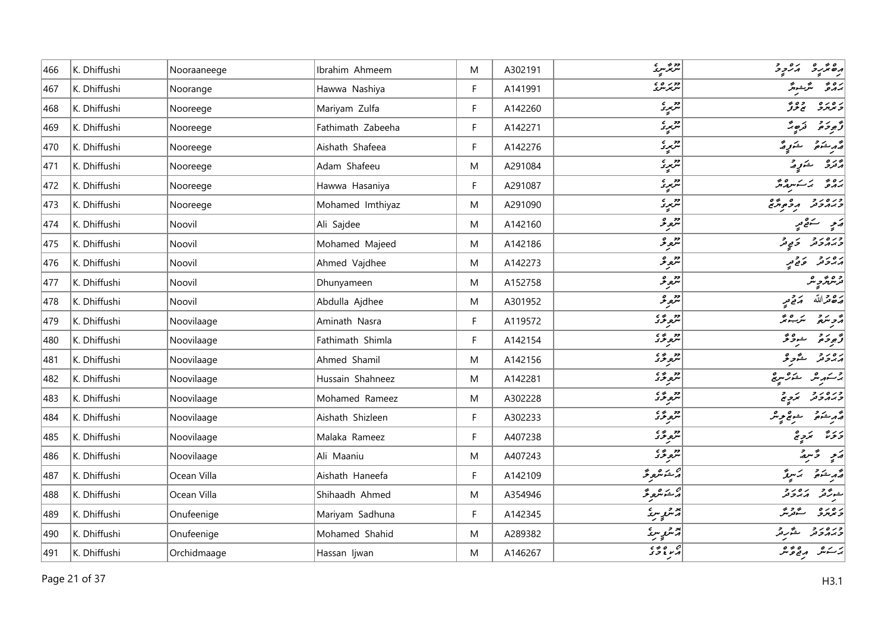| 466 | K. Dhiffushi | Nooraaneege | Ibrahim Ahmeem    | M  | A302191 | دو پر<br>سربر سرپر                    | أروج<br>$rac{2}{3}$                                                                                                                                                                                                              |
|-----|--------------|-------------|-------------------|----|---------|---------------------------------------|----------------------------------------------------------------------------------------------------------------------------------------------------------------------------------------------------------------------------------|
| 467 | K. Dhiffushi | Noorange    | Hawwa Nashiya     | F. | A141991 | دد بر ه ،<br>سرپرسر                   | رە پە<br>پەدى<br>سرٌث ورُ                                                                                                                                                                                                        |
| 468 | K. Dhiffushi | Nooreege    | Mariyam Zulfa     | F. | A142260 | دد<br>مترسمي <sup>5</sup>             | ر ه ر ه<br>تر <del>ب</del> ر بر<br>و ه و.<br>سي مرکز                                                                                                                                                                             |
| 469 | K. Dhiffushi | Nooreege    | Fathimath Zabeeha | F. | A142271 | دد<br>مترسمونه                        | و مرد<br>ترجو حرم<br>نُرْہِ بُرُ                                                                                                                                                                                                 |
| 470 | K. Dhiffushi | Nooreege    | Aishath Shafeea   | F  | A142276 | دد<br>مترسمونه                        | و مر شو د<br>مر مشو د<br>سنتورگ                                                                                                                                                                                                  |
| 471 | K. Dhiffushi | Nooreege    | Adam Shafeeu      | M  | A291084 | دد<br>مترسمي د                        | أورو الشكورة                                                                                                                                                                                                                     |
| 472 | K. Dhiffushi | Nooreege    | Hawwa Hasaniya    | F  | A291087 | دد<br>مترسمي د                        | גם היה ולא                                                                                                                                                                                                                       |
| 473 | K. Dhiffushi | Nooreege    | Mohamed Imthiyaz  | M  | A291090 | دد<br>مترسری                          | כמחכת תכתחתם                                                                                                                                                                                                                     |
| 474 | K. Dhiffushi | Noovil      | Ali Sajdee        | M  | A142160 | يتر <sub>عر</sub> قر                  | أوسمج ستقيمتهم                                                                                                                                                                                                                   |
| 475 | K. Dhiffushi | Noovil      | Mohamed Majeed    | M  | A142186 | يتروعه                                | وره رو -<br>د <i>ډرو تر</i> - د مح تر                                                                                                                                                                                            |
| 476 | K. Dhiffushi | Noovil      | Ahmed Vajdhee     | M  | A142273 | يتروعه                                | رەرو كەلىمى<br>مەركى كەلىمى                                                                                                                                                                                                      |
| 477 | K. Dhiffushi | Noovil      | Dhunyameen        | M  | A152758 | يتر <sub>عر</sub> ثر                  | ترىرىر چەر                                                                                                                                                                                                                       |
| 478 | K. Dhiffushi | Noovil      | Abdulla Ajdhee    | M  | A301952 | يتر <sub>عر</sub> قر                  | بره قرالله بروير                                                                                                                                                                                                                 |
| 479 | K. Dhiffushi | Noovilaage  | Aminath Nasra     | F  | A119572 | دد<br>متره مرد                        | أأدبره الراءة                                                                                                                                                                                                                    |
| 480 | K. Dhiffushi | Noovilaage  | Fathimath Shimla  | F  | A142154 | دد<br>متر <sub>جو</sub> بحری          | أراموخام المسوفاني                                                                                                                                                                                                               |
| 481 | K. Dhiffushi | Noovilaage  | Ahmed Shamil      | M  | A142156 | دد<br>متر <sub>جو</sub> بحری          | رەرو ئىگرو                                                                                                                                                                                                                       |
| 482 | K. Dhiffushi | Noovilaage  | Hussain Shahneez  | M  | A142281 | دد په په<br>سر <sub>گرم</sub> ونو     | يرت كمر مركب المركب المحمد المراجي                                                                                                                                                                                               |
| 483 | K. Dhiffushi | Noovilaage  | Mohamed Rameez    | M  | A302228 | دد و د ،                              |                                                                                                                                                                                                                                  |
| 484 | K. Dhiffushi | Noovilaage  | Aishath Shizleen  | F  | A302233 | دد د ،<br>متره پرې                    | و<br>وگرېځو شوچ چر                                                                                                                                                                                                               |
| 485 | K. Dhiffushi | Noovilaage  | Malaka Rameez     | F  | A407238 | دد پر ،<br>سر <sub>گر</sub> بر .      | 55 يرد ج                                                                                                                                                                                                                         |
| 486 | K. Dhiffushi | Noovilaage  | Ali Maaniu        | M  | A407243 | دد پر پر<br>سر <sub>گر</sub> بر       | $\frac{2}{3}$ $\frac{2}{3}$                                                                                                                                                                                                      |
| 487 | K. Dhiffushi | Ocean Villa | Aishath Haneefa   | F  | A142109 | م شەھرى <i>مى</i><br>مەسىم            | و مارچ کې د کار د کار د کار د کار د کار د کار د کار د کار د کار د کار د کار د کار د کار د کار د کار د کار د کا<br>د کار کار کار د کار د کار د کار د کار د کار د کار د کار د کار د کار کار د کار کار د کار کار د کار کار د کار کا |
| 488 | K. Dhiffushi | Ocean Villa | Shihaadh Ahmed    | M  | A354946 | ومستقرعه                              | ے دی مرد دی ہے<br>شورکٹر مرکز کر                                                                                                                                                                                                 |
| 489 | K. Dhiffushi | Onufeenige  | Mariyam Sadhuna   | F  | A142345 | لېزىتر پېرىكى<br>كېشى <u>تو</u> سرىكى | ره ره در شور<br>تربرو گورش                                                                                                                                                                                                       |
| 490 | K. Dhiffushi | Onufeenige  | Mohamed Shahid    | M  | A289382 | لترقيموسي                             | ورەرو شەرىر                                                                                                                                                                                                                      |
| 491 | K. Dhiffushi | Orchidmaage | Hassan Ijwan      | M  | A146267 |                                       | برسكس مقوقس                                                                                                                                                                                                                      |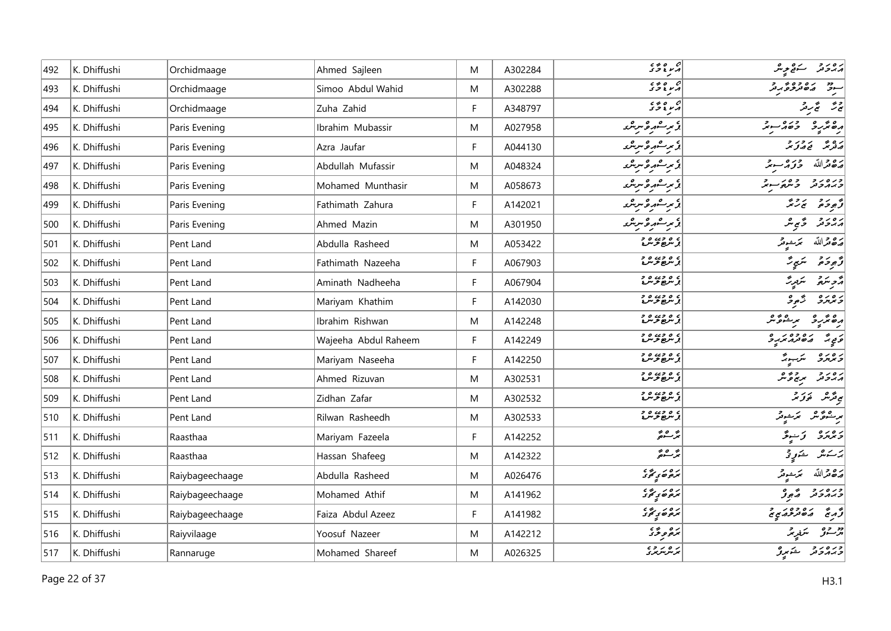| 492 | K. Dhiffushi | Orchidmaage     | Ahmed Sajleen        | M  | A302284 | ه<br>د سره د د                            | رەرد سەھ پەش                           |
|-----|--------------|-----------------|----------------------|----|---------|-------------------------------------------|----------------------------------------|
| 493 | K. Dhiffushi | Orchidmaage     | Simoo Abdul Wahid    | M  | A302288 |                                           |                                        |
| 494 | K. Dhiffushi | Orchidmaage     | Zuha Zahid           | F. | A348797 |                                           | $3\frac{2}{5}$                         |
| 495 | K. Dhiffushi | Paris Evening   | Ibrahim Mubassir     | M  | A027958 | ۇ بر شەر ۋىبرىنى <sub>د</sub>             | גפת כי כסגית                           |
| 496 | K. Dhiffushi | Paris Evening   | Azra Jaufar          | F  | A044130 | ۇ برىشور ۋىبرىشمە                         | ره پر در د<br>دنگرس نے دبی س           |
| 497 | K. Dhiffushi | Paris Evening   | Abdullah Mufassir    | M  | A048324 | ۇ برىشور ۋىبرىشمە                         | رە داللە دىرە ب                        |
| 498 | K. Dhiffushi | Paris Evening   | Mohamed Munthasir    | M  | A058673 | ئۇ بىر سىمبر ھ <sub>ى</sub> سرىكىمە       | وره رو ده در د                         |
| 499 | K. Dhiffushi | Paris Evening   | Fathimath Zahura     | F. | A142021 | ۇ بر شەر ۋىبرىدى                          | قهوخهم بحرقته                          |
| 500 | K. Dhiffushi | Paris Evening   | Ahmed Mazin          | M  | A301950 | ۇ برىشورۇ بىرىشمە                         | دەر دېم ئې ش                           |
| 501 | K. Dhiffushi | Pent Land       | Abdulla Rasheed      | M  | A053422 | ه و وړه و د<br>بر سرچ پر سرچ              | بمرشوقر<br>ەھەتراللە                   |
| 502 | K. Dhiffushi | Pent Land       | Fathimath Nazeeha    | F  | A067903 | ه و وړه و د<br>بر سرچ تر س                | ىئرىپەرت<br>وٌجوحهُ                    |
| 503 | K. Dhiffushi | Pent Land       | Aminath Nadheeha     | F  | A067904 | ه و وړ، و د<br>بر سرچ پر سرچ              | سرمورگ<br>أرمز تنهج                    |
| 504 | K. Dhiffushi | Pent Land       | Mariyam Khathim      | F  | A142030 | ه ووړه و د<br>بر سرچ پر س                 | ر ه ر ه<br><del>د</del> بربرو<br>رٌه و |
| 505 | K. Dhiffushi | Pent Land       | Ibrahim Rishwan      | M  | A142248 | ه و وړه د د<br>بر سرچ مرسو                | رەترىرو برىشۇش                         |
| 506 | K. Dhiffushi | Pent Land       | Wajeeha Abdul Raheem | F  | A142249 | ه و وړه د د<br>بر سرچ مرسو                | وي مصر معدد مدير                       |
| 507 | K. Dhiffushi | Pent Land       | Mariyam Naseeha      | F  | A142250 | ې د وي د د<br>بر سرچوس                    | وحمده سكبيدة                           |
| 508 | K. Dhiffushi | Pent Land       | Ahmed Rizuvan        | M  | A302531 | ې د وي د د<br>بر سرچ پر س                 | ىرىخ قەنتر<br>  پر پر پر               |
| 509 | K. Dhiffushi | Pent Land       | Zidhan Zafar         | M  | A302532 | ې د وي د د<br>بر سرچوس                    | يې قرىقل ئۇ تۈكتر                      |
| 510 | K. Dhiffushi | Pent Land       | Rilwan Rasheedh      | M  | A302533 | ه و وړه و د<br>بر سرچ تر س                | مرتشوقر هر مرتشونر                     |
| 511 | K. Dhiffushi | Raasthaa        | Mariyam Fazeela      | F  | A142252 | پۇ رەپ<br>ئىرىسوپى                        | رەرە ئەسىر                             |
| 512 | K. Dhiffushi | Raasthaa        | Hassan Shafeeg       | M  | A142322 | پۇ رەپ <sub>ۇ</sub>                       | پرستمبر مشرور                          |
| 513 | K. Dhiffushi | Raiybageechaage | Abdulla Rasheed      | M  | A026476 | بره د په ده د<br>مرکزه <sub>کو</sub> کړې  | مَدْ هُ قَرْ اللّه تَمْ سَوْ قُرْ      |
| 514 | K. Dhiffushi | Raiybageechaage | Mohamed Athif        | M  | A141962 | <br>  <del>ت</del> ره قوي گوي             | وره رو وه و                            |
| 515 | K. Dhiffushi | Raiybageechaage | Faiza Abdul Azeez    | F  | A141982 | ىرە رىپە ئەتە<br>ئىرمۇھە <sub>كە</sub> ئە | وٌ مع مقد حدود مع من                   |
| 516 | K. Dhiffushi | Raiyvilaage     | Yoosuf Nazeer        | M  | A142212 | ئۇھۇمۇمۇ                                  | در ده<br>در سرو<br>سكغريمه             |
| 517 | K. Dhiffushi | Rannaruge       | Mohamed Shareef      | M  | A026325 | ر ہ ر د ،<br>برس سربری                    | ورەر د شەرۋ<br><i>פە</i> مەد تەر       |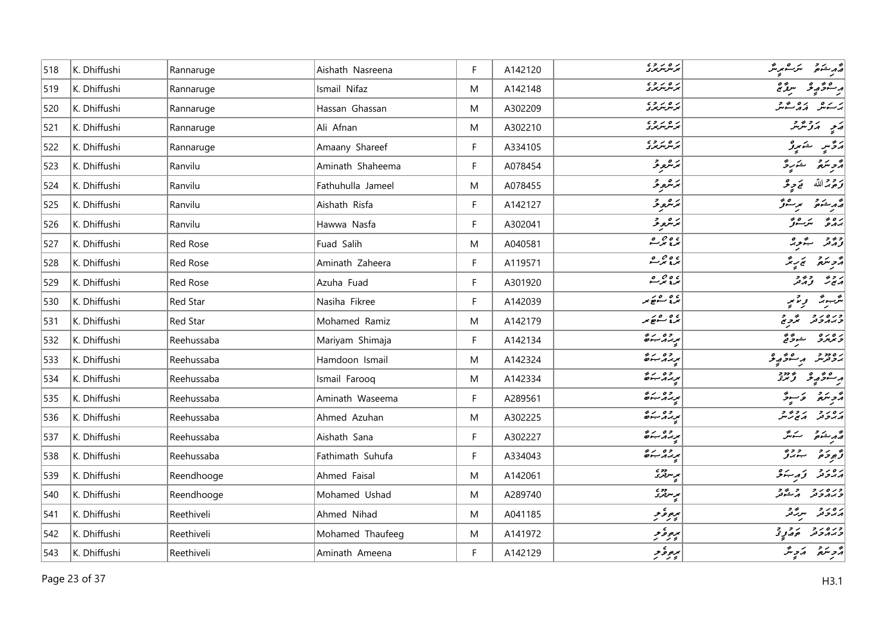| 518 | K. Dhiffushi | Rannaruge       | Aishath Nasreena  | F. | A142120 | ر ه ر د ،<br>بر سرسربر                | أقهر خنوقم الترك مريتر                                               |
|-----|--------------|-----------------|-------------------|----|---------|---------------------------------------|----------------------------------------------------------------------|
| 519 | K. Dhiffushi | Rannaruge       | Ismail Nifaz      | M  | A142148 | ر ہ ر د ،<br>بر سرس پر <sub>ک</sub>   | بر شۇم ئوق سرگەمى                                                    |
| 520 | K. Dhiffushi | Rannaruge       | Hassan Ghassan    | M  | A302209 | ر ه ر د ،<br>بر مر مربر               | بركشش ومره كشر                                                       |
| 521 | K. Dhiffushi | Rannaruge       | Ali Afnan         | M  | A302210 | ر ه بر د ،<br>برمگرینزی               | ەيد مۇشرىتر                                                          |
| 522 | K. Dhiffushi | Rannaruge       | Amaany Shareef    | F  | A334105 | ر ه ر د ،<br>بر مر مربر               |                                                                      |
| 523 | K. Dhiffushi | Ranvilu         | Aminath Shaheema  | F  | A078454 | برمروغه                               | أأدو يتكفى المشركة                                                   |
| 524 | K. Dhiffushi | Ranvilu         | Fathuhulla Jameel | M  | A078455 | ترىثرو قر                             | ترحر جه اللّه<br>تح تر ر                                             |
| 525 | K. Dhiffushi | Ranvilu         | Aishath Risfa     | F  | A142127 | برمروقر                               | و مشهور مرت<br>مشهور میں مور                                         |
| 526 | K. Dhiffushi | Ranvilu         | Hawwa Nasfa       | F  | A302041 | برمروغه                               | برەپر سەرەپىچ                                                        |
| 527 | K. Dhiffushi | Red Rose        | Fuad Salih        | M  | A040581 | <sup>ي ه ج</sup> ې شه                 | اوەر سەرە                                                            |
| 528 | K. Dhiffushi | Red Rose        | Aminath Zaheera   | F  | A119571 | <sup>ی 9</sup> می م                   | أروبتكم بمربر                                                        |
| 529 | K. Dhiffushi | Red Rose        | Azuha Fuad        | F  | A301920 | ، ە ەر<br>بىر <b>ب</b> ە ئىرىسە       | ر و په ورو و<br>د بح که او د کمر                                     |
| 530 | K. Dhiffushi | Red Star        | Nasiha Fikree     | F  | A142039 | ی ه <u>۵ دی</u>                       | متز ببورته<br>کو رقم پد<br>گر                                        |
| 531 | K. Dhiffushi | <b>Red Star</b> | Mohamed Ramiz     | M  | A142179 | پر ہی مشیر کے بعد                     | و ره ر و<br><i>و بر</i> پر تر<br>یژ <sub>حر مح</sub>                 |
| 532 | K. Dhiffushi | Reehussaba      | Mariyam Shimaja   | F  | A142134 | بربر و ه بر پر                        | ر ٥ ر ٥ ر ٥ ر<br>تر پربرتر مشورق                                     |
| 533 | K. Dhiffushi | Reehussaba      | Hamdoon Ismail    | M  | A142324 | برره به برخ                           | גיינית <sub>ת</sub> שת <sub>מ</sub> ית                               |
| 534 | K. Dhiffushi | Reehussaba      | Ismail Farooq     | M  | A142334 | پر ژه به ځ                            | پرساد پر پر واژد در محمد برای<br>  پرساد کرد برای کرد واژد واژد برای |
| 535 | K. Dhiffushi | Reehussaba      | Aminath Waseema   | F. | A289561 | ىر زەببە ئە                           | أأوسكة وكسوة                                                         |
| 536 | K. Dhiffushi | Reehussaba      | Ahmed Azuhan      | M  | A302225 | بربر ويسكرة                           | גפניק גליית                                                          |
| 537 | K. Dhiffushi | Reehussaba      | Aishath Sana      | F  | A302227 | لبرج ويزة                             | ۇرىشقى سىش                                                           |
| 538 | K. Dhiffushi | Reehussaba      | Fathimath Suhufa  | F  | A334043 | ىر زەبە ئەڭ                           | أوجوحه يتبرو                                                         |
| 539 | K. Dhiffushi | Reendhooge      | Ahmed Faisal      | M  | A142061 | ا پر سرچون<br>س                       | أرورو وكالمسكو                                                       |
| 540 | K. Dhiffushi | Reendhooge      | Mohamed Ushad     | M  | A289740 | ابر سرده<br>په سرچری                  | وره رو و دور<br>وبردونر اړ شوتر                                      |
| 541 | K. Dhiffushi | Reethiveli      | Ahmed Nihad       | M  | A041185 | بره و ځو<br><u>په م</u>               | د د د د سرگاند                                                       |
| 542 | K. Dhiffushi | Reethiveli      | Mohamed Thaufeeg  | M  | A141972 | ىرە <sub>د</sub> ە<br>ئ <sup>ەر</sup> |                                                                      |
| 543 | K. Dhiffushi | Reethiveli      | Aminath Ameena    | F  | A142129 | ىرە <sub>ۋ</sub> ۇمۇ                  | أرمح سنتمر أرمح يتر                                                  |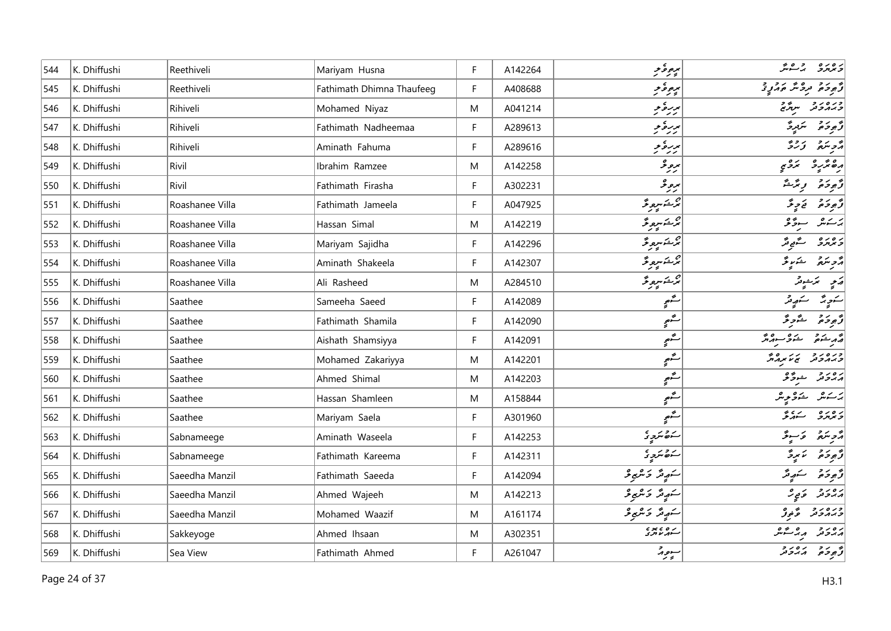| 544 | K. Dhiffushi | Reethiveli      | Mariyam Husna             | F  | A142264 | ېره د گو                                | أد وره برقيش                    |
|-----|--------------|-----------------|---------------------------|----|---------|-----------------------------------------|---------------------------------|
| 545 | K. Dhiffushi | Reethiveli      | Fathimath Dhimna Thaufeeg | F. | A408688 | ېږموځ مو<br>نو نړ                       | أوالمحج وأحرقته المتحادثي       |
| 546 | K. Dhiffushi | Rihiveli        | Mohamed Niyaz             | M  | A041214 | بررؤو                                   | במפנב תומב                      |
| 547 | K. Dhiffushi | Rihiveli        | Fathimath Nadheemaa       | F. | A289613 | بررء<br>مرگو                            | و په در د<br>سرتورگر            |
| 548 | K. Dhiffushi | Rihiveli        | Aminath Fahuma            | F  | A289616 | بررءً و                                 | ۇرۇ<br>أرمز                     |
| 549 | K. Dhiffushi | Rivil           | Ibrahim Ramzee            | M  | A142258 | برەع                                    | ەرھەتمەر 2<br>س<br>برومي        |
| 550 | K. Dhiffushi | Rivil           | Fathimath Firasha         | F  | A302231 | بروعه                                   | وتجوحا ويرش                     |
| 551 | K. Dhiffushi | Roashanee Villa | Fathimath Jameela         | F  | A047925 | م<br>ئىرىشەمبرىرىگە                     | وَجِوحَةً يَجْرِيحُ             |
| 552 | K. Dhiffushi | Roashanee Villa | Hassan Simal              | M  | A142219 | مر شه س <sub>ع</sub> بورځه<br>م         | بركش سردمى                      |
| 553 | K. Dhiffushi | Roashanee Villa | Mariyam Sajidha           | F  | A142296 | ترىئە يېرىدۇ.                           | رەرە سەرقە                      |
| 554 | K. Dhiffushi | Roashanee Villa | Aminath Shakeela          | F. | A142307 | جرىئە <sub>سرەبە</sub> ئە               | شەر ئۇ<br>أرمر تركيح            |
| 555 | K. Dhiffushi | Roashanee Villa | Ali Rasheed               | M  | A284510 | ە<br>ئىرىشە س <sub>ىر</sub> بىر قىلىمىس | ديم المراشوقر<br>مراجع          |
| 556 | K. Dhiffushi | Saathee         | Sameeha Saeed             | F  | A142089 | استعصح                                  | سكوية السكوية                   |
| 557 | K. Dhiffushi | Saathee         | Fathimath Shamila         | F  | A142090 | رمعيمي                                  | وً و دَمَ شَرْدِ وَ             |
| 558 | K. Dhiffushi | Saathee         | Aishath Shamsiyya         | F  | A142091 | اسقهو                                   | يو دو ده ده<br>درخومي شود سور د |
| 559 | K. Dhiffushi | Saathee         | Mohamed Zakariyya         | M  | A142201 | رمعي                                    | כנסנכ נגם                       |
| 560 | K. Dhiffushi | Saathee         | Ahmed Shimal              | M  | A142203 | رمعيمج                                  | أرور والمحوض                    |
| 561 | K. Dhiffushi | Saathee         | Hassan Shamleen           | M  | A158844 | رمعيمج                                  | بر يەش سەۋىي ھ                  |
| 562 | K. Dhiffushi | Saathee         | Mariyam Saela             | F  | A301960 | رمعيمي                                  | رەرە سەرى                       |
| 563 | K. Dhiffushi | Sabnameege      | Aminath Waseela           | F  | A142253 | بنقصكرة                                 | ۇ ئەسىر ئەسىر                   |
| 564 | K. Dhiffushi | Sabnameege      | Fathimath Kareema         | F  | A142311 | سەھ ئىرىپى                              | ۇبودۇ ئىبرۇ                     |
| 565 | K. Dhiffushi | Saeedha Manzil  | Fathimath Saeeda          | F  | A142094 | سكريگر كالكربونج                        | قُهِ رَمَ وَ سَهِ مَدْ          |
| 566 | K. Dhiffushi | Saeedha Manzil  | Ahmed Wajeeh              | M  | A142213 | سَيِهِ تَدَّ تَرْجُو تَرْ               | رەرد رى                         |
| 567 | K. Dhiffushi | Saeedha Manzil  | Mohamed Waazif            | M  | A161174 | سكريگر كرنگريونخر                       | وره رو په ه<br>د برونر گرفونی   |
| 568 | K. Dhiffushi | Sakkeyoge       | Ahmed Ihsaan              | M  | A302351 | ره ، پر ،<br>سکهر ما دری                | رەرە مەشقىر                     |
| 569 | K. Dhiffushi | Sea View        | Fathimath Ahmed           | F. | A261047 | سوەر<br>ئەر                             | أوجود برەرد                     |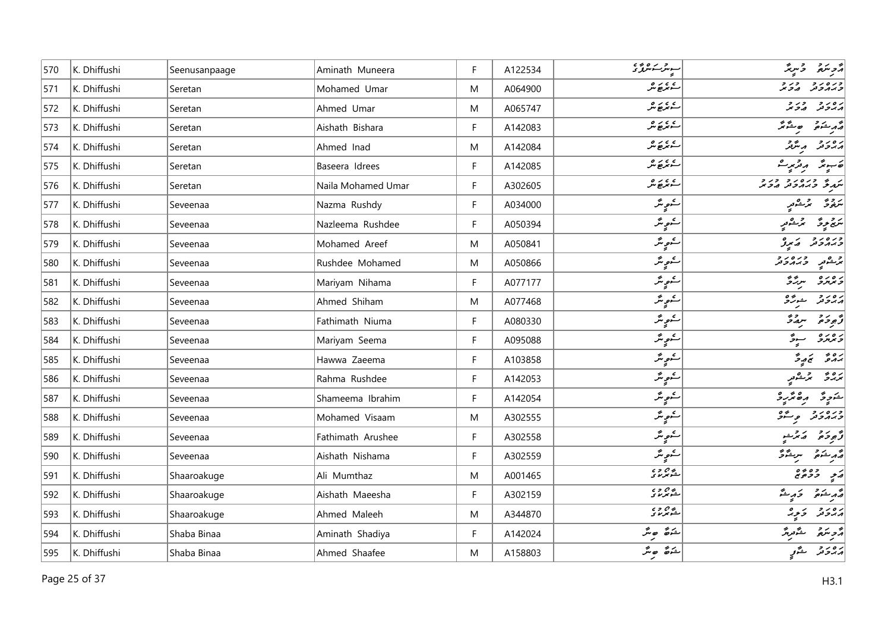| 570 | K. Dhiffushi | Seenusanpaage | Aminath Muneera    | F  | A122534 | <br> سومتر سور مروج ی                         | أزويتم وتبيتر                                                                                                                                                                                                                                                                                                                 |
|-----|--------------|---------------|--------------------|----|---------|-----------------------------------------------|-------------------------------------------------------------------------------------------------------------------------------------------------------------------------------------------------------------------------------------------------------------------------------------------------------------------------------|
| 571 | K. Dhiffushi | Seretan       | Mohamed Umar       | M  | A064900 | <u>، ، ، ،</u> ش                              | כנסנ כנכ<br>כממכת מכת                                                                                                                                                                                                                                                                                                         |
| 572 | K. Dhiffushi | Seretan       | Ahmed Umar         | M  | A065747 | <u>۽ ۽ ر</u> چ                                | גם ג' בגב                                                                                                                                                                                                                                                                                                                     |
| 573 | K. Dhiffushi | Seretan       | Aishath Bishara    | F  | A142083 | ے پر <sub>ص</sub> ر                           | أقرم شكوته ومشتر                                                                                                                                                                                                                                                                                                              |
| 574 | K. Dhiffushi | Seretan       | Ahmed Inad         | M  | A142084 | ے پر عر                                       | رەرو مەر                                                                                                                                                                                                                                                                                                                      |
| 575 | K. Dhiffushi | Seretan       | Baseera Idrees     | F  | A142085 | ے پر م                                        | كاسونتر ارتزبر شو                                                                                                                                                                                                                                                                                                             |
| 576 | K. Dhiffushi | Seretan       | Naila Mohamed Umar | F  | A302605 | <u>ے پر ع</u> مر                              | شر و دره د و در و                                                                                                                                                                                                                                                                                                             |
| 577 | K. Dhiffushi | Seveenaa      | Nazma Rushdy       | F  | A034000 | ئە <sub>ھە</sub> بىگە                         | سَهْرَةُ   سِرْكْتُورِ                                                                                                                                                                                                                                                                                                        |
| 578 | K. Dhiffushi | Seveenaa      | Nazleema Rushdee   | F  | A050394 | ئە <sub>ھە</sub> بىگە                         | سَيَجْرِجُ - سِّرْحُمْرِ                                                                                                                                                                                                                                                                                                      |
| 579 | K. Dhiffushi | Seveenaa      | Mohamed Areef      | M  | A050841 | ء<br>سنو <sub>ء</sub> ِ مٿر                   | وره دو در و                                                                                                                                                                                                                                                                                                                   |
| 580 | K. Dhiffushi | Seveenaa      | Rushdee Mohamed    | M  | A050866 | ڪو <sub>چو</sub> سگر                          |                                                                                                                                                                                                                                                                                                                               |
| 581 | K. Dhiffushi | Seveenaa      | Mariyam Nihama     | F  | A077177 | ڪ <sub>ھو</sub> مئر                           | أومروه سرجوم                                                                                                                                                                                                                                                                                                                  |
| 582 | K. Dhiffushi | Seveenaa      | Ahmed Shiham       | M  | A077468 | ئە <sub>ھە</sub> بىگە                         | رەرد جەر                                                                                                                                                                                                                                                                                                                      |
| 583 | K. Dhiffushi | Seveenaa      | Fathimath Niuma    | F  | A080330 | ئە <sub>ھم</sub> ىتر                          | توجودة سيدة                                                                                                                                                                                                                                                                                                                   |
| 584 | K. Dhiffushi | Seveenaa      | Mariyam Seema      | F  | A095088 | ڪ <sub>ھو</sub> مئر                           | سىۋ<br>تر جو بر ج                                                                                                                                                                                                                                                                                                             |
| 585 | K. Dhiffushi | Seveenaa      | Hawwa Zaeema       | F  | A103858 | ڪ <sub>ھو</sub> مئر                           | ىم پەرىخ<br>رە پە<br>برادى                                                                                                                                                                                                                                                                                                    |
| 586 | K. Dhiffushi | Seveenaa      | Rahma Rushdee      | F  | A142053 | ء<br>سنو <sub>ء</sub> ِ مٿر                   | پروی پر پی می                                                                                                                                                                                                                                                                                                                 |
| 587 | K. Dhiffushi | Seveenaa      | Shameema Ibrahim   | F  | A142054 | ئە <sub>ھە</sub> بىگە                         | شودة وهقرة                                                                                                                                                                                                                                                                                                                    |
| 588 | K. Dhiffushi | Seveenaa      | Mohamed Visaam     | M  | A302555 | ئە <sub>ھە</sub> بىگە                         | ورەرو ھەرە                                                                                                                                                                                                                                                                                                                    |
| 589 | K. Dhiffushi | Seveenaa      | Fathimath Arushee  | F  | A302558 | ئە <sub>ھە</sub> بىگە                         | قرم وحرقته وكالمركب                                                                                                                                                                                                                                                                                                           |
| 590 | K. Dhiffushi | Seveenaa      | Aishath Nishama    | F  | A302559 | ئە <sub>ھە</sub> بىگە                         | و ديده سرشور دي.<br>د رشوم سرشور                                                                                                                                                                                                                                                                                              |
| 591 | K. Dhiffushi | Shaaroakuge   | Ali Mumthaz        | M  | A001465 | ره ۶۵ و <sup>ج</sup><br>شو تو رو <sup>ج</sup> | $\begin{bmatrix} 0 & 0 & 0 & 0 \\ 0 & 0 & 0 & 0 \\ 0 & 0 & 0 & 0 \\ 0 & 0 & 0 & 0 \\ 0 & 0 & 0 & 0 \\ 0 & 0 & 0 & 0 \\ 0 & 0 & 0 & 0 \\ 0 & 0 & 0 & 0 \\ 0 & 0 & 0 & 0 \\ 0 & 0 & 0 & 0 \\ 0 & 0 & 0 & 0 & 0 \\ 0 & 0 & 0 & 0 & 0 \\ 0 & 0 & 0 & 0 & 0 \\ 0 & 0 & 0 & 0 & 0 & 0 \\ 0 & 0 & 0 & 0 & 0 & 0 \\ 0 & 0 & 0 & 0 & $ |
| 592 | K. Dhiffushi | Shaaroakuge   | Aishath Maeesha    | F. | A302159 |                                               | أقهر منكور التحرير منتشر                                                                                                                                                                                                                                                                                                      |
| 593 | K. Dhiffushi | Shaaroakuge   | Ahmed Maleeh       | M  | A344870 | ره 0 و ء<br>شومر د ي                          | أرور و و دره                                                                                                                                                                                                                                                                                                                  |
| 594 | K. Dhiffushi | Shaba Binaa   | Aminath Shadiya    | F  | A142024 | خوَة وتَرَ                                    | أرمز يتزه<br>مشكورتر                                                                                                                                                                                                                                                                                                          |
| 595 | K. Dhiffushi | Shaba Binaa   | Ahmed Shaafee      | M  | A158803 | خَذَةٌ صِتَر                                  | رەرە شگېر                                                                                                                                                                                                                                                                                                                     |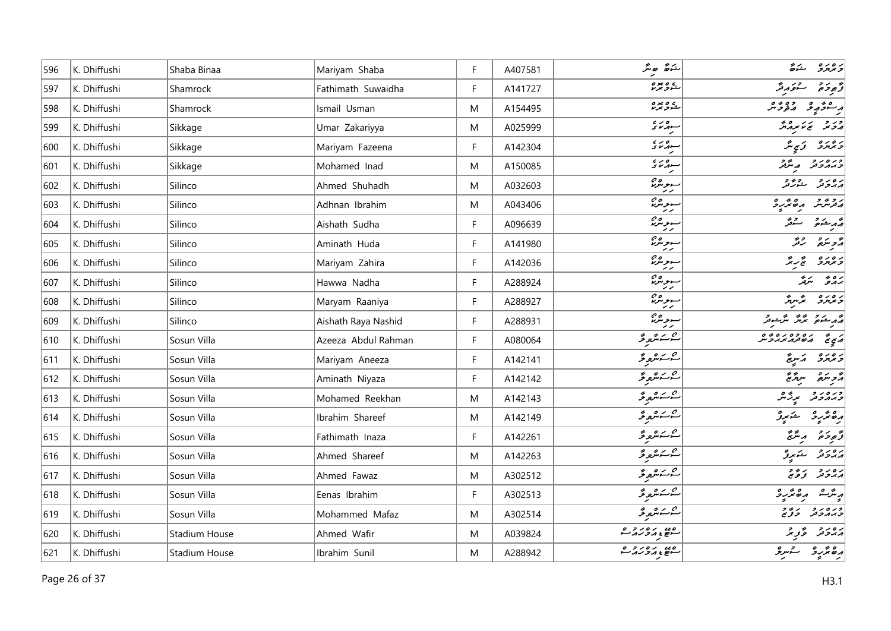| 596 | K. Dhiffushi | Shaba Binaa   | Mariyam Shaba       | F.          | A407581 | شَەڭ ھىگر                     | ئەمەر ھ<br>شذة                      |
|-----|--------------|---------------|---------------------|-------------|---------|-------------------------------|-------------------------------------|
| 597 | K. Dhiffushi | Shamrock      | Fathimath Suwaidha  | F.          | A141727 | ره و بره<br>شور بر <i>نا</i>  | ستوكر متر<br>و مرد د<br>اقرامور م   |
| 598 | K. Dhiffushi | Shamrock      | Ismail Usman        | Μ           | A154495 | ے ہ برہ<br>شور ہریا           | و عۇرپۇ ھۆركىر                      |
| 599 | K. Dhiffushi | Sikkage       | Umar Zakariyya      | M           | A025999 | ەر بەر<br>سىرلىرىنى           | בני ביצובה                          |
| 600 | K. Dhiffushi | Sikkage       | Mariyam Fazeena     | F           | A142304 | 519                           | دەرە ئېرتىر                         |
| 601 | K. Dhiffushi | Sikkage       | Mohamed Inad        | Μ           | A150085 | 519                           | ورەر د مەر                          |
| 602 | K. Dhiffushi | Silinco       | Ahmed Shuhadh       | Μ           | A032603 | ببويره                        | ره ر و درو<br>پربروتر شورتر         |
| 603 | K. Dhiffushi | Silinco       | Adhnan Ibrahim      | M           | A043406 | سوپرتا<br>مرس                 | ړ تر شر شه مره تر په د              |
| 604 | K. Dhiffushi | Silinco       | Aishath Sudha       | F.          | A096639 | اسىۋىترىكى<br>كەن             | أقدم شدة المستقر                    |
| 605 | K. Dhiffushi | Silinco       | Aminath Huda        | F.          | A141980 | سوپرتا<br>سر                  | أأترسم ترقد                         |
| 606 | K. Dhiffushi | Silinco       | Mariyam Zahira      | F           | A142036 | سوپرترنگر                     | رەرە ئېرىگە                         |
| 607 | K. Dhiffushi | Silinco       | Hawwa Nadha         | F           | A288924 | سوپرتا<br>مرس                 | رہ پر پڑ                            |
| 608 | K. Dhiffushi | Silinco       | Maryam Raaniya      | F           | A288927 | اسوچر<br>اسوچرنگ              | ر ه بر ه<br>تر بر بر<br>بۇسر        |
| 609 | K. Dhiffushi | Silinco       | Aishath Raya Nashid | F           | A288931 | سوپرترنا<br>سرپر              | أأرمض أوالمر المستوفر               |
| 610 | K. Dhiffushi | Sosun Villa   | Azeeza Abdul Rahman | F           | A080064 | <br> سىستەش <sub>ىرى</sub> مۇ | ג ג גם כסגסגם                       |
| 611 | K. Dhiffushi | Sosun Villa   | Mariyam Aneeza      | F           | A142141 | م مستقبر<br>استمستقبر         | دەرە ئەيدە                          |
| 612 | K. Dhiffushi | Sosun Villa   | Aminath Niyaza      | F           | A142142 | استمستقرقر                    | سرتريح<br>لمجمعه يتمدحهم            |
| 613 | K. Dhiffushi | Sosun Villa   | Mohamed Reekhan     | Μ           | A142143 | <u>م ئەشرو ئە</u>             | و ر ه ر و<br>تر پر ژ تر<br>ىبەيتىگە |
| 614 | K. Dhiffushi | Sosun Villa   | Ibrahim Shareef     | M           | A142149 | مەسەئىرىدى <del>گە</del>      | ەھترىرى ھەمرى<br>رەھترىرى ھەمرى     |
| 615 | K. Dhiffushi | Sosun Villa   | Fathimath Inaza     | F           | A142261 | استمستقرقر                    | ومجودة ويتمج                        |
| 616 | K. Dhiffushi | Sosun Villa   | Ahmed Shareef       | M           | A142263 | <u>شر سەھرىم</u> ۇ            | رەرد شەرو                           |
| 617 | K. Dhiffushi | Sosun Villa   | Ahmed Fawaz         | M           | A302512 | استمستقرقر                    | رەرد رەد                            |
| 618 | K. Dhiffushi | Sosun Villa   | Eenas Ibrahim       | $\mathsf F$ | A302513 | مەسەئىرىدى <del>كە</del>      | أريترك مرەمجرىرى                    |
| 619 | K. Dhiffushi | Sosun Villa   | Mohammed Mafaz      | M           | A302514 | <u>شر ئەشرو ئۇ</u>            | כנסנב נבב<br>כ <i>ג</i> וכנג כנב    |
| 620 | K. Dhiffushi | Stadium House | Ahmed Wafir         | M           | A039824 |                               | رەرد ئورند                          |
| 621 | K. Dhiffushi | Stadium House | Ibrahim Sunil       | M           | A288942 |                               | رە ئەر ئىس ئى                       |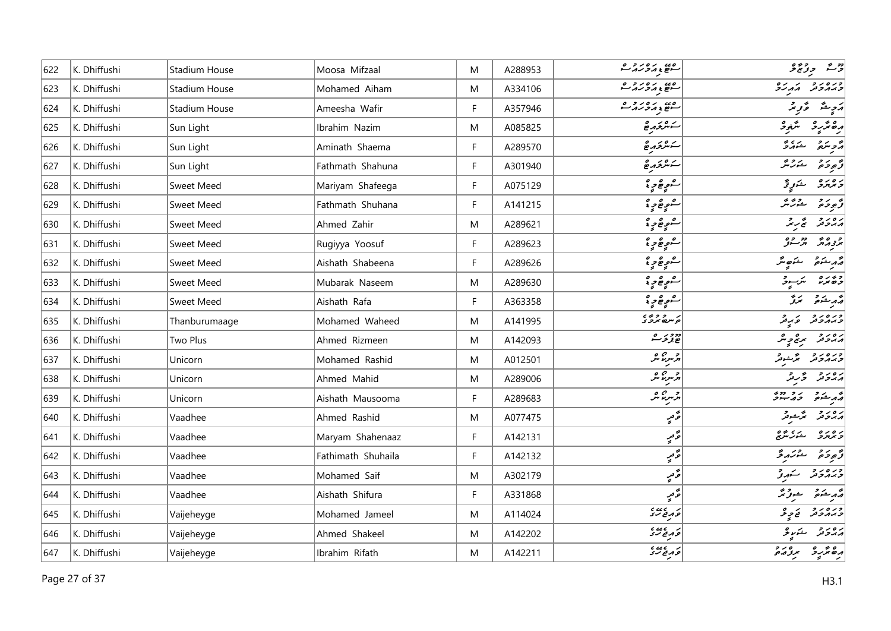| 622 | K. Dhiffushi | Stadium House     | Moosa Mifzaal      | M           | A288953 |                              |                                                             |
|-----|--------------|-------------------|--------------------|-------------|---------|------------------------------|-------------------------------------------------------------|
| 623 | K. Dhiffushi | Stadium House     | Mohamed Aiham      | M           | A334106 | 2727.60                      | בגם גם הגב                                                  |
| 624 | K. Dhiffushi | Stadium House     | Ameesha Wafir      | F           | A357946 |                              | أترجيشه<br>ۇ يېتىر<br>مۇ بويىتىر                            |
| 625 | K. Dhiffushi | Sun Light         | Ibrahim Nazim      | M           | A085825 | سەنئەر ۋ                     | ە ھەترىرى<br>بر ھەترىرى<br>سَّنْجِرْتَر                     |
| 626 | K. Dhiffushi | Sun Light         | Aminath Shaema     | F           | A289570 | سە ئىر ئۆز م                 | أأرمز<br>شەكەنى                                             |
| 627 | K. Dhiffushi | Sun Light         | Fathmath Shahuna   | F           | A301940 | سە ئەر ئەر ھ                 | وحموحهم<br>ىشە <i>ر تى</i> گە                               |
| 628 | K. Dhiffushi | <b>Sweet Meed</b> | Mariyam Shafeega   | F           | A075129 | م <sub>و قو</sub> ح و ؟<br>م | ر ه ر ه<br><del>ر</del> بربر و<br>ڪو وُڻُ                   |
| 629 | K. Dhiffushi | <b>Sweet Meed</b> | Fathmath Shuhana   | F           | A141215 |                              | شەرىگە<br>و مرد د                                           |
| 630 | K. Dhiffushi | <b>Sweet Meed</b> | Ahmed Zahir        | M           | A289621 |                              | أرور و مح بالمر                                             |
| 631 | K. Dhiffushi | <b>Sweet Meed</b> | Rugiyya Yoosuf     | F           | A289623 |                              | حر <sub>ى م</sub> ەر<br>مىرىپە مەر<br>دو حره                |
| 632 | K. Dhiffushi | <b>Sweet Meed</b> | Aishath Shabeena   | F           | A289626 | ه <sub>و ه</sub> و و و       | لأرشكم شومأ                                                 |
| 633 | K. Dhiffushi | <b>Sweet Meed</b> | Mubarak Naseem     | M           | A289630 | م <sub>و قو</sub> ح و ؟<br>م | و ځه بره<br>د ځه بر پا<br>ىئەسىدى                           |
| 634 | K. Dhiffushi | Sweet Meed        | Aishath Rafa       | F           | A363358 | م و عوج و م                  |                                                             |
| 635 | K. Dhiffushi | Thanburumaage     | Mohamed Waheed     | M           | A141995 | ر<br>می سرچ تر د و           | وره رو کردو                                                 |
| 636 | K. Dhiffushi | Two Plus          | Ahmed Rizmeen      | M           | A142093 | دد دير ه<br>چ بوځو ک         | أرور ويده ويمر                                              |
| 637 | K. Dhiffushi | Unicorn           | Mohamed Rashid     | M           | A012501 | ה<br>הריתו ע                 | ورەر و گرىنەتر                                              |
| 638 | K. Dhiffushi | Unicorn           | Ahmed Mahid        | M           | A289006 | وتسرعي                       | أرور ومرمر                                                  |
| 639 | K. Dhiffushi | Unicorn           | Aishath Mausooma   | F           | A289683 | وتسرع مثر                    | وكرمشتهم وكالمستوح                                          |
| 640 | K. Dhiffushi | Vaadhee           | Ahmed Rashid       | M           | A077475 | اءُمبر                       | رەر ئەشەر                                                   |
| 641 | K. Dhiffushi | Vaadhee           | Maryam Shahenaaz   | F           | A142131 | ر<br>حرمر                    | شەر بىر بىر<br>سىنەر بىرىج<br>ر ه ر ه<br><del>د</del> بربرگ |
| 642 | K. Dhiffushi | Vaadhee           | Fathimath Shuhaila | $\mathsf F$ | A142132 | ر<br>ح مر                    | وتجوخني المشتركر                                            |
| 643 | K. Dhiffushi | Vaadhee           | Mohamed Saif       | M           | A302179 | ر<br>ح مر                    | ورەرو سەرو                                                  |
| 644 | K. Dhiffushi | Vaadhee           | Aishath Shifura    | F           | A331868 | ر<br>ق <sup>و</sup> مړ       | ۇرمىشقى ھۆرگە                                               |
| 645 | K. Dhiffushi | Vaijeheyge        | Mohamed Jameel     | M           | A114024 | ر<br>حەد ق رى                | ورەرو كەچ                                                   |
| 646 | K. Dhiffushi | Vaijeheyge        | Ahmed Shakeel      | M           | A142202 | ر<br>تو در ج ر د             | ر ه ر د<br>م.ر د تر<br>ے کم بحر                             |
| 647 | K. Dhiffushi | Vaijeheyge        | Ibrahim Rifath     | M           | A142211 | ر<br>تو در ج ر د             | مەشرىق بىرومە                                               |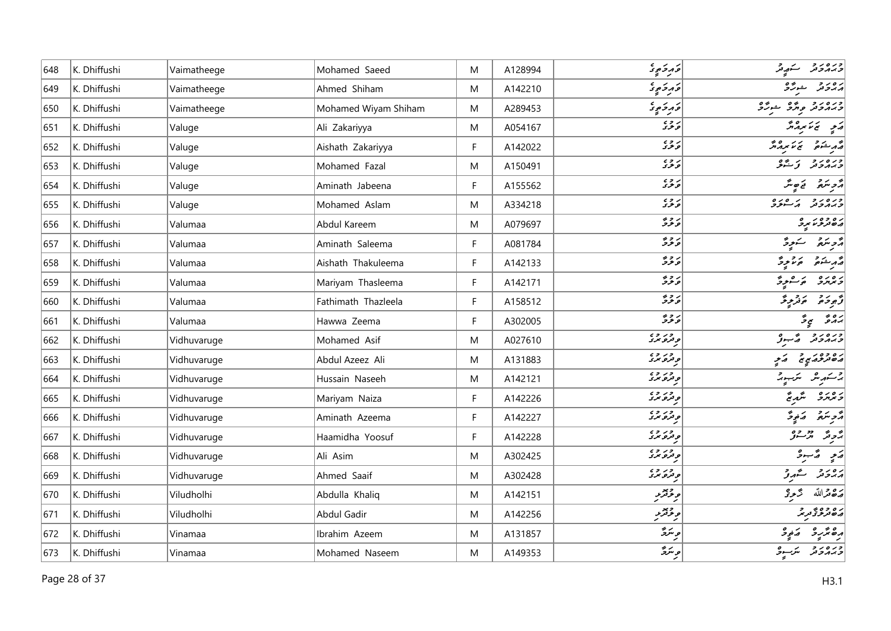| 648 | K. Dhiffushi | Vaimatheege | Mohamed Saeed        | M           | A128994 | ر<br>قەر خەمى ئ               | ورەرو سەرۇ                                |
|-----|--------------|-------------|----------------------|-------------|---------|-------------------------------|-------------------------------------------|
| 649 | K. Dhiffushi | Vaimatheege | Ahmed Shiham         | M           | A142210 | ر<br>قەرقىمى                  | ړه ده شورگو                               |
| 650 | K. Dhiffushi | Vaimatheege | Mohamed Wiyam Shiham | M           | A289453 | ى<br>قەرىخ ي                  |                                           |
| 651 | K. Dhiffushi | Valuge      | Ali Zakariyya        | M           | A054167 | ر و ،<br>حرمی                 | مَعٍ يَمَعِيهِ مَ                         |
| 652 | K. Dhiffushi | Valuge      | Aishath Zakariyya    | F           | A142022 | ر و ،<br>حرمی                 | ورمشي تمايرو                              |
| 653 | K. Dhiffushi | Valuge      | Mohamed Fazal        | M           | A150491 | ر و ،<br>د تر د               | ورەرو كەنتۇ                               |
| 654 | K. Dhiffushi | Valuge      | Aminath Jabeena      | F           | A155562 | ر و ،<br>و و د                | أأروبتهم فأصنكر                           |
| 655 | K. Dhiffushi | Valuge      | Mohamed Aslam        | M           | A334218 | ر و ،<br>و و د                | כנסנכ ב-2010<br>כגמכני ה- <del>י</del> כב |
| 656 | K. Dhiffushi | Valumaa     | Abdul Kareem         | M           | A079697 | ء وڻ                          | ره <del>د</del> ه ر<br>ماه مرد با برد     |
| 657 | K. Dhiffushi | Valumaa     | Aminath Saleema      | F           | A081784 | ء وء                          | أأدبتهم المنود                            |
| 658 | K. Dhiffushi | Valumaa     | Aishath Thakuleema   | F           | A142133 | ء وء                          |                                           |
| 659 | K. Dhiffushi | Valumaa     | Mariyam Thasleema    | F           | A142171 | ء وء                          | و دره در در د                             |
| 660 | K. Dhiffushi | Valumaa     | Fathimath Thazleela  | F           | A158512 | ء وء                          | ومجردة متحفر ويحر                         |
| 661 | K. Dhiffushi | Valumaa     | Hawwa Zeema          | $\mathsf F$ | A302005 | ءَ وُرٌ                       |                                           |
| 662 | K. Dhiffushi | Vidhuvaruge | Mohamed Asif         | M           | A027610 | و ر و ،<br>و تر <i>و بو</i> ی | ورەرو ھەبدۇ                               |
| 663 | K. Dhiffushi | Vidhuvaruge | Abdul Azeez Ali      | M           | A131883 | و د و ،<br>و ترو بر د         |                                           |
| 664 | K. Dhiffushi | Vidhuvaruge | Hussain Naseeh       | M           | A142121 | و د و ء<br>و ترو برد          | رحم المرسور الكرسور                       |
| 665 | K. Dhiffushi | Vidhuvaruge | Mariyam Naiza        | F           | A142226 | <br>  <i>و تره بر</i> ۍ       | و وره شهرځ                                |
| 666 | K. Dhiffushi | Vidhuvaruge | Aminath Azeema       | F           | A142227 | و تر و ،<br>رقمونو            | أأدجن أأوالمجمج                           |
| 667 | K. Dhiffushi | Vidhuvaruge | Haamidha Yoosuf      | F           | A142228 | <br>  و مرو مرد               | بڑونڈ<br>دد حرو                           |
| 668 | K. Dhiffushi | Vidhuvaruge | Ali Asim             | M           | A302425 | و د د د .<br>و تره بر .       | $rac{1}{2}$                               |
| 669 | K. Dhiffushi | Vidhuvaruge | Ahmed Saaif          | M           | A302428 | <br>  حوفرح مرد               | رەرو شەر                                  |
| 670 | K. Dhiffushi | Viludholhi  | Abdulla Khaliq       | M           | A142151 | وقرقرىر                       | ەھىراللە<br>رَّحوتى                       |
| 671 | K. Dhiffushi | Viludholhi  | <b>Abdul Gadir</b>   | M           | A142256 | وقرقرىر                       | ر ە د ە بە د<br>ھەمرىرتى مېرىتر           |
| 672 | K. Dhiffushi | Vinamaa     | Ibrahim Azeem        | M           | A131857 | عريثر                         | وهنر و كمنور                              |
| 673 | K. Dhiffushi | Vinamaa     | Mohamed Naseem       | M           | A149353 | عربترة                        | ورەرو شەر                                 |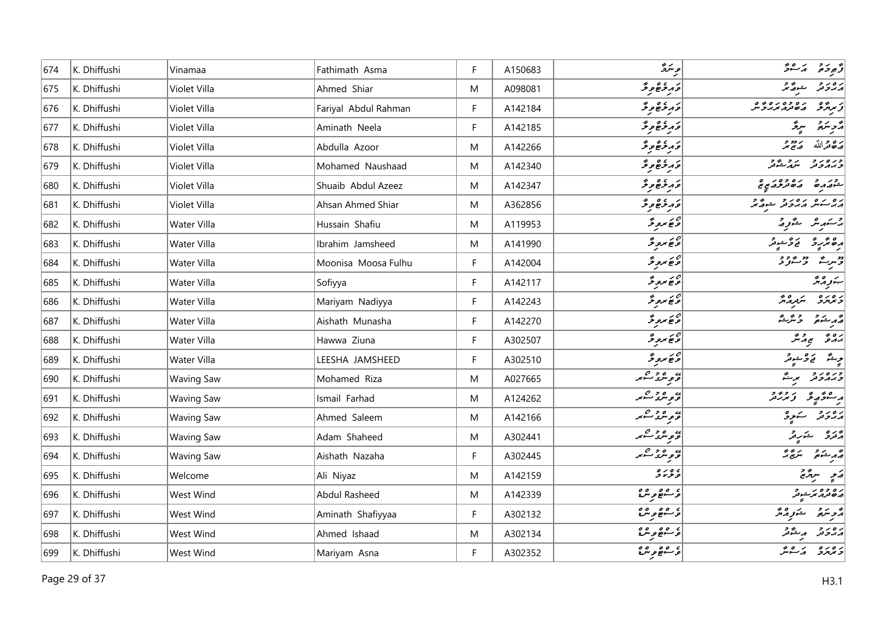| 674 | K. Dhiffushi | Vinamaa           | Fathimath Asma       | F  | A150683 | عريتمد                                                                                              | أوجوحهم أركبتم                                  |
|-----|--------------|-------------------|----------------------|----|---------|-----------------------------------------------------------------------------------------------------|-------------------------------------------------|
| 675 | K. Dhiffushi | Violet Villa      | Ahmed Shiar          | M  | A098081 | لحدد بحقوقه                                                                                         | ره رو شوره تر                                   |
| 676 | K. Dhiffushi | Violet Villa      | Fariyal Abdul Rahman | F  | A142184 | ءَ ٻر ڏھ عر ٿُ                                                                                      | ره وه ره ده<br>پره تربر تربر تر<br>ۇ بىر پۇ بى  |
| 677 | K. Dhiffushi | Violet Villa      | Aminath Neela        | F  | A142185 | ءَ مرځو هو ځه                                                                                       | أرمر وسره<br>سربڅر                              |
| 678 | K. Dhiffushi | Violet Villa      | Abdulla Azoor        | M  | A142266 | ءَ ٻر ڏھ عر ٿُر                                                                                     | ر دو و<br>در سی مر<br>برە تراللە                |
| 679 | K. Dhiffushi | Violet Villa      | Mohamed Naushaad     | M  | A142340 | وردءور                                                                                              | وره رو در دور<br><i>وب</i> رمرو مرکز شوتر       |
| 680 | K. Dhiffushi | Violet Villa      | Shuaib Abdul Azeez   | M  | A142347 | ءَ ٻر ڏڇ ه ِ ٿَر                                                                                    | בינה הסיניכת ה                                  |
| 681 | K. Dhiffushi | Violet Villa      | Ahsan Ahmed Shiar    | M  | A362856 | <br>  ورځ چوموگر                                                                                    | גם גם גם גם בישובה                              |
| 682 | K. Dhiffushi | Water Villa       | Hussain Shafiu       | M  | A119953 | ء کيے سرحهِ مَحَر                                                                                   | رحسكر مشرور                                     |
| 683 | K. Dhiffushi | Water Villa       | Ibrahim Jamsheed     | M  | A141990 | ء کھ سرحر محّر                                                                                      | دە ئەرە بەھ بەر                                 |
| 684 | K. Dhiffushi | Water Villa       | Moonisa Moosa Fulhu  | F  | A142004 | ء کے سرعہ محّر                                                                                      | ده میربد<br>م<br>د د شود د                      |
| 685 | K. Dhiffushi | Water Villa       | Sofiyya              | F  | A142117 | ءِ سَمَ سِرِ مَثَرِ                                                                                 | يئوره                                           |
| 686 | K. Dhiffushi | Water Villa       | Mariyam Nadiyya      | F  | A142243 | ء کيے سرحه محر                                                                                      | גפגם הציגה                                      |
| 687 | K. Dhiffushi | Water Villa       | Aishath Munasha      | F  | A142270 | حويج مرعر محر                                                                                       | و <sub>گ</sub> رېدو وگرېگ                       |
| 688 | K. Dhiffushi | Water Villa       | Hawwa Ziuna          | F. | A302507 | ە ھ <sub>ى</sub> ئىرە ئە                                                                            | برەۋ بىرمىگە                                    |
| 689 | K. Dhiffushi | Water Villa       | LEESHA JAMSHEED      | F  | A302510 | حويج مرعر محر                                                                                       | لمحيضة المحكم والشوقر                           |
| 690 | K. Dhiffushi | <b>Waving Saw</b> | Mohamed Riza         | M  | A027665 | <mark>ٷۄؚۺڬ</mark> ٮ؊                                                                               | ورەرو برگ                                       |
| 691 | K. Dhiffushi | <b>Waving Saw</b> | Ismail Farhad        | M  | A124262 | ە پەر مەھ<br>مەمىرى سىمىر                                                                           | وڪوڻو تريزير                                    |
| 692 | K. Dhiffushi | <b>Waving Saw</b> | Ahmed Saleem         | M  | A142166 | ە مەمۇرىمىر<br>مۇسىمە                                                                               | رەرە ئەرو                                       |
| 693 | K. Dhiffushi | <b>Waving Saw</b> | Adam Shaheed         | M  | A302441 | مۇھەمىيەت مىر<br>  مۇھەمىيەت مىر                                                                    | پر ده<br>د ترو شور تر                           |
| 694 | K. Dhiffushi | <b>Waving Saw</b> | Aishath Nazaha       | F  | A302445 | ا مۇھ <sub>رىقى</sub> مەر                                                                           | وأرشني الرواز                                   |
| 695 | K. Dhiffushi | Welcome           | Ali Niyaz            | M  | A142159 | ه وره<br><i>و</i> نورو                                                                              | أوسمع المعترج                                   |
| 696 | K. Dhiffushi | West Wind         | Abdul Rasheed        | M  | A142339 | ۇسقۇمەتتە                                                                                           | ر 2 2 2 ر<br>  پر ن تو تر<br>  پر ن تور تر شوتر |
| 697 | K. Dhiffushi | West Wind         | Aminath Shafiyyaa    | F. | A302132 | وكشقورهما                                                                                           | أأدمتكم فكروه                                   |
| 698 | K. Dhiffushi | West Wind         | Ahmed Ishaad         | M  | A302134 | $\left  \begin{smallmatrix} 0 & 0 & 0 & c \ c & \ddots & \ddots & \ddots \end{smallmatrix} \right $ | ره ر و<br>پررو تر شگ <sup>و</sup> تر            |
| 699 | K. Dhiffushi | West Wind         | Mariyam Asna         | F  | A302352 | وكشقورهما                                                                                           | ترەرە بەسىر                                     |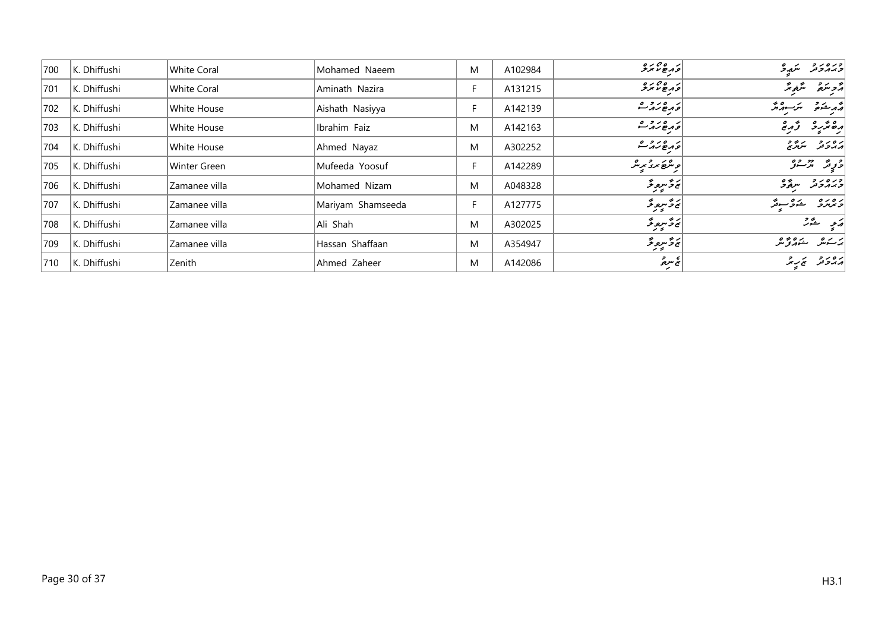| 700 | K. Dhiffushi | <b>White Coral</b>  | Mohamed Naeem     | M | A102984 | د ه ه مړيو                          | و ر ه ر و<br>  <del>و</del> پر پر <del>و</del> ر<br>سمەر |
|-----|--------------|---------------------|-------------------|---|---------|-------------------------------------|----------------------------------------------------------|
| 701 | K. Dhiffushi | <b>White Coral</b>  | Aminath Nazira    |   | A131215 | در ۵۵ ده                            | ړ د سرچ<br>سترەپەتتر                                     |
| 702 | K. Dhiffushi | White House         | Aishath Nasiyya   | F | A142139 | ئەرەپەر شە                          | أقدار شوه سرسوه ومحمد                                    |
| 703 | K. Dhiffushi | White House         | Ibrahim Faiz      | M | A142163 | ئەرەپەر شە                          | ە ھەترىر ۋ<br>تر مر ح<br>$\mathcal{L}$                   |
| 704 | K. Dhiffushi | White House         | Ahmed Nayaz       | M | A302252 | درەر در                             | پروژو<br>سرپر تر                                         |
| 705 | K. Dhiffushi | <b>Winter Green</b> | Mufeeda Yoosuf    |   | A142289 | <i>و</i> مریج <sub>مرکز</sub> مرمگر | درپهٔ پر دو                                              |
| 706 | K. Dhiffushi | Zamanee villa       | Mohamed Nizam     | M | A048328 | ئەۋسىرە ئە                          | 3 > 9 > 9<br>  3 > 0 > 9<br>سرۇر                         |
| 707 | K. Dhiffushi | Zamanee villa       | Mariyam Shamseeda | F | A127775 | ئەۋسرە ئە                           | ر ه ر ه<br><del>ر</del> بربر ژ<br>شەۋ سەتگر              |
| 708 | K. Dhiffushi | Zamanee villa       | Ali Shah          | M | A302025 | ئەۋسپەيۇ                            | پر په شور                                                |
| 709 | K. Dhiffushi | Zamanee villa       | Hassan Shaffaan   | M | A354947 | ئەۋسپەرتۇ                           | ئەسەمىر<br>ىش <i>ەد ۋ</i> ىتر                            |
| 710 | K. Dhiffushi | Zenith              | Ahmed Zaheer      | M | A142086 | ي<br>سم سرچ                         | پر ۱۵ ر د<br>  پر پر <del>د</del> تر<br>سے پ ہو          |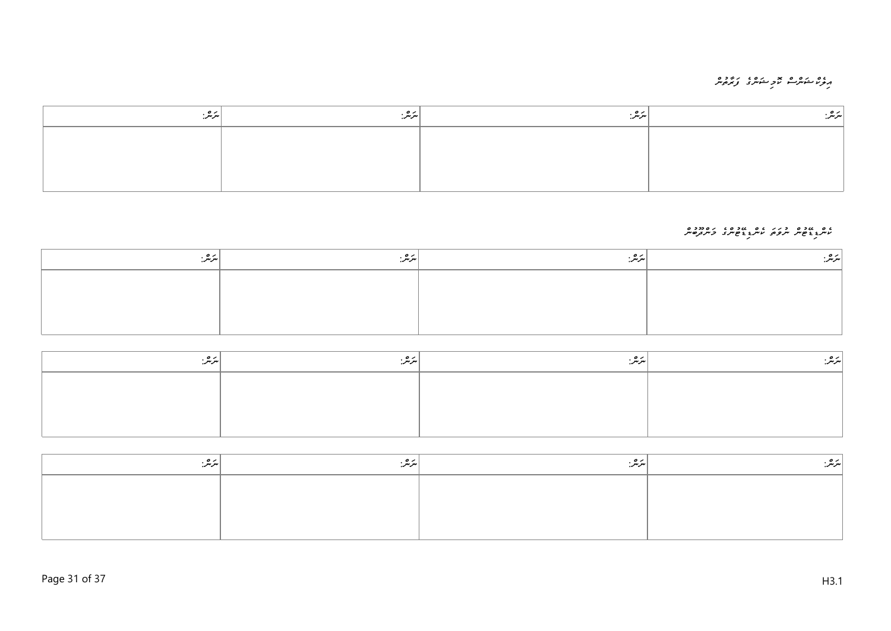## *w7qAn8m? sCw7mRo>u; wEw7mRw;sBo<*

| ' مرمر | 'يئرىثر: |
|--------|----------|
|        |          |
|        |          |
|        |          |

## *w7q9r@w7m> sCw7qHtFoFw7s; mAm=q7 w7qHtFoFw7s;*

| ىر تە | $\mathcal{O} \times$<br>$\sim$ | $\sim$<br>. . | لترنثر |
|-------|--------------------------------|---------------|--------|
|       |                                |               |        |
|       |                                |               |        |
|       |                                |               |        |

| انترنثر: | $^{\circ}$ | يبرهر | $^{\circ}$<br>سرسر |
|----------|------------|-------|--------------------|
|          |            |       |                    |
|          |            |       |                    |
|          |            |       |                    |

| ' ئىرتىر: | سر سر |  |
|-----------|-------|--|
|           |       |  |
|           |       |  |
|           |       |  |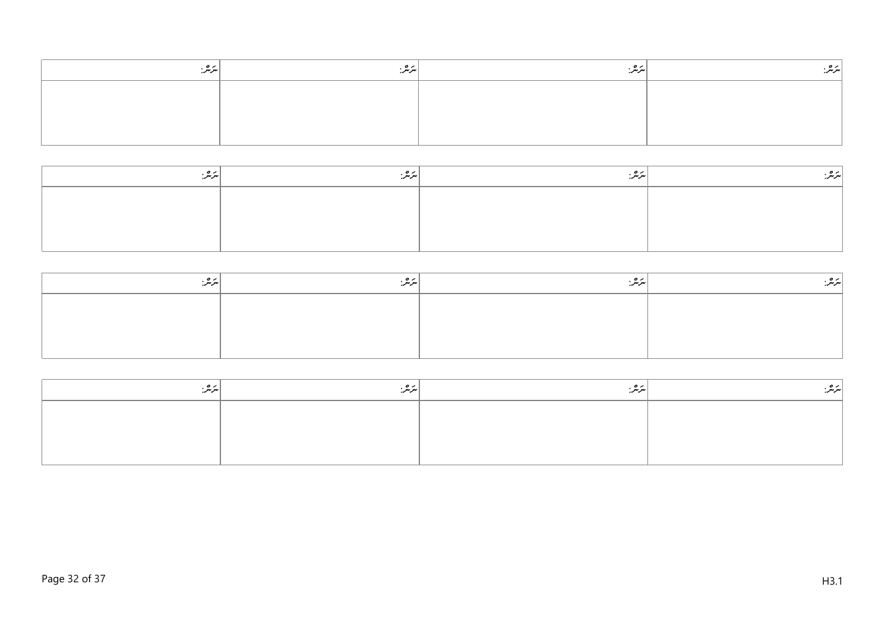| يزهر | $^{\circ}$ | ىئرىتر: |  |
|------|------------|---------|--|
|      |            |         |  |
|      |            |         |  |
|      |            |         |  |

| متريثر به | 。<br>'سرسر'۔ | يتزيترا | سرسر |
|-----------|--------------|---------|------|
|           |              |         |      |
|           |              |         |      |
|           |              |         |      |

| ىئرىتر. | $\sim$ | ا بر هه. | لىرىش |
|---------|--------|----------|-------|
|         |        |          |       |
|         |        |          |       |
|         |        |          |       |

| 。<br>مرس. | $\overline{\phantom{a}}$<br>مر مىر | يتريثر |
|-----------|------------------------------------|--------|
|           |                                    |        |
|           |                                    |        |
|           |                                    |        |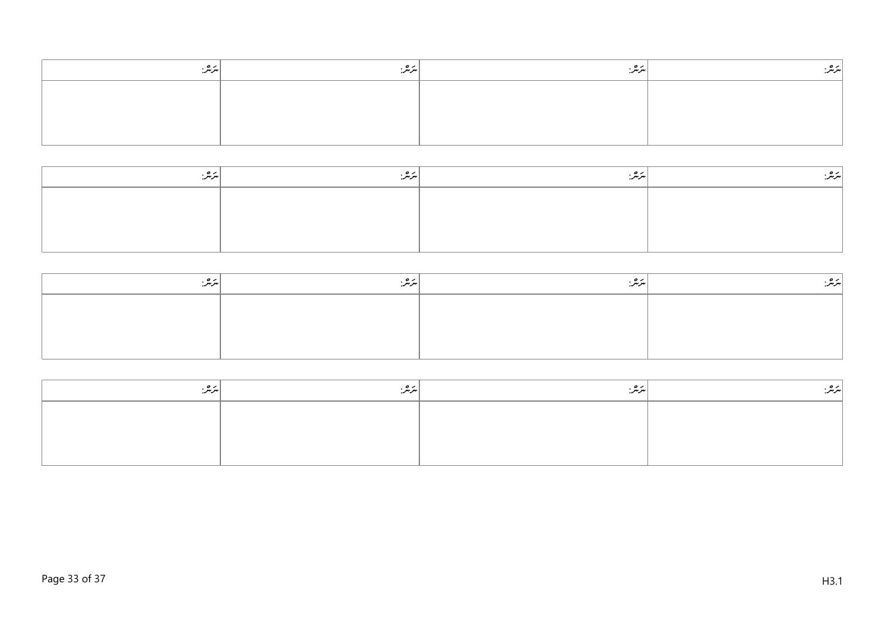| ير هو . | $\overline{\phantom{a}}$ | يرمر | اير هنه. |
|---------|--------------------------|------|----------|
|         |                          |      |          |
|         |                          |      |          |
|         |                          |      |          |

| ىر تىر: | $\circ$ $\sim$<br>" سرسر . | يبرحه | o . |
|---------|----------------------------|-------|-----|
|         |                            |       |     |
|         |                            |       |     |
|         |                            |       |     |

| 'تترنثر: | 。<br>,,,, |  |
|----------|-----------|--|
|          |           |  |
|          |           |  |
|          |           |  |

|  | . ه |
|--|-----|
|  |     |
|  |     |
|  |     |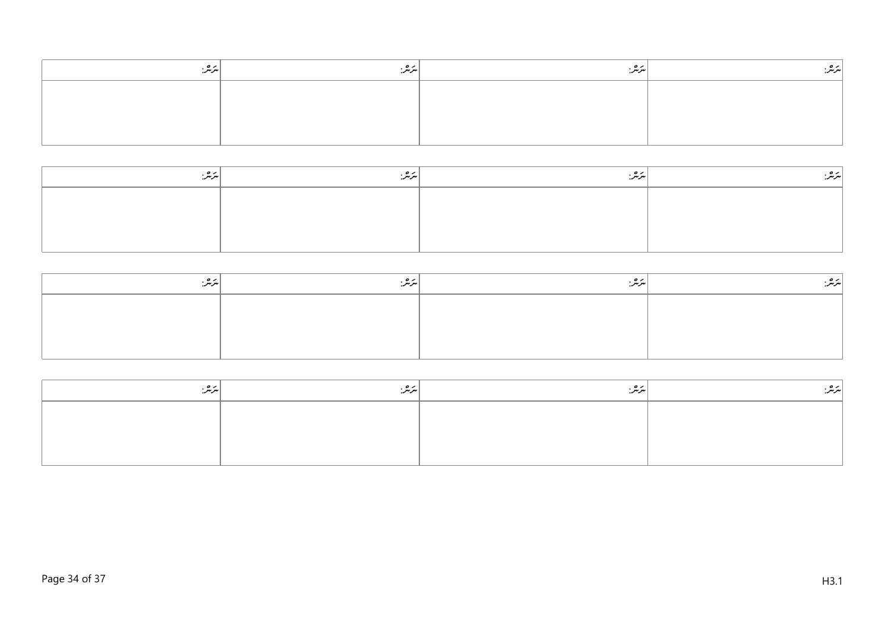| ير هو . | $\overline{\phantom{a}}$ | يرمر | اير هنه. |
|---------|--------------------------|------|----------|
|         |                          |      |          |
|         |                          |      |          |
|         |                          |      |          |

| ئىرتىر: | $\sim$<br>ا سرسر . | يئرمثر | o . |
|---------|--------------------|--------|-----|
|         |                    |        |     |
|         |                    |        |     |
|         |                    |        |     |

| الترنثر: | ' مرتكز: | الترنثر: | .,<br>سرسر. |
|----------|----------|----------|-------------|
|          |          |          |             |
|          |          |          |             |
|          |          |          |             |

|  | . ه |
|--|-----|
|  |     |
|  |     |
|  |     |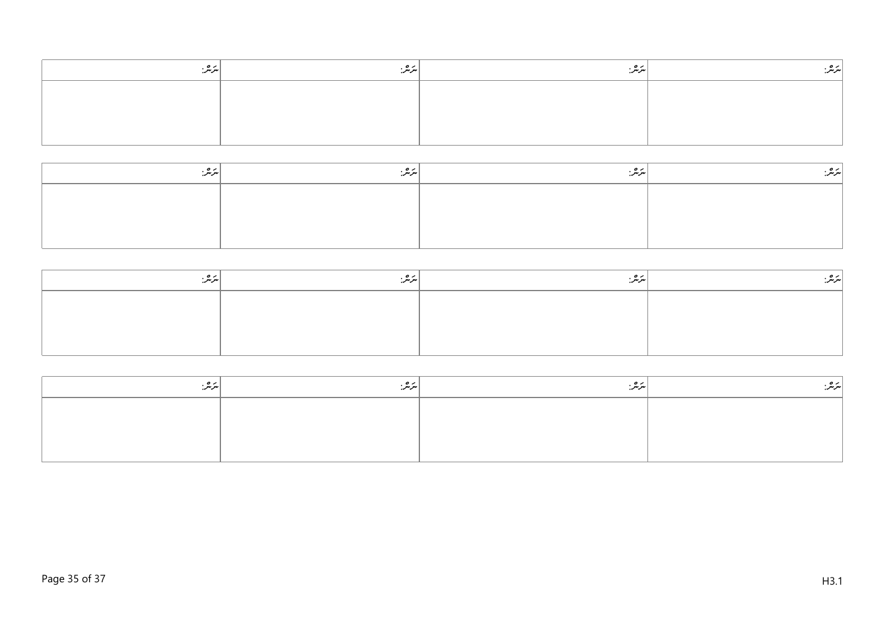| $\cdot$ | ο. | $\frac{\circ}{\cdot}$ | $\sim$<br>سرسر |
|---------|----|-----------------------|----------------|
|         |    |                       |                |
|         |    |                       |                |
|         |    |                       |                |

| ايرعر: | ر ه<br>. . |  |
|--------|------------|--|
|        |            |  |
|        |            |  |
|        |            |  |

| بر ه | 。 | $\overline{\phantom{0}}$<br>َ سومس. |  |
|------|---|-------------------------------------|--|
|      |   |                                     |  |
|      |   |                                     |  |
|      |   |                                     |  |

| 。<br>. س | ىرىىر |  |
|----------|-------|--|
|          |       |  |
|          |       |  |
|          |       |  |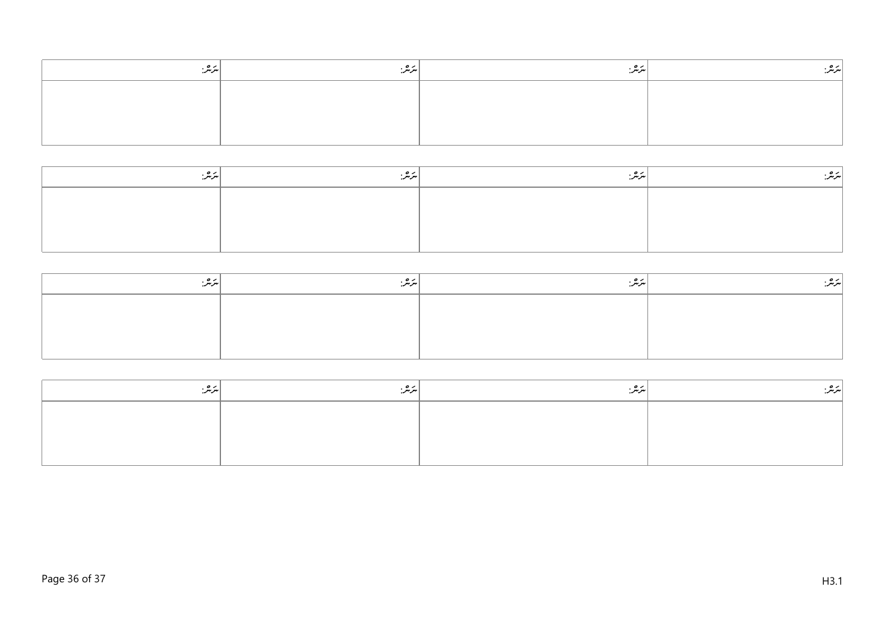| ير هو . | $\overline{\phantom{a}}$ | يرمر | لتزمثن |
|---------|--------------------------|------|--------|
|         |                          |      |        |
|         |                          |      |        |
|         |                          |      |        |

| ىر تىر: | $\circ$ $\sim$<br>" سرسر . | يبرحه | o . |
|---------|----------------------------|-------|-----|
|         |                            |       |     |
|         |                            |       |     |
|         |                            |       |     |

| انترنثر: | ر ه |  |
|----------|-----|--|
|          |     |  |
|          |     |  |
|          |     |  |

|  | . ه |
|--|-----|
|  |     |
|  |     |
|  |     |